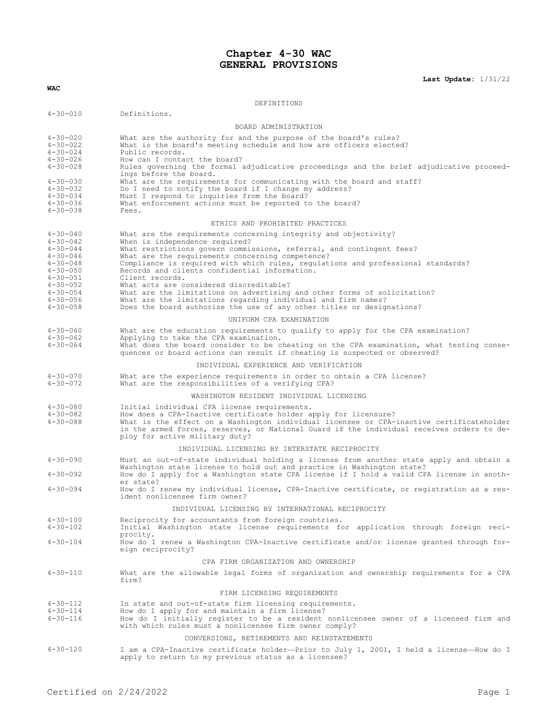# **Chapter 4-30 WAC GENERAL PROVISIONS**

**Last Update:** 1/31/22

| <b>WAC</b>                                                                                                                                                                                         |                                                                                                                                                                                                                                                                                                                                                                                                                                                                                                                                                                                                                                                        |  |  |  |  |  |
|----------------------------------------------------------------------------------------------------------------------------------------------------------------------------------------------------|--------------------------------------------------------------------------------------------------------------------------------------------------------------------------------------------------------------------------------------------------------------------------------------------------------------------------------------------------------------------------------------------------------------------------------------------------------------------------------------------------------------------------------------------------------------------------------------------------------------------------------------------------------|--|--|--|--|--|
|                                                                                                                                                                                                    | DEFINITIONS                                                                                                                                                                                                                                                                                                                                                                                                                                                                                                                                                                                                                                            |  |  |  |  |  |
| $4 - 30 - 010$                                                                                                                                                                                     | Definitions.                                                                                                                                                                                                                                                                                                                                                                                                                                                                                                                                                                                                                                           |  |  |  |  |  |
|                                                                                                                                                                                                    | BOARD ADMINISTRATION                                                                                                                                                                                                                                                                                                                                                                                                                                                                                                                                                                                                                                   |  |  |  |  |  |
| $4 - 30 - 020$<br>$4 - 30 - 022$<br>$4 - 30 - 024$<br>$4 - 30 - 026$<br>$4 - 30 - 028$                                                                                                             | What are the authority for and the purpose of the board's rules?<br>What is the board's meeting schedule and how are officers elected?<br>Public records.<br>How can I contact the board?<br>Rules governing the formal adjudicative proceedings and the brief adjudicative proceed-                                                                                                                                                                                                                                                                                                                                                                   |  |  |  |  |  |
| $4 - 30 - 030$<br>$4 - 30 - 032$<br>$4 - 30 - 034$<br>$4 - 30 - 036$<br>$4 - 30 - 038$                                                                                                             | ings before the board.<br>What are the requirements for communicating with the board and staff?<br>Do I need to notify the board if I change my address?<br>Must I respond to inquiries from the board?<br>What enforcement actions must be reported to the board?<br>Fees.                                                                                                                                                                                                                                                                                                                                                                            |  |  |  |  |  |
|                                                                                                                                                                                                    | ETHICS AND PROHIBITED PRACTICES                                                                                                                                                                                                                                                                                                                                                                                                                                                                                                                                                                                                                        |  |  |  |  |  |
| $4 - 30 - 040$<br>$4 - 30 - 042$<br>$4 - 30 - 044$<br>$4 - 30 - 046$<br>$4 - 30 - 048$<br>$4 - 30 - 050$<br>$4 - 30 - 051$<br>$4 - 30 - 052$<br>$4 - 30 - 054$<br>$4 - 30 - 056$<br>$4 - 30 - 058$ | What are the requirements concerning integrity and objectivity?<br>When is independence required?<br>What restrictions govern commissions, referral, and contingent fees?<br>What are the requirements concerning competence?<br>Compliance is required with which rules, requlations and professional standards?<br>Records and clients confidential information.<br>Client records.<br>What acts are considered discreditable?<br>What are the limitations on advertising and other forms of solicitation?<br>What are the limitations regarding individual and firm names?<br>Does the board authorize the use of any other titles or designations? |  |  |  |  |  |
|                                                                                                                                                                                                    | UNIFORM CPA EXAMINATION                                                                                                                                                                                                                                                                                                                                                                                                                                                                                                                                                                                                                                |  |  |  |  |  |
| $4 - 30 - 060$<br>$4 - 30 - 062$<br>$4 - 30 - 064$                                                                                                                                                 | What are the education requirements to qualify to apply for the CPA examination?<br>Applying to take the CPA examination.<br>What does the board consider to be cheating on the CPA examination, what testing conse-<br>quences or board actions can result if cheating is suspected or observed?                                                                                                                                                                                                                                                                                                                                                      |  |  |  |  |  |
|                                                                                                                                                                                                    | INDIVIDUAL EXPERIENCE AND VERIFICATION                                                                                                                                                                                                                                                                                                                                                                                                                                                                                                                                                                                                                 |  |  |  |  |  |
| $4 - 30 - 070$<br>$4 - 30 - 072$                                                                                                                                                                   | What are the experience requirements in order to obtain a CPA license?<br>What are the responsibilities of a verifying CPA?                                                                                                                                                                                                                                                                                                                                                                                                                                                                                                                            |  |  |  |  |  |
|                                                                                                                                                                                                    | WASHINGTON RESIDENT INDIVIDUAL LICENSING                                                                                                                                                                                                                                                                                                                                                                                                                                                                                                                                                                                                               |  |  |  |  |  |
| $4 - 30 - 080$<br>$4 - 30 - 082$<br>$4 - 30 - 088$                                                                                                                                                 | Initial individual CPA license requirements.<br>How does a CPA-Inactive certificate holder apply for licensure?<br>What is the effect on a Washington individual licensee or CPA-inactive certificateholder<br>in the armed forces, reserves, or National Guard if the individual receives orders to de-<br>ploy for active military duty?                                                                                                                                                                                                                                                                                                             |  |  |  |  |  |
|                                                                                                                                                                                                    | INDIVIDUAL LICENSING BY INTERSTATE RECIPROCITY                                                                                                                                                                                                                                                                                                                                                                                                                                                                                                                                                                                                         |  |  |  |  |  |
| $4 - 30 - 090$<br>$4 - 30 - 092$                                                                                                                                                                   | Must an out-of-state individual holding a license from another state apply and obtain a<br>Washington state license to hold out and practice in Washington state?<br>How do I apply for a Washington state CPA license if I hold a valid CPA license in anoth-                                                                                                                                                                                                                                                                                                                                                                                         |  |  |  |  |  |
| $4 - 30 - 094$                                                                                                                                                                                     | er state?<br>How do I renew my individual license, CPA-Inactive certificate, or registration as a res-<br>ident nonlicensee firm owner?                                                                                                                                                                                                                                                                                                                                                                                                                                                                                                                |  |  |  |  |  |
|                                                                                                                                                                                                    | INDIVIDUAL LICENSING BY INTERNATIONAL RECIPROCITY                                                                                                                                                                                                                                                                                                                                                                                                                                                                                                                                                                                                      |  |  |  |  |  |
| $4 - 30 - 100$<br>$4 - 30 - 102$                                                                                                                                                                   | Reciprocity for accountants from foreign countries.<br>Initial Washington state license requirements for application through foreign reci-                                                                                                                                                                                                                                                                                                                                                                                                                                                                                                             |  |  |  |  |  |
| $4 - 30 - 104$                                                                                                                                                                                     | procity.<br>How do I renew a Washington CPA-Inactive certificate and/or license granted through for-<br>eign reciprocity?                                                                                                                                                                                                                                                                                                                                                                                                                                                                                                                              |  |  |  |  |  |
|                                                                                                                                                                                                    | CPA FIRM ORGANIZATION AND OWNERSHIP                                                                                                                                                                                                                                                                                                                                                                                                                                                                                                                                                                                                                    |  |  |  |  |  |
| $4 - 30 - 110$                                                                                                                                                                                     | What are the allowable legal forms of organization and ownership requirements for a CPA<br>firm?                                                                                                                                                                                                                                                                                                                                                                                                                                                                                                                                                       |  |  |  |  |  |
|                                                                                                                                                                                                    | FIRM LICENSING REOUIREMENTS                                                                                                                                                                                                                                                                                                                                                                                                                                                                                                                                                                                                                            |  |  |  |  |  |
| $4 - 30 - 112$<br>$4 - 30 - 114$<br>$4 - 30 - 116$                                                                                                                                                 | In state and out-of-state firm licensing requirements.<br>How do I apply for and maintain a firm license?<br>How do I initially register to be a resident nonlicensee owner of a licensed firm and<br>with which rules must a nonlicensee firm owner comply?                                                                                                                                                                                                                                                                                                                                                                                           |  |  |  |  |  |
|                                                                                                                                                                                                    | CONVERSIONS, RETIREMENTS AND REINSTATEMENTS                                                                                                                                                                                                                                                                                                                                                                                                                                                                                                                                                                                                            |  |  |  |  |  |
| $4 - 30 - 120$                                                                                                                                                                                     | I am a CPA-Inactive certificate holder—Prior to July 1, 2001, I held a license—How do I<br>apply to return to my previous status as a licensee?                                                                                                                                                                                                                                                                                                                                                                                                                                                                                                        |  |  |  |  |  |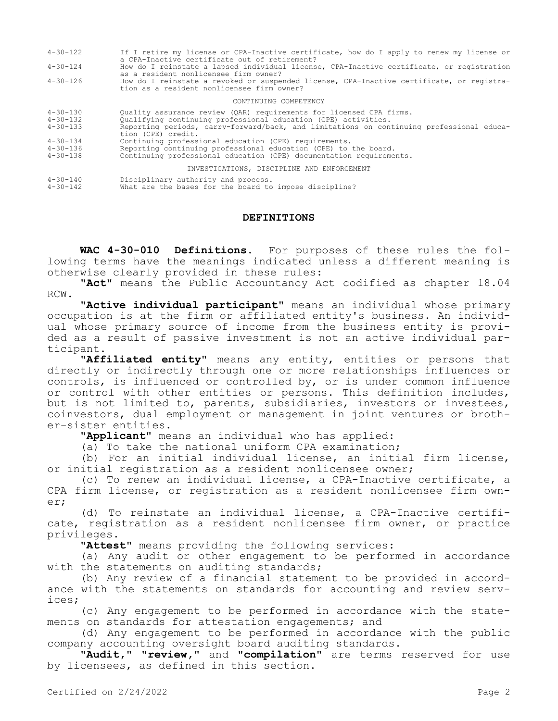- 4-30-122 If I retire my license or CPA-Inactive certificate, how do I apply to renew my license or a CPA-Inactive certificate out of retirement?
- 4-30-124 How do I reinstate a lapsed individual license, CPA-Inactive certificate, or registration as a resident nonlicensee firm owner?
- 4-30-126 How do I reinstate a revoked or suspended license, CPA-Inactive certificate, or registration as a resident nonlicensee firm owner?

#### CONTINUING COMPETENCY

| $4 - 30 - 130$ | Quality assurance review (QAR) requirements for licensed CPA firms.                                                                                                                                                            |  |  |  |  |
|----------------|--------------------------------------------------------------------------------------------------------------------------------------------------------------------------------------------------------------------------------|--|--|--|--|
| 4-30-132       | Qualifying continuing professional education (CPE) activities.                                                                                                                                                                 |  |  |  |  |
| $4 - 30 - 133$ | Reporting periods, carry-forward/back, and limitations on continuing professional educa-                                                                                                                                       |  |  |  |  |
|                | tion (CPE) credit.                                                                                                                                                                                                             |  |  |  |  |
| 1 20 121       | A called the contract of the state of the state of the state of the state of the state of the state of the state of the state of the state of the state of the state of the state of the state of the state of the state of th |  |  |  |  |

- 4-30-134 Continuing professional education (CPE) requirements.
- 4-30-136 Reporting continuing professional education (CPE) to the board. Continuing professional education (CPE) documentation requirements.

# INVESTIGATIONS, DISCIPLINE AND ENFORCEMENT

4-30-140 Disciplinary authority and process. 4-30-142 What are the bases for the board to impose discipline?

#### **DEFINITIONS**

**WAC 4-30-010 Definitions.** For purposes of these rules the following terms have the meanings indicated unless a different meaning is otherwise clearly provided in these rules:

**"Act"** means the Public Accountancy Act codified as chapter 18.04 RCW.

**"Active individual participant"** means an individual whose primary occupation is at the firm or affiliated entity's business. An individual whose primary source of income from the business entity is provided as a result of passive investment is not an active individual participant.

**"Affiliated entity"** means any entity, entities or persons that directly or indirectly through one or more relationships influences or controls, is influenced or controlled by, or is under common influence or control with other entities or persons. This definition includes, but is not limited to, parents, subsidiaries, investors or investees, coinvestors, dual employment or management in joint ventures or brother-sister entities.

**"Applicant"** means an individual who has applied:

(a) To take the national uniform CPA examination;

(b) For an initial individual license, an initial firm license, or initial registration as a resident nonlicensee owner;

(c) To renew an individual license, a CPA-Inactive certificate, a CPA firm license, or registration as a resident nonlicensee firm owner;

(d) To reinstate an individual license, a CPA-Inactive certificate, registration as a resident nonlicensee firm owner, or practice privileges.

**"Attest"** means providing the following services:

(a) Any audit or other engagement to be performed in accordance with the statements on auditing standards;

(b) Any review of a financial statement to be provided in accordance with the statements on standards for accounting and review services;

(c) Any engagement to be performed in accordance with the statements on standards for attestation engagements; and

(d) Any engagement to be performed in accordance with the public company accounting oversight board auditing standards.

**"Audit," "review,"** and **"compilation"** are terms reserved for use by licensees, as defined in this section.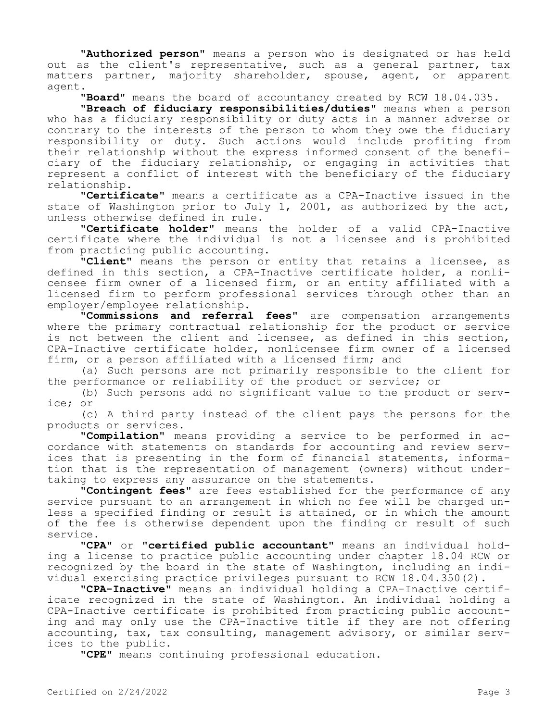**"Authorized person"** means a person who is designated or has held out as the client's representative, such as a general partner, tax matters partner, majority shareholder, spouse, agent, or apparent agent.

**"Board"** means the board of accountancy created by RCW 18.04.035.

**"Breach of fiduciary responsibilities/duties"** means when a person who has a fiduciary responsibility or duty acts in a manner adverse or contrary to the interests of the person to whom they owe the fiduciary responsibility or duty. Such actions would include profiting from their relationship without the express informed consent of the beneficiary of the fiduciary relationship, or engaging in activities that represent a conflict of interest with the beneficiary of the fiduciary relationship.

**"Certificate"** means a certificate as a CPA-Inactive issued in the state of Washington prior to July 1, 2001, as authorized by the act, unless otherwise defined in rule.

**"Certificate holder"** means the holder of a valid CPA-Inactive certificate where the individual is not a licensee and is prohibited from practicing public accounting.

**"Client"** means the person or entity that retains a licensee, as defined in this section, a CPA-Inactive certificate holder, a nonlicensee firm owner of a licensed firm, or an entity affiliated with a licensed firm to perform professional services through other than an employer/employee relationship.

**"Commissions and referral fees"** are compensation arrangements where the primary contractual relationship for the product or service is not between the client and licensee, as defined in this section, CPA-Inactive certificate holder, nonlicensee firm owner of a licensed firm, or a person affiliated with a licensed firm; and

(a) Such persons are not primarily responsible to the client for the performance or reliability of the product or service; or

(b) Such persons add no significant value to the product or service; or

(c) A third party instead of the client pays the persons for the products or services.

**"Compilation"** means providing a service to be performed in accordance with statements on standards for accounting and review services that is presenting in the form of financial statements, information that is the representation of management (owners) without undertaking to express any assurance on the statements.

**"Contingent fees"** are fees established for the performance of any service pursuant to an arrangement in which no fee will be charged unless a specified finding or result is attained, or in which the amount of the fee is otherwise dependent upon the finding or result of such service.

**"CPA"** or **"certified public accountant"** means an individual holding a license to practice public accounting under chapter 18.04 RCW or recognized by the board in the state of Washington, including an individual exercising practice privileges pursuant to RCW 18.04.350(2).

**"CPA-Inactive"** means an individual holding a CPA-Inactive certificate recognized in the state of Washington. An individual holding a CPA-Inactive certificate is prohibited from practicing public accounting and may only use the CPA-Inactive title if they are not offering accounting, tax, tax consulting, management advisory, or similar services to the public.

**"CPE"** means continuing professional education.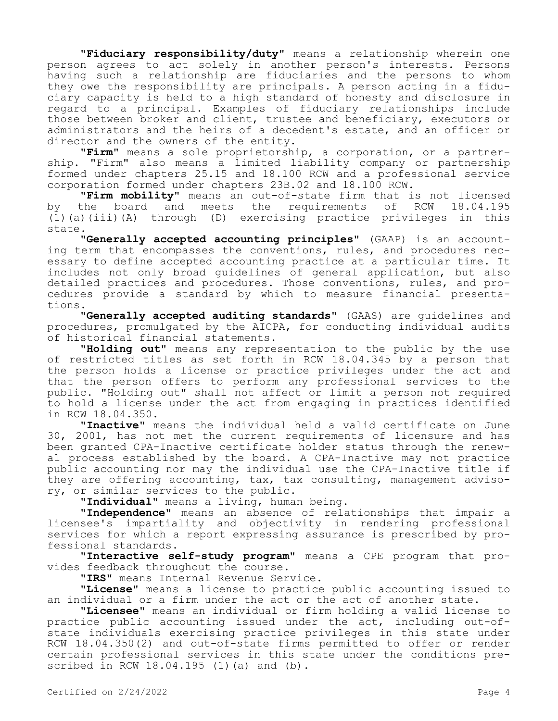**"Fiduciary responsibility/duty"** means a relationship wherein one person agrees to act solely in another person's interests. Persons having such a relationship are fiduciaries and the persons to whom they owe the responsibility are principals. A person acting in a fiduciary capacity is held to a high standard of honesty and disclosure in regard to a principal. Examples of fiduciary relationships include those between broker and client, trustee and beneficiary, executors or administrators and the heirs of a decedent's estate, and an officer or director and the owners of the entity.

**"Firm"** means a sole proprietorship, a corporation, or a partnership. "Firm" also means a limited liability company or partnership formed under chapters 25.15 and 18.100 RCW and a professional service corporation formed under chapters 23B.02 and 18.100 RCW.

**"Firm mobility"** means an out-of-state firm that is not licensed by the board and meets the (1)(a)(iii)(A) through (D) exercising practice privileges in this state.

**"Generally accepted accounting principles"** (GAAP) is an accounting term that encompasses the conventions, rules, and procedures necessary to define accepted accounting practice at a particular time. It includes not only broad guidelines of general application, but also detailed practices and procedures. Those conventions, rules, and procedures provide a standard by which to measure financial presentations.

**"Generally accepted auditing standards"** (GAAS) are guidelines and procedures, promulgated by the AICPA, for conducting individual audits of historical financial statements.

**"Holding out"** means any representation to the public by the use of restricted titles as set forth in RCW 18.04.345 by a person that the person holds a license or practice privileges under the act and that the person offers to perform any professional services to the public. "Holding out" shall not affect or limit a person not required to hold a license under the act from engaging in practices identified in RCW 18.04.350.

**"Inactive"** means the individual held a valid certificate on June 30, 2001, has not met the current requirements of licensure and has been granted CPA-Inactive certificate holder status through the renewal process established by the board. A CPA-Inactive may not practice public accounting nor may the individual use the CPA-Inactive title if they are offering accounting, tax, tax consulting, management advisory, or similar services to the public.

**"Individual"** means a living, human being.

**"Independence"** means an absence of relationships that impair a licensee's impartiality and objectivity in rendering professional services for which a report expressing assurance is prescribed by professional standards.

**"Interactive self-study program"** means a CPE program that provides feedback throughout the course.

**"IRS"** means Internal Revenue Service.

**"License"** means a license to practice public accounting issued to an individual or a firm under the act or the act of another state.

**"Licensee"** means an individual or firm holding a valid license to practice public accounting issued under the act, including out-ofstate individuals exercising practice privileges in this state under RCW 18.04.350(2) and out-of-state firms permitted to offer or render certain professional services in this state under the conditions prescribed in RCW 18.04.195 (1)(a) and (b).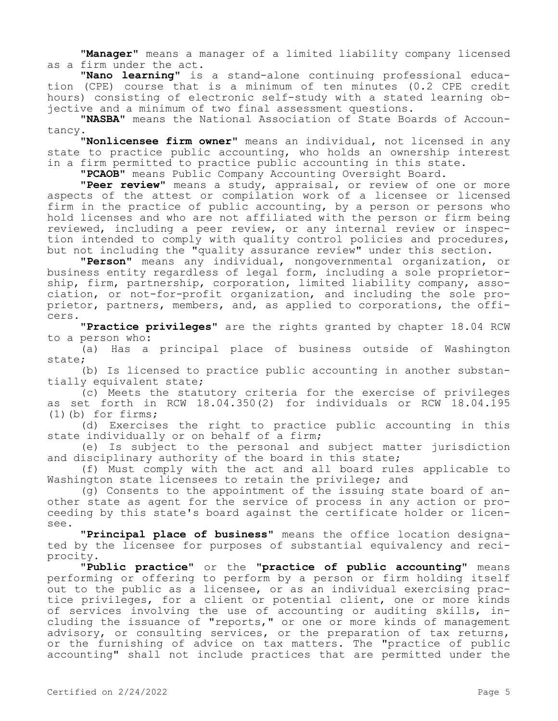**"Manager"** means a manager of a limited liability company licensed as a firm under the act.

**"Nano learning"** is a stand-alone continuing professional education (CPE) course that is a minimum of ten minutes (0.2 CPE credit hours) consisting of electronic self-study with a stated learning objective and a minimum of two final assessment questions.

**"NASBA"** means the National Association of State Boards of Accountancy.

**"Nonlicensee firm owner"** means an individual, not licensed in any state to practice public accounting, who holds an ownership interest in a firm permitted to practice public accounting in this state.

**"PCAOB"** means Public Company Accounting Oversight Board.

**"Peer review"** means a study, appraisal, or review of one or more aspects of the attest or compilation work of a licensee or licensed diposets of the active of complements in the practice of public accounting, by a person or persons who hold licenses and who are not affiliated with the person or firm being reviewed, including a peer review, or any internal review or inspection intended to comply with quality control policies and procedures, but not including the "quality assurance review" under this section.

**"Person"** means any individual, nongovernmental organization, or business entity regardless of legal form, including a sole proprietorship, firm, partnership, corporation, limited liability company, association, or not-for-profit organization, and including the sole proprietor, partners, members, and, as applied to corporations, the officers.

**"Practice privileges"** are the rights granted by chapter 18.04 RCW to a person who:

(a) Has a principal place of business outside of Washington state;

(b) Is licensed to practice public accounting in another substantially equivalent state;

(c) Meets the statutory criteria for the exercise of privileges as set forth in RCW 18.04.350(2) for individuals or RCW 18.04.195 (1)(b) for firms;

(d) Exercises the right to practice public accounting in this state individually or on behalf of a firm;

(e) Is subject to the personal and subject matter jurisdiction and disciplinary authority of the board in this state;

(f) Must comply with the act and all board rules applicable to Washington state licensees to retain the privilege; and

(g) Consents to the appointment of the issuing state board of another state as agent for the service of process in any action or proceeding by this state's board against the certificate holder or licensee.

**"Principal place of business"** means the office location designated by the licensee for purposes of substantial equivalency and reciprocity.

**"Public practice"** or the **"practice of public accounting"** means performing or offering to perform by a person or firm holding itself out to the public as a licensee, or as an individual exercising practice privileges, for a client or potential client, one or more kinds of services involving the use of accounting or auditing skills, including the issuance of "reports," or one or more kinds of management advisory, or consulting services, or the preparation of tax returns, or the furnishing of advice on tax matters. The "practice of public accounting" shall not include practices that are permitted under the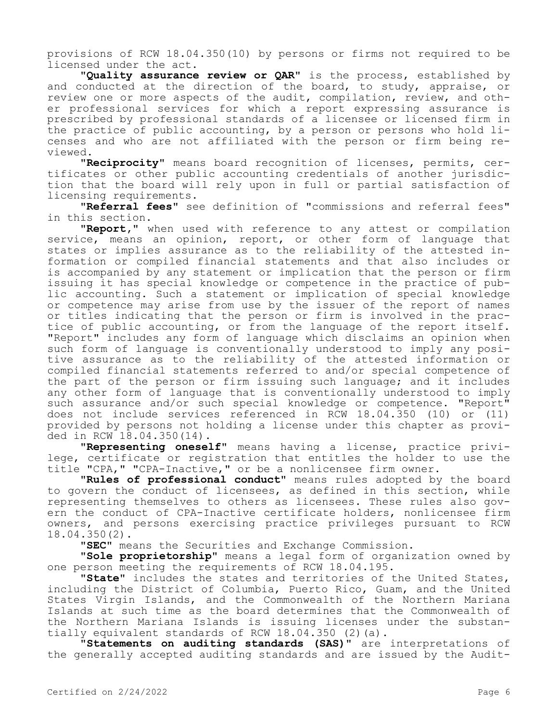provisions of RCW 18.04.350(10) by persons or firms not required to be licensed under the act.

**"Quality assurance review or QAR"** is the process, established by and conducted at the direction of the board, to study, appraise, or review one or more aspects of the audit, compilation, review, and other professional services for which a report expressing assurance is prescribed by professional standards of a licensee or licensed firm in the practice of public accounting, by a person or persons who hold licenses and who are not affiliated with the person or firm being reviewed.

**"Reciprocity"** means board recognition of licenses, permits, certificates or other public accounting credentials of another jurisdiction that the board will rely upon in full or partial satisfaction of licensing requirements.

**"Referral fees"** see definition of "commissions and referral fees" in this section.

**"Report,"** when used with reference to any attest or compilation service, means an opinion, report, or other form of language that states or implies assurance as to the reliability of the attested information or compiled financial statements and that also includes or is accompanied by any statement or implication that the person or firm issuing it has special knowledge or competence in the practice of public accounting. Such a statement or implication of special knowledge or competence may arise from use by the issuer of the report of names or titles indicating that the person or firm is involved in the practice of public accounting, or from the language of the report itself. "Report" includes any form of language which disclaims an opinion when such form of language is conventionally understood to imply any positive assurance as to the reliability of the attested information or compiled financial statements referred to and/or special competence of the part of the person or firm issuing such language; and it includes any other form of language that is conventionally understood to imply such assurance and/or such special knowledge or competence. "Report" does not include services referenced in RCW 18.04.350 (10) or (11) provided by persons not holding a license under this chapter as provided in RCW 18.04.350(14).

**"Representing oneself"** means having a license, practice privilege, certificate or registration that entitles the holder to use the title "CPA," "CPA-Inactive," or be a nonlicensee firm owner.

**"Rules of professional conduct"** means rules adopted by the board to govern the conduct of licensees, as defined in this section, while representing themselves to others as licensees. These rules also govern the conduct of CPA-Inactive certificate holders, nonlicensee firm owners, and persons exercising practice privileges pursuant to RCW 18.04.350(2).

**"SEC"** means the Securities and Exchange Commission.

**"Sole proprietorship"** means a legal form of organization owned by one person meeting the requirements of RCW 18.04.195.

**"State"** includes the states and territories of the United States, including the District of Columbia, Puerto Rico, Guam, and the United States Virgin Islands, and the Commonwealth of the Northern Mariana Islands at such time as the board determines that the Commonwealth of the Northern Mariana Islands is issuing licenses under the substantially equivalent standards of RCW 18.04.350 (2)(a).

**"Statements on auditing standards (SAS)"** are interpretations of the generally accepted auditing standards and are issued by the Audit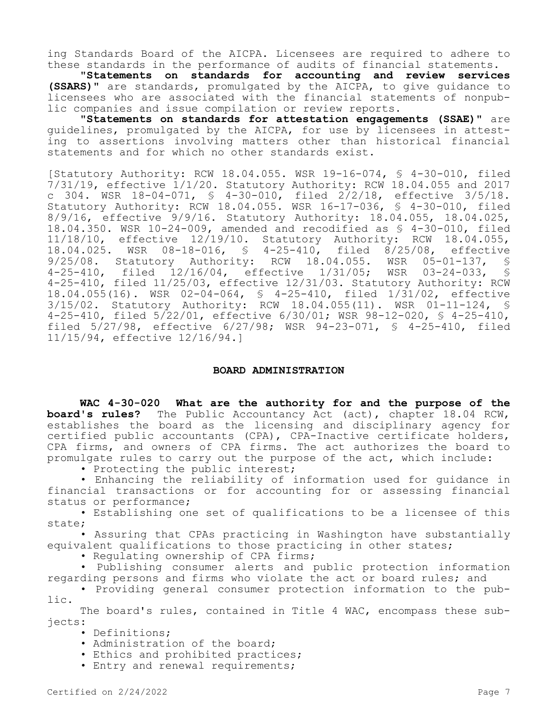ing Standards Board of the AICPA. Licensees are required to adhere to these standards in the performance of audits of financial statements.

**"Statements on standards for accounting and review services (SSARS)"** are standards, promulgated by the AICPA, to give guidance to licensees who are associated with the financial statements of nonpublic companies and issue compilation or review reports.

**"Statements on standards for attestation engagements (SSAE)"** are guidelines, promulgated by the AICPA, for use by licensees in attesting to assertions involving matters other than historical financial statements and for which no other standards exist.

[Statutory Authority: RCW 18.04.055. WSR 19-16-074, § 4-30-010, filed 7/31/19, effective 1/1/20. Statutory Authority: RCW 18.04.055 and 2017 c 304. WSR 18-04-071, § 4-30-010, filed 2/2/18, effective 3/5/18. Statutory Authority: RCW 18.04.055. WSR 16-17-036, § 4-30-010, filed 8/9/16, effective 9/9/16. Statutory Authority: 18.04.055, 18.04.025, 18.04.350. WSR 10-24-009, amended and recodified as § 4-30-010, filed 11/18/10, effective 12/19/10. Statutory Authority: RCW 18.04.055, 18.04.025. WSR 08-18-016, § 4-25-410, filed 8/25/08, effective 9/25/08. Statutory Authority: RCW 18.04.055. WSR 05-01-137,<br>4-25-410, filed 12/16/04, effective 1/31/05; WSR 03-24-033, 4-25-410, filed 12/16/04, effective 1/31/05; WSR 03-24-033, § 4-25-410, filed 11/25/03, effective 12/31/03. Statutory Authority: RCW 18.04.055(16). WSR 02-04-064, § 4-25-410, filed 1/31/02, effective 3/15/02. Statutory Authority: RCW 18.04.055(11). WSR 01-11-124, § 4-25-410, filed 5/22/01, effective 6/30/01; WSR 98-12-020, § 4-25-410, filed 5/27/98, effective 6/27/98; WSR 94-23-071, § 4-25-410, filed 11/15/94, effective 12/16/94.]

#### **BOARD ADMINISTRATION**

**WAC 4-30-020 What are the authority for and the purpose of the board's rules?** The Public Accountancy Act (act), chapter 18.04 RCW, establishes the board as the licensing and disciplinary agency for certified public accountants (CPA), CPA-Inactive certificate holders, CPA firms, and owners of CPA firms. The act authorizes the board to promulgate rules to carry out the purpose of the act, which include:

• Protecting the public interest;

• Enhancing the reliability of information used for guidance in financial transactions or for accounting for or assessing financial status or performance;

• Establishing one set of qualifications to be a licensee of this state;

• Assuring that CPAs practicing in Washington have substantially equivalent qualifications to those practicing in other states;

• Regulating ownership of CPA firms;

• Publishing consumer alerts and public protection information regarding persons and firms who violate the act or board rules; and

• Providing general consumer protection information to the public.

The board's rules, contained in Title 4 WAC, encompass these subjects:

- Definitions;
- Administration of the board;
- Ethics and prohibited practices;
- Entry and renewal requirements;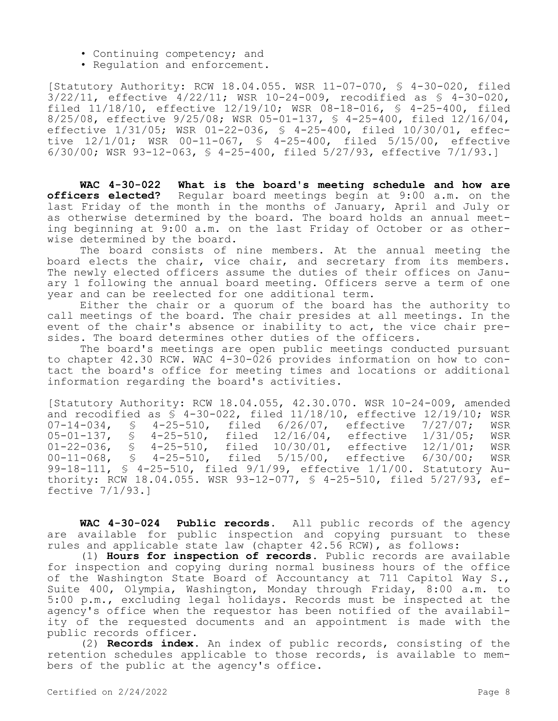- Continuing competency; and
- Regulation and enforcement.

[Statutory Authority: RCW 18.04.055. WSR 11-07-070, § 4-30-020, filed  $3/22/11$ , effective  $4/22/11$ ; WSR  $10-24-009$ , recodified as  $$4-30-020$ , filed 11/18/10, effective 12/19/10; WSR 08-18-016, § 4-25-400, filed 8/25/08, effective 9/25/08; WSR 05-01-137, § 4-25-400, filed 12/16/04, effective 1/31/05; WSR 01-22-036, § 4-25-400, filed 10/30/01, effective 12/1/01; WSR 00-11-067, § 4-25-400, filed 5/15/00, effective 6/30/00; WSR 93-12-063, § 4-25-400, filed 5/27/93, effective 7/1/93.]

**WAC 4-30-022 What is the board's meeting schedule and how are officers elected?** Regular board meetings begin at 9:00 a.m. on the last Friday of the month in the months of January, April and July or as otherwise determined by the board. The board holds an annual meeting beginning at 9:00 a.m. on the last Friday of October or as otherwise determined by the board.

The board consists of nine members. At the annual meeting the board elects the chair, vice chair, and secretary from its members. The newly elected officers assume the duties of their offices on January 1 following the annual board meeting. Officers serve a term of one year and can be reelected for one additional term.

Either the chair or a quorum of the board has the authority to call meetings of the board. The chair presides at all meetings. In the event of the chair's absence or inability to act, the vice chair presides. The board determines other duties of the officers.

The board's meetings are open public meetings conducted pursuant to chapter 42.30 RCW. WAC 4-30-026 provides information on how to contact the board's office for meeting times and locations or additional information regarding the board's activities.

[Statutory Authority: RCW 18.04.055, 42.30.070. WSR 10-24-009, amended and recodified as  $\bar{S}$  4-30-022, filed 11/18/10, effective 12/19/10; WSR<br>07-14-034. § 4-25-510. filed 6/26/07. effective 7/27/07: WSR 07-14-034, § 4-25-510, filed 6/26/07, effective 7/27/07; WSR<br>05-01-137, § 4-25-510, filed 12/16/04, effective 1/31/05; WSR 05-01-137, § 4-25-510, filed<br>01-22-036, § 4-25-510, filed 10/30/01, effective 12/1/01; WSR<br>5/15/00, effective 6/30/00; WSR 00-11-068, § 4-25-510, filed 5/15/00, effective 6/30/00; WSR 99-18-111, § 4-25-510, filed 9/1/99, effective 1/1/00. Statutory Authority: RCW 18.04.055. WSR 93-12-077, § 4-25-510, filed 5/27/93, effective 7/1/93.]

**WAC 4-30-024 Public records.** All public records of the agency are available for public inspection and copying pursuant to these rules and applicable state law (chapter 42.56 RCW), as follows:

(1) **Hours for inspection of records.** Public records are available for inspection and copying during normal business hours of the office of the Washington State Board of Accountancy at 711 Capitol Way S., Suite 400, Olympia, Washington, Monday through Friday, 8:00 a.m. to 5:00 p.m., excluding legal holidays. Records must be inspected at the agency's office when the requestor has been notified of the availability of the requested documents and an appointment is made with the public records officer.

(2) **Records index.** An index of public records, consisting of the retention schedules applicable to those records, is available to members of the public at the agency's office.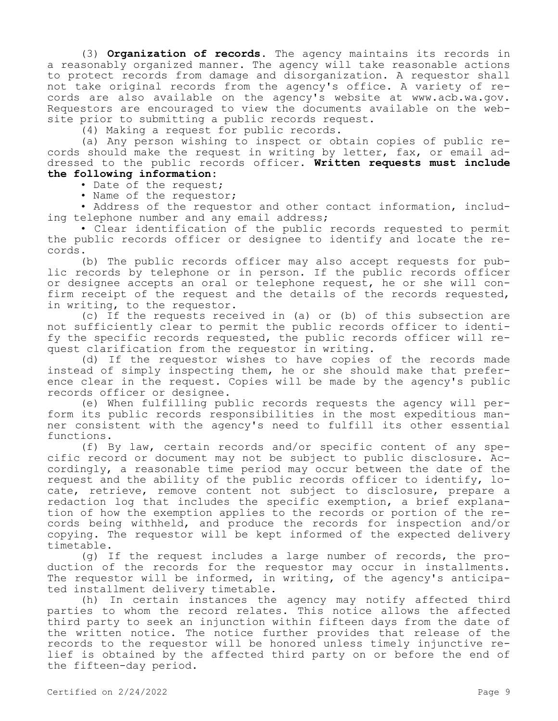(3) **Organization of records.** The agency maintains its records in a reasonably organized manner. The agency will take reasonable actions to protect records from damage and disorganization. A requestor shall not take original records from the agency's office. A variety of records are also available on the agency's website at www.acb.wa.gov. Requestors are encouraged to view the documents available on the website prior to submitting a public records request.

(4) Making a request for public records.

(a) Any person wishing to inspect or obtain copies of public records should make the request in writing by letter, fax, or email addressed to the public records officer. **Written requests must include the following information:**

#### • Date of the request;

• Name of the requestor;

• Address of the requestor and other contact information, including telephone number and any email address;

• Clear identification of the public records requested to permit the public records officer or designee to identify and locate the records.

(b) The public records officer may also accept requests for public records by telephone or in person. If the public records officer or designee accepts an oral or telephone request, he or she will confirm receipt of the request and the details of the records requested, in writing, to the requestor.

(c) If the requests received in (a) or (b) of this subsection are not sufficiently clear to permit the public records officer to identify the specific records requested, the public records officer will request clarification from the requestor in writing.

(d) If the requestor wishes to have copies of the records made instead of simply inspecting them, he or she should make that preference clear in the request. Copies will be made by the agency's public records officer or designee.

(e) When fulfilling public records requests the agency will perform its public records responsibilities in the most expeditious manner consistent with the agency's need to fulfill its other essential functions.

(f) By law, certain records and/or specific content of any specific record or document may not be subject to public disclosure. Accordingly, a reasonable time period may occur between the date of the request and the ability of the public records officer to identify, locate, retrieve, remove content not subject to disclosure, prepare a redaction log that includes the specific exemption, a brief explanation of how the exemption applies to the records or portion of the records being withheld, and produce the records for inspection and/or copying. The requestor will be kept informed of the expected delivery timetable.

(g) If the request includes a large number of records, the production of the records for the requestor may occur in installments. The requestor will be informed, in writing, of the agency's anticipated installment delivery timetable.

(h) In certain instances the agency may notify affected third parties to whom the record relates. This notice allows the affected third party to seek an injunction within fifteen days from the date of the written notice. The notice further provides that release of the records to the requestor will be honored unless timely injunctive relief is obtained by the affected third party on or before the end of the fifteen-day period.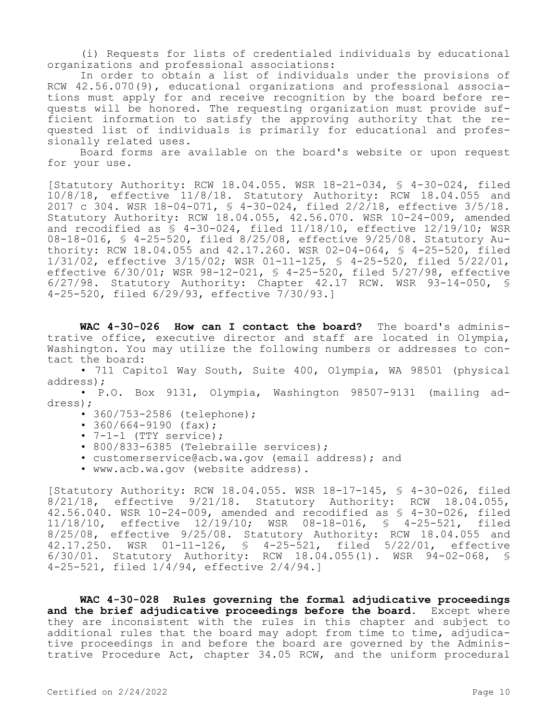(i) Requests for lists of credentialed individuals by educational organizations and professional associations:

In order to obtain a list of individuals under the provisions of RCW 42.56.070(9), educational organizations and professional associations must apply for and receive recognition by the board before requests will be honored. The requesting organization must provide sufficient information to satisfy the approving authority that the requested list of individuals is primarily for educational and professionally related uses.

Board forms are available on the board's website or upon request for your use.

[Statutory Authority: RCW 18.04.055. WSR 18-21-034, § 4-30-024, filed 10/8/18, effective 11/8/18. Statutory Authority: RCW 18.04.055 and 2017 c 304. WSR 18-04-071, § 4-30-024, filed 2/2/18, effective 3/5/18. Statutory Authority: RCW 18.04.055, 42.56.070. WSR 10-24-009, amended and recodified as  $\bar{S}$  4-30-024, filed 11/18/10, effective 12/19/10; WSR 08-18-016, § 4-25-520, filed 8/25/08, effective 9/25/08. Statutory Authority: RCW 18.04.055 and 42.17.260. WSR 02-04-064, § 4-25-520, filed 1/31/02, effective 3/15/02; WSR 01-11-125, § 4-25-520, filed 5/22/01, effective 6/30/01; WSR 98-12-021, § 4-25-520, filed 5/27/98, effective 6/27/98. Statutory Authority: Chapter 42.17 RCW. WSR 93-14-050, § 4-25-520, filed 6/29/93, effective 7/30/93.]

**WAC 4-30-026 How can I contact the board?** The board's administrative office, executive director and staff are located in Olympia, Washington. You may utilize the following numbers or addresses to contact the board:

• 711 Capitol Way South, Suite 400, Olympia, WA 98501 (physical address);

• P.O. Box 9131, Olympia, Washington 98507-9131 (mailing address);

- 360/753-2586 (telephone);
- $360/664 9190$  (fax);
- $\bullet$  7-1-1 (TTY service);
- 800/833-6385 (Telebraille services);
- customerservice@acb.wa.gov (email address); and
- www.acb.wa.gov (website address).

[Statutory Authority: RCW 18.04.055. WSR 18-17-145, § 4-30-026, filed 8/21/18, effective 9/21/18. Statutory Authority: RCW 18.04.055, 42.56.040. WSR 10-24-009, amended and recodified as § 4-30-026, filed 11/18/10, effective 12/19/10; WSR 08-18-016, § 4-25-521, filed 8/25/08, effective 9/25/08. Statutory Authority: RCW 18.04.055 and 42.17.250. WSR 01-11-126, § 4-25-521, filed 5/22/01, effective 6/30/01. Statutory Authority: RCW 18.04.055(1). WSR 94-02-068, § 4-25-521, filed  $1/\frac{4}{94}$ , effective  $2/4/94.1$ 

**WAC 4-30-028 Rules governing the formal adjudicative proceedings and the brief adjudicative proceedings before the board.** Except where they are inconsistent with the rules in this chapter and subject to additional rules that the board may adopt from time to time, adjudicative proceedings in and before the board are governed by the Administrative Procedure Act, chapter 34.05 RCW, and the uniform procedural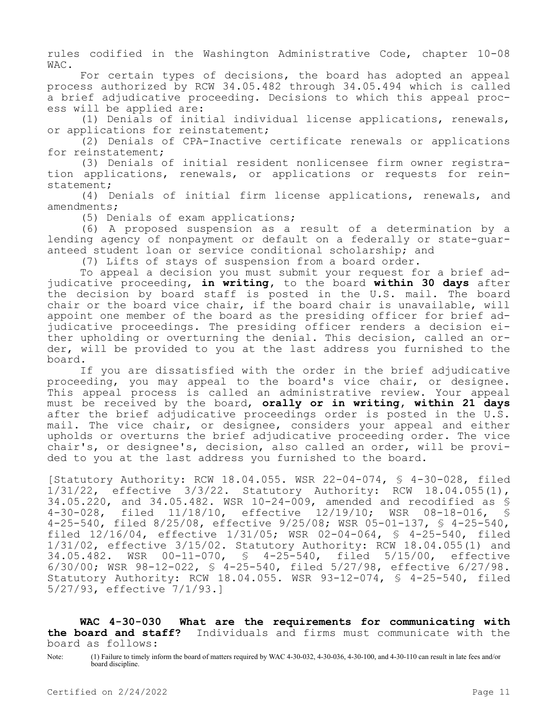rules codified in the Washington Administrative Code, chapter 10-08 WAC.

For certain types of decisions, the board has adopted an appeal process authorized by RCW 34.05.482 through 34.05.494 which is called a brief adjudicative proceeding. Decisions to which this appeal process will be applied are:

(1) Denials of initial individual license applications, renewals, or applications for reinstatement;

(2) Denials of CPA-Inactive certificate renewals or applications for reinstatement;

(3) Denials of initial resident nonlicensee firm owner registration applications, renewals, or applications or requests for reinstatement;

(4) Denials of initial firm license applications, renewals, and amendments;

(5) Denials of exam applications;

(6) A proposed suspension as a result of a determination by a lending agency of nonpayment or default on a federally or state-guaranteed student loan or service conditional scholarship; and

(7) Lifts of stays of suspension from a board order.

To appeal a decision you must submit your request for a brief adjudicative proceeding, **in writing,** to the board **within 30 days** after the decision by board staff is posted in the U.S. mail. The board chair or the board vice chair, if the board chair is unavailable, will appoint one member of the board as the presiding officer for brief adjudicative proceedings. The presiding officer renders a decision either upholding or overturning the denial. This decision, called an order, will be provided to you at the last address you furnished to the board.

If you are dissatisfied with the order in the brief adjudicative proceeding, you may appeal to the board's vice chair, or designee. This appeal process is called an administrative review. Your appeal must be received by the board, **orally or in writing, within 21 days**  after the brief adjudicative proceedings order is posted in the U.S. mail. The vice chair, or designee, considers your appeal and either upholds or overturns the brief adjudicative proceeding order. The vice chair's, or designee's, decision, also called an order, will be provided to you at the last address you furnished to the board.

[Statutory Authority: RCW 18.04.055. WSR 22-04-074, § 4-30-028, filed 1/31/22, effective 3/3/22. Statutory Authority: RCW 18.04.055(1), 34.05.220, and 34.05.482. WSR 10-24-009, amended and recodified as § 4-30-028, filed 11/18/10, effective 12/19/10; WSR 08-18-016, § 4-25-540, filed 8/25/08, effective 9/25/08; WSR 05-01-137, § 4-25-540, filed 12/16/04, effective 1/31/05; WSR 02-04-064, § 4-25-540, filed 1/31/02, effective 3/15/02. Statutory Authority: RCW 18.04.055(1) and 34.05.482. WSR 00-11-070, § 4-25-540, filed 5/15/00, effective 6/30/00; WSR 98-12-022, § 4-25-540, filed 5/27/98, effective 6/27/98. Statutory Authority: RCW 18.04.055. WSR 93-12-074, § 4-25-540, filed 5/27/93, effective 7/1/93.]

**WAC 4-30-030 What are the requirements for communicating with the board and staff?** Individuals and firms must communicate with the board as follows:

Note: (1) Failure to timely inform the board of matters required by WAC 4-30-032, 4-30-036, 4-30-100, and 4-30-110 can result in late fees and/or board discipline.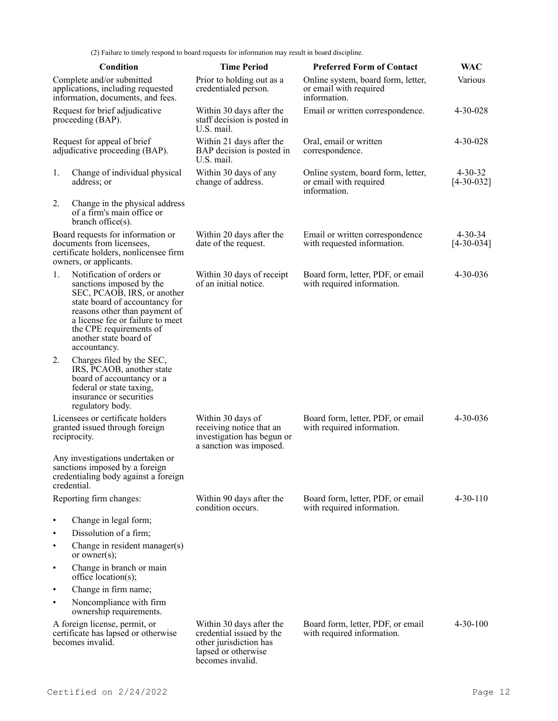(2) Failure to timely respond to board requests for information may result in board discipline.

|                                                                                                     | Condition                                                                                                                                                                                                                                                        | <b>Time Period</b>                                                                                                        | <b>Preferred Form of Contact</b>                                             | <b>WAC</b>                        |
|-----------------------------------------------------------------------------------------------------|------------------------------------------------------------------------------------------------------------------------------------------------------------------------------------------------------------------------------------------------------------------|---------------------------------------------------------------------------------------------------------------------------|------------------------------------------------------------------------------|-----------------------------------|
| Complete and/or submitted<br>applications, including requested<br>information, documents, and fees. |                                                                                                                                                                                                                                                                  | Prior to holding out as a<br>credentialed person.                                                                         | Online system, board form, letter,<br>or email with required<br>information. | Various                           |
| Request for brief adjudicative<br>proceeding (BAP).                                                 |                                                                                                                                                                                                                                                                  | Within 30 days after the<br>staff decision is posted in<br>U.S. mail.                                                     | Email or written correspondence.                                             | 4-30-028                          |
|                                                                                                     | Request for appeal of brief<br>adjudicative proceeding (BAP).                                                                                                                                                                                                    | Within 21 days after the<br>BAP decision is posted in<br>U.S. mail.                                                       | Oral, email or written<br>correspondence.                                    | $4 - 30 - 028$                    |
| 1.                                                                                                  | Change of individual physical<br>address; or                                                                                                                                                                                                                     | Within 30 days of any<br>change of address.                                                                               | Online system, board form, letter,<br>or email with required<br>information. | $4 - 30 - 32$<br>$[4 - 30 - 032]$ |
| 2.                                                                                                  | Change in the physical address<br>of a firm's main office or<br>$branch$ office $(s)$ .                                                                                                                                                                          |                                                                                                                           |                                                                              |                                   |
|                                                                                                     | Board requests for information or<br>documents from licensees,<br>certificate holders, nonlicensee firm<br>owners, or applicants.                                                                                                                                | Within 20 days after the<br>date of the request.                                                                          | Email or written correspondence<br>with requested information.               | $4 - 30 - 34$<br>$[4 - 30 - 034]$ |
| 1.                                                                                                  | Notification of orders or<br>sanctions imposed by the<br>SEC, PCAOB, IRS, or another<br>state board of accountancy for<br>reasons other than payment of<br>a license fee or failure to meet<br>the CPE requirements of<br>another state board of<br>accountancy. | Within 30 days of receipt<br>of an initial notice.                                                                        | Board form, letter, PDF, or email<br>with required information.              | 4-30-036                          |
| 2.                                                                                                  | Charges filed by the SEC,<br>IRS, PCAOB, another state<br>board of accountancy or a<br>federal or state taxing,<br>insurance or securities<br>regulatory body.                                                                                                   |                                                                                                                           |                                                                              |                                   |
|                                                                                                     | Licensees or certificate holders<br>granted issued through foreign<br>reciprocity.                                                                                                                                                                               | Within 30 days of<br>receiving notice that an<br>investigation has begun or<br>a sanction was imposed.                    | Board form, letter, PDF, or email<br>with required information.              | $4 - 30 - 036$                    |
|                                                                                                     | Any investigations undertaken or<br>sanctions imposed by a foreign<br>credentialing body against a foreign<br>credential.                                                                                                                                        |                                                                                                                           |                                                                              |                                   |
| Reporting firm changes:                                                                             |                                                                                                                                                                                                                                                                  | Within 90 days after the<br>condition occurs.                                                                             | Board form, letter, PDF, or email<br>with required information.              | $4 - 30 - 110$                    |
| $\bullet$                                                                                           | Change in legal form;                                                                                                                                                                                                                                            |                                                                                                                           |                                                                              |                                   |
| ٠                                                                                                   | Dissolution of a firm;                                                                                                                                                                                                                                           |                                                                                                                           |                                                                              |                                   |
| $\bullet$                                                                                           | Change in resident manager(s)<br>or owner(s);                                                                                                                                                                                                                    |                                                                                                                           |                                                                              |                                   |
| $\bullet$                                                                                           | Change in branch or main<br>$\text{office location}(s);$                                                                                                                                                                                                         |                                                                                                                           |                                                                              |                                   |
| ٠                                                                                                   | Change in firm name;                                                                                                                                                                                                                                             |                                                                                                                           |                                                                              |                                   |
| $\bullet$                                                                                           | Noncompliance with firm<br>ownership requirements.                                                                                                                                                                                                               |                                                                                                                           |                                                                              |                                   |
|                                                                                                     | A foreign license, permit, or<br>certificate has lapsed or otherwise<br>becomes invalid.                                                                                                                                                                         | Within 30 days after the<br>credential issued by the<br>other jurisdiction has<br>lapsed or otherwise<br>becomes invalid. | Board form, letter, PDF, or email<br>with required information.              | $4 - 30 - 100$                    |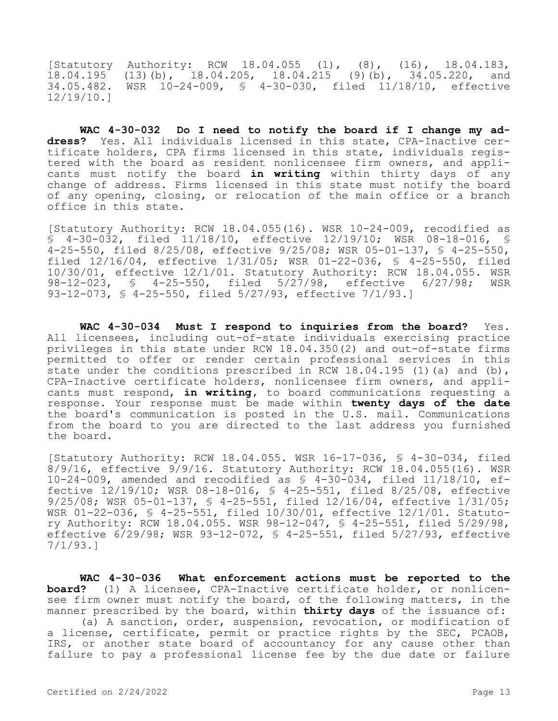[Statutory Authority: RCW 18.04.055 (1), (8), (16), 18.04.183, 18.04.195 (13)(b), 18.04.205, 18.04.215 (9)(b), 34.05.220, and 34.05.482. WSR 10-24-009, § 4-30-030, filed 11/18/10, effective 12/19/10.]

**WAC 4-30-032 Do I need to notify the board if I change my address?** Yes. All individuals licensed in this state, CPA-Inactive certificate holders, CPA firms licensed in this state, individuals registered with the board as resident nonlicensee firm owners, and applicants must notify the board **in writing** within thirty days of any change of address. Firms licensed in this state must notify the board of any opening, closing, or relocation of the main office or a branch office in this state.

[Statutory Authority: RCW 18.04.055(16). WSR 10-24-009, recodified as § 4-30-032, filed 11/18/10, effective 12/19/10; WSR 08-18-016, § 4-25-550, filed 8/25/08, effective 9/25/08; WSR 05-01-137, § 4-25-550, filed 12/16/04, effective 1/31/05; WSR 01-22-036, § 4-25-550, filed 10/30/01, effective 12/1/01. Statutory Authority: RCW 18.04.055. WSR 98-12-023, § 4-25-550, filed 5/27/98, effective 6/27/98; WSR 93-12-073, § 4-25-550, filed 5/27/93, effective 7/1/93.]

WAC 4-30-034 Must I respond to inquiries from the board? Yes. All licensees, including out-of-state individuals exercising practice privileges in this state under RCW 18.04.350(2) and out-of-state firms permitted to offer or render certain professional services in this state under the conditions prescribed in RCW 18.04.195 (1) (a) and (b), CPA-Inactive certificate holders, nonlicensee firm owners, and applicants must respond, **in writing,** to board communications requesting a response. Your response must be made within **twenty days of the date**  the board's communication is posted in the U.S. mail. Communications from the board to you are directed to the last address you furnished the board.

[Statutory Authority: RCW 18.04.055. WSR 16-17-036, § 4-30-034, filed 8/9/16, effective 9/9/16. Statutory Authority: RCW 18.04.055(16). WSR 10-24-009, amended and recodified as § 4-30-034, filed 11/18/10, effective 12/19/10; WSR 08-18-016, § 4-25-551, filed 8/25/08, effective 9/25/08; WSR 05-01-137, § 4-25-551, filed 12/16/04, effective 1/31/05; WSR 01-22-036, § 4-25-551, filed 10/30/01, effective 12/1/01. Statutory Authority: RCW 18.04.055. WSR 98-12-047, § 4-25-551, filed 5/29/98, effective 6/29/98; WSR 93-12-072, § 4-25-551, filed 5/27/93, effective 7/1/93.]

**WAC 4-30-036 What enforcement actions must be reported to the board?** (1) A licensee, CPA-Inactive certificate holder, or nonlicensee firm owner must notify the board, of the following matters, in the manner prescribed by the board, within **thirty days** of the issuance of:

(a) A sanction, order, suspension, revocation, or modification of a license, certificate, permit or practice rights by the SEC, PCAOB, IRS, or another state board of accountancy for any cause other than failure to pay a professional license fee by the due date or failure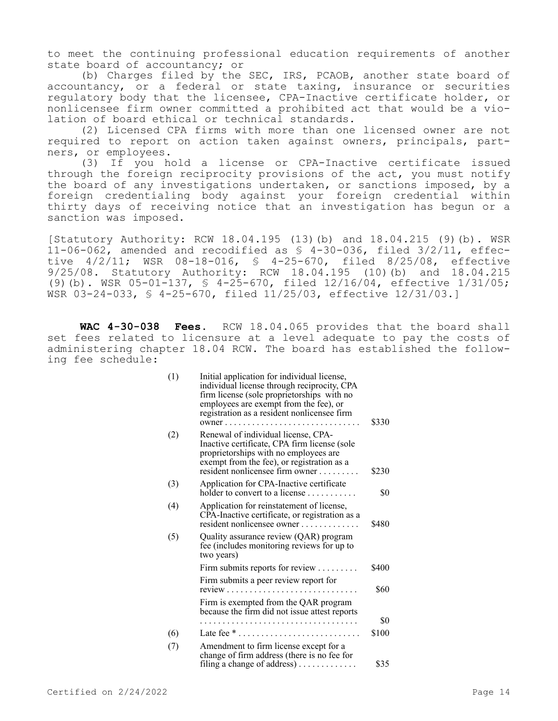to meet the continuing professional education requirements of another state board of accountancy; or

(b) Charges filed by the SEC, IRS, PCAOB, another state board of accountancy, or a federal or state taxing, insurance or securities regulatory body that the licensee, CPA-Inactive certificate holder, or nonlicensee firm owner committed a prohibited act that would be a violation of board ethical or technical standards.

(2) Licensed CPA firms with more than one licensed owner are not required to report on action taken against owners, principals, partners, or employees.

(3) If you hold a license or CPA-Inactive certificate issued through the foreign reciprocity provisions of the act, you must notify the board of any investigations undertaken, or sanctions imposed, by a foreign credentialing body against your foreign credential within thirty days of receiving notice that an investigation has begun or a sanction was imposed.

[Statutory Authority: RCW 18.04.195 (13)(b) and 18.04.215 (9)(b). WSR 11-06-062, amended and recodified as § 4-30-036, filed 3/2/11, effective 4/2/11; WSR 08-18-016, § 4-25-670, filed 8/25/08, effective 9/25/08. Statutory Authority: RCW 18.04.195 (10)(b) and 18.04.215 (9)(b). WSR  $05-01-137$ , §  $4-25-670$ , filed  $12/16/04$ , effective  $1/31/05$ ; WSR 03-24-033, § 4-25-670, filed 11/25/03, effective 12/31/03.]

**WAC 4-30-038 Fees.** RCW 18.04.065 provides that the board shall set fees related to licensure at a level adequate to pay the costs of administering chapter 18.04 RCW. The board has established the following fee schedule:

| (1) | Initial application for individual license,<br>individual license through reciprocity, CPA<br>firm license (sole proprietorships with no<br>employees are exempt from the fee), or<br>registration as a resident nonlicensee firm<br>$owner \ldots$ | \$330 |
|-----|-----------------------------------------------------------------------------------------------------------------------------------------------------------------------------------------------------------------------------------------------------|-------|
| (2) | Renewal of individual license, CPA-<br>Inactive certificate, CPA firm license (sole<br>proprietorships with no employees are<br>exempt from the fee), or registration as a<br>resident nonlicensee firm owner                                       | \$230 |
| (3) | Application for CPA-Inactive certificate<br>holder to convert to a license $\dots\dots\dots$                                                                                                                                                        | \$0   |
| (4) | Application for reinstatement of license,<br>CPA-Inactive certificate, or registration as a<br>resident nonlicensee owner                                                                                                                           | \$480 |
| (5) | Quality assurance review (QAR) program<br>fee (includes monitoring reviews for up to<br>two years)                                                                                                                                                  |       |
|     | Firm submits reports for review $\dots\dots\dots$                                                                                                                                                                                                   | \$400 |
|     | Firm submits a peer review report for                                                                                                                                                                                                               | \$60  |
|     | Firm is exempted from the QAR program<br>because the firm did not issue attest reports                                                                                                                                                              |       |
|     | .                                                                                                                                                                                                                                                   | \$0   |
| (6) | Late fee $* \dots \dots \dots \dots \dots \dots \dots \dots \dots$                                                                                                                                                                                  | \$100 |
| (7) | Amendment to firm license except for a<br>change of firm address (there is no fee for<br>filing a change of address)                                                                                                                                | \$35  |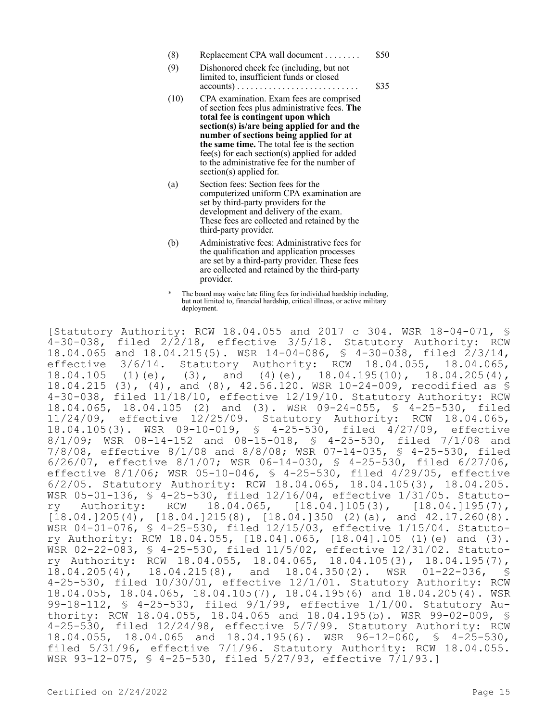| (8)  | Replacement CPA wall document                                                                                                                                   | \$50 |
|------|-----------------------------------------------------------------------------------------------------------------------------------------------------------------|------|
| (9)  | Dishonored check fee (including, but not<br>limited to, insufficient funds or closed<br>$accounts) \dots \dots \dots \dots \dots \dots \dots \dots \dots \dots$ | \$35 |
| (10) | CDA examination Exam fees are comprised                                                                                                                         |      |

- (10) CPA examination. Exam fees are comprised of section fees plus administrative fees. **The total fee is contingent upon which section(s) is/are being applied for and the number of sections being applied for at the same time.** The total fee is the section fee(s) for each section(s) applied for added to the administrative fee for the number of section(s) applied for.
- (a) Section fees: Section fees for the computerized uniform CPA examination are set by third-party providers for the development and delivery of the exam. These fees are collected and retained by the third-party provider.
- (b) Administrative fees: Administrative fees for the qualification and application processes are set by a third-party provider. These fees are collected and retained by the third-party provider.
- \* The board may waive late filing fees for individual hardship including, but not limited to, financial hardship, critical illness, or active military deployment.

[Statutory Authority: RCW 18.04.055 and 2017 c 304. WSR 18-04-071, § 4-30-038, filed 2/2/18, effective 3/5/18. Statutory Authority: RCW 18.04.065 and 18.04.215(5). WSR 14-04-086, § 4-30-038, filed 2/3/14, effective 3/6/14. Statutory Authority: RCW 18.04.055, 18.04.065,<br>18.04.105 (1)(e), (3), and (4)(e), 18.04.195(10), 18.04.205(4), 18.04.105 (1)(e), (3), and (4)(e), 18.04.195(10), 18.04.205(4), 18.04.215 (3), (4), and (8), 42.56.120. WSR 10-24-009, recodified as § 4-30-038, filed 11/18/10, effective 12/19/10. Statutory Authority: RCW 18.04.065, 18.04.105 (2) and (3). WSR 09-24-055, § 4-25-530, filed ective 12/25/09. Statutory Authority: RCW 18.04.065,<br>WSR 09-10-019, § 4-25-530, filed 4/27/09, effective 18.04.105(3). WSR 09-10-019, § 4-25-530, filed 4/27/09, effective 8/1/09; WSR 08-14-152 and 08-15-018, § 4-25-530, filed 7/1/08 and 7/8/08, effective 8/1/08 and 8/8/08; WSR 07-14-035, § 4-25-530, filed 6/26/07, effective 8/1/07; WSR 06-14-030, § 4-25-530, filed 6/27/06, effective 8/1/06; WSR 05-10-046, § 4-25-530, filed 4/29/05, effective 6/2/05. Statutory Authority: RCW 18.04.065, 18.04.105(3), 18.04.205. WSR 05-01-136, \$ 4-25-530, filed 12/16/04, effective 1/31/05. Statuto-<br>ry Authority: RCW 18.04.065, [18.04.]105(3), [18.04.]195(7), ry Authority: RCW 18.04.065, [18.04.]105(3), [18.04.]195(7),  $[18.04.]205(4)$ ,  $[18.04.]215(8)$ ,  $[18.04.]350(2)(a)$ , and  $42.17.260(8)$ . WSR 04-01-076, § 4-25-530, filed 12/15/03, effective 1/15/04. Statutory Authority: RCW 18.04.055, [18.04].065, [18.04].105 (1)(e) and (3). WSR 02-22-083, § 4-25-530, filed 11/5/02, effective 12/31/02. Statutory Authority: RCW 18.04.055, 18.04.065, 18.04.105(3), 18.04.195(7), 18.04.205(4), 18.04.215(8), and 18.04.350(2). WSR 01-22-036, \$ 18.04.205(4), 18.04.215(8), and 18.04.350(2). WSR 01-22-036, § 4-25-530, filed 10/30/01, effective 12/1/01. Statutory Authority: RCW 18.04.055, 18.04.065, 18.04.105(7), 18.04.195(6) and 18.04.205(4). WSR 99-18-112, § 4-25-530, filed 9/1/99, effective 1/1/00. Statutory Authority: RCW 18.04.055, 18.04.065 and 18.04.195(b). WSR 99-02-009, § 4-25-530, filed 12/24/98, effective 5/7/99. Statutory Authority: RCW<br>18.04.055, 18.04.065 and 18.04.195(6). WSR 96-12-060, § 4-25-530, 18.04.055, 18.04.065 and 18.04.195(6). WSR filed 5/31/96, effective 7/1/96. Statutory Authority: RCW 18.04.055. WSR 93-12-075, § 4-25-530, filed 5/27/93, effective 7/1/93.]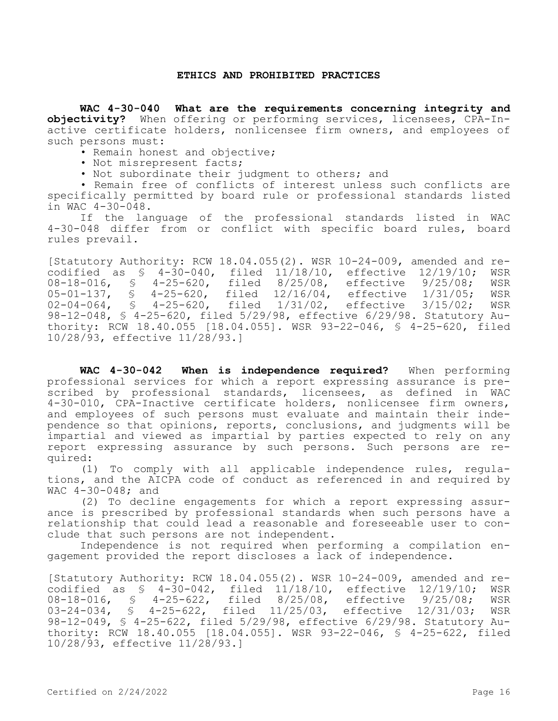#### **ETHICS AND PROHIBITED PRACTICES**

**WAC 4-30-040 What are the requirements concerning integrity and objectivity?** When offering or performing services, licensees, CPA-Inactive certificate holders, nonlicensee firm owners, and employees of such persons must:

• Remain honest and objective;

- Not misrepresent facts;
- Not subordinate their judgment to others; and

• Remain free of conflicts of interest unless such conflicts are specifically permitted by board rule or professional standards listed in WAC 4-30-048.

If the language of the professional standards listed in WAC 4-30-048 differ from or conflict with specific board rules, board rules prevail.

[Statutory Authority: RCW 18.04.055(2). WSR 10-24-009, amended and recodified as § 4-30-040, filed 11/18/10, effective 12/19/10; WSR 08-18-016, § 4-25-620, filed 8/25/08, effective 9/25/08; WSR 05-01-137, § 4-25-620, filed 12/16/04, effective 1/31/05; WSR<br>02-04-064, § 4-25-620, filed 1/31/02, effective 3/15/02; WSR 02-04-064, § 4-25-620, filed 1/31/02, effective 3/15/02; 98-12-048, § 4-25-620, filed 5/29/98, effective 6/29/98. Statutory Authority: RCW 18.40.055 [18.04.055]. WSR 93-22-046, § 4-25-620, filed 10/28/93, effective 11/28/93.]

WAC 4-30-042 When is independence required? When performing professional services for which a report expressing assurance is prescribed by professional standards, licensees, as defined in WAC 4-30-010, CPA-Inactive certificate holders, nonlicensee firm owners, and employees of such persons must evaluate and maintain their independence so that opinions, reports, conclusions, and judgments will be impartial and viewed as impartial by parties expected to rely on any report expressing assurance by such persons. Such persons are required:

(1) To comply with all applicable independence rules, regulations, and the AICPA code of conduct as referenced in and required by WAC 4-30-048; and

(2) To decline engagements for which a report expressing assurance is prescribed by professional standards when such persons have a relationship that could lead a reasonable and foreseeable user to conclude that such persons are not independent.

Independence is not required when performing a compilation engagement provided the report discloses a lack of independence.

[Statutory Authority: RCW 18.04.055(2). WSR 10-24-009, amended and recodified as \$ 4-30-042, filed 11/18/10, effective 12/19/10; WSR<br>08-18-016, \$ 4-25-622, filed 8/25/08, effective 9/25/08; WSR 08-18-016, § 4-25-622, filed 8/25/08, effective 9/25/08; WSR 03-24-034, § 4-25-622, filed 11/25/03, effective 12/31/03; WSR 98-12-049, § 4-25-622, filed 5/29/98, effective 6/29/98. Statutory Authority: RCW 18.40.055 [18.04.055]. WSR 93-22-046, § 4-25-622, filed 10/28/93, effective 11/28/93.]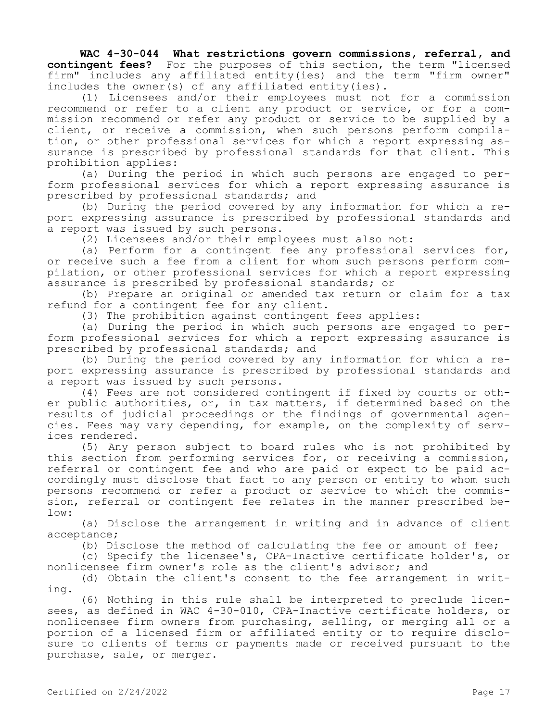**WAC 4-30-044 What restrictions govern commissions, referral, and contingent fees?** For the purposes of this section, the term "licensed firm" includes any affiliated entity(ies) and the term "firm owner" includes the owner(s) of any affiliated entity(ies).

(1) Licensees and/or their employees must not for a commission recommend or refer to a client any product or service, or for a commission recommend or refer any product or service to be supplied by a client, or receive a commission, when such persons perform compilation, or other professional services for which a report expressing assurance is prescribed by professional standards for that client. This prohibition applies:

(a) During the period in which such persons are engaged to perform professional services for which a report expressing assurance is prescribed by professional standards; and

(b) During the period covered by any information for which a report expressing assurance is prescribed by professional standards and a report was issued by such persons.

(2) Licensees and/or their employees must also not:

(a) Perform for a contingent fee any professional services for, or receive such a fee from a client for whom such persons perform compilation, or other professional services for which a report expressing assurance is prescribed by professional standards; or

(b) Prepare an original or amended tax return or claim for a tax refund for a contingent fee for any client.

(3) The prohibition against contingent fees applies:

(a) During the period in which such persons are engaged to perform professional services for which a report expressing assurance is prescribed by professional standards; and

(b) During the period covered by any information for which a report expressing assurance is prescribed by professional standards and a report was issued by such persons.

(4) Fees are not considered contingent if fixed by courts or other public authorities, or, in tax matters, if determined based on the results of judicial proceedings or the findings of governmental agencies. Fees may vary depending, for example, on the complexity of services rendered.

(5) Any person subject to board rules who is not prohibited by this section from performing services for, or receiving a commission, referral or contingent fee and who are paid or expect to be paid accordingly must disclose that fact to any person or entity to whom such persons recommend or refer a product or service to which the commission, referral or contingent fee relates in the manner prescribed below:

(a) Disclose the arrangement in writing and in advance of client acceptance;

(b) Disclose the method of calculating the fee or amount of fee;

(c) Specify the licensee's, CPA-Inactive certificate holder's, or nonlicensee firm owner's role as the client's advisor; and

(d) Obtain the client's consent to the fee arrangement in writing.

(6) Nothing in this rule shall be interpreted to preclude licensees, as defined in WAC 4-30-010, CPA-Inactive certificate holders, or nonlicensee firm owners from purchasing, selling, or merging all or a portion of a licensed firm or affiliated entity or to require disclosure to clients of terms or payments made or received pursuant to the purchase, sale, or merger.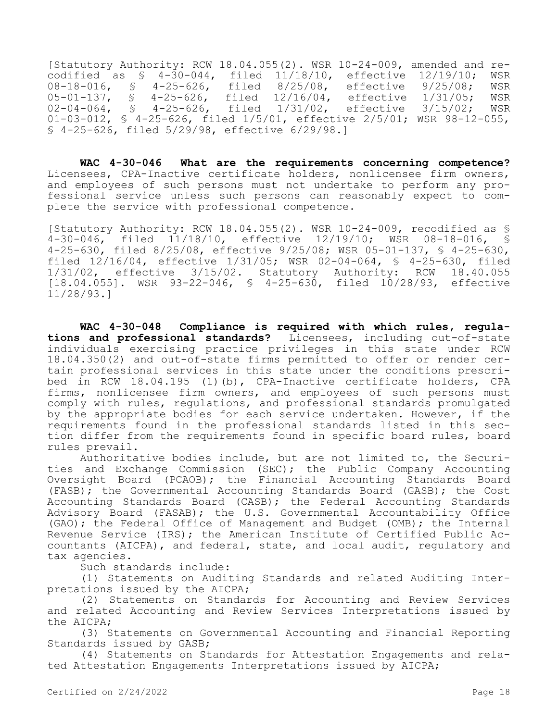[Statutory Authority: RCW 18.04.055(2). WSR 10-24-009, amended and recodified as  $\frac{1}{20-044}$ , filed  $\frac{11}{18/10}$ , effective  $\frac{12}{19/10}$ ; WSR 08-18-016,  $\frac{1}{9}$  4-25-626, filed 8/25/08, effective 9/25/08; WSR 08-18-016, § 4-25-626, filed 8/25/08, effective 9/25/08; WSR<br>05-01-137, § 4-25-626, filed 12/16/04, effective 1/31/05; WSR 05-01-137, § 4-25-626, filed 12/16/04, effective 1/31/05; WSR 02-04-064, § 4-25-626, filed 1/31/02, effective 3/15/02; WSR 01-03-012, § 4-25-626, filed 1/5/01, effective 2/5/01; WSR 98-12-055, § 4-25-626, filed 5/29/98, effective 6/29/98.]

**WAC 4-30-046 What are the requirements concerning competence?**  Licensees, CPA-Inactive certificate holders, nonlicensee firm owners, and employees of such persons must not undertake to perform any professional service unless such persons can reasonably expect to complete the service with professional competence.

[Statutory Authority: RCW 18.04.055(2). WSR 10-24-009, recodified as \$<br>4-30-046, filed 11/18/10, effective 12/19/10; WSR 08-18-016, \$ 4-30-046, filed 11/18/10, effective 12/19/10; WSR 08-18-016, 4-25-630, filed 8/25/08, effective 9/25/08; WSR 05-01-137, § 4-25-630, filed 12/16/04, effective 1/31/05; WSR 02-04-064, § 4-25-630, filed 1/31/02, effective 3/15/02. Statutory Authority: RCW 18.40.055  $[18.04.055]$ . WSR 93-22-046, § 4-25-630, filed  $10/28/93$ , effective 11/28/93.]

**WAC 4-30-048 Compliance is required with which rules, regulations and professional standards?** Licensees, including out-of-state individuals exercising practice privileges in this state under RCW 18.04.350(2) and out-of-state firms permitted to offer or render certain professional services in this state under the conditions prescribed in RCW 18.04.195 (1)(b), CPA-Inactive certificate holders, CPA firms, nonlicensee firm owners, and employees of such persons must comply with rules, regulations, and professional standards promulgated by the appropriate bodies for each service undertaken. However, if the requirements found in the professional standards listed in this section differ from the requirements found in specific board rules, board rules prevail.

Authoritative bodies include, but are not limited to, the Securities and Exchange Commission (SEC); the Public Company Accounting Oversight Board (PCAOB); the Financial Accounting Standards Board (FASB); the Governmental Accounting Standards Board (GASB); the Cost Accounting Standards Board (CASB); the Federal Accounting Standards Advisory Board (FASAB); the U.S. Governmental Accountability Office (GAO); the Federal Office of Management and Budget (OMB); the Internal Revenue Service (IRS); the American Institute of Certified Public Accountants (AICPA), and federal, state, and local audit, regulatory and tax agencies.

Such standards include:

(1) Statements on Auditing Standards and related Auditing Interpretations issued by the AICPA;

(2) Statements on Standards for Accounting and Review Services and related Accounting and Review Services Interpretations issued by the AICPA;

(3) Statements on Governmental Accounting and Financial Reporting Standards issued by GASB;

(4) Statements on Standards for Attestation Engagements and related Attestation Engagements Interpretations issued by AICPA;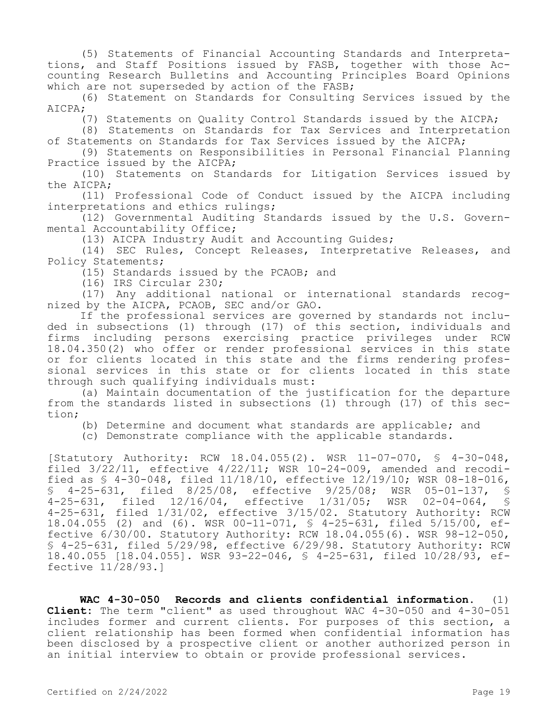(5) Statements of Financial Accounting Standards and Interpretations, and Staff Positions issued by FASB, together with those Accounting Research Bulletins and Accounting Principles Board Opinions which are not superseded by action of the FASB;

(6) Statement on Standards for Consulting Services issued by the AICPA;

(7) Statements on Quality Control Standards issued by the AICPA;

(8) Statements on Standards for Tax Services and Interpretation of Statements on Standards for Tax Services issued by the AICPA;

(9) Statements on Responsibilities in Personal Financial Planning Practice issued by the AICPA;

(10) Statements on Standards for Litigation Services issued by the AICPA;

(11) Professional Code of Conduct issued by the AICPA including interpretations and ethics rulings;

(12) Governmental Auditing Standards issued by the U.S. Governmental Accountability Office;

(13) AICPA Industry Audit and Accounting Guides;

(14) SEC Rules, Concept Releases, Interpretative Releases, and Policy Statements;

(15) Standards issued by the PCAOB; and

(16) IRS Circular 230;

(17) Any additional national or international standards recognized by the AICPA, PCAOB, SEC and/or GAO.

If the professional services are governed by standards not included in subsections (1) through (17) of this section, individuals and firms including persons exercising practice privileges under RCW 18.04.350(2) who offer or render professional services in this state or for clients located in this state and the firms rendering professional services in this state or for clients located in this state through such qualifying individuals must:

(a) Maintain documentation of the justification for the departure from the standards listed in subsections (1) through (17) of this section;

(b) Determine and document what standards are applicable; and

(c) Demonstrate compliance with the applicable standards.

[Statutory Authority: RCW 18.04.055(2). WSR 11-07-070, § 4-30-048, filed 3/22/11, effective 4/22/11; WSR 10-24-009, amended and recodified as § 4-30-048, filed 11/18/10, effective 12/19/10; WSR 08-18-016, § 4-25-631, filed 8/25/08, effective 9/25/08; WSR 05-01-137, § 4-25-631, filed 12/16/04, effective 1/31/05; WSR 02-04-064, § 4-25-631, filed 1/31/02, effective 3/15/02. Statutory Authority: RCW 18.04.055 (2) and (6). WSR 00-11-071, § 4-25-631, filed 5/15/00, effective 6/30/00. Statutory Authority: RCW 18.04.055(6). WSR 98-12-050, § 4-25-631, filed 5/29/98, effective 6/29/98. Statutory Authority: RCW 18.40.055 [18.04.055]. WSR 93-22-046, § 4-25-631, filed 10/28/93, effective 11/28/93.]

**WAC 4-30-050 Records and clients confidential information.** (1) **Client:** The term "client" as used throughout WAC 4-30-050 and 4-30-051 includes former and current clients. For purposes of this section, a client relationship has been formed when confidential information has been disclosed by a prospective client or another authorized person in an initial interview to obtain or provide professional services.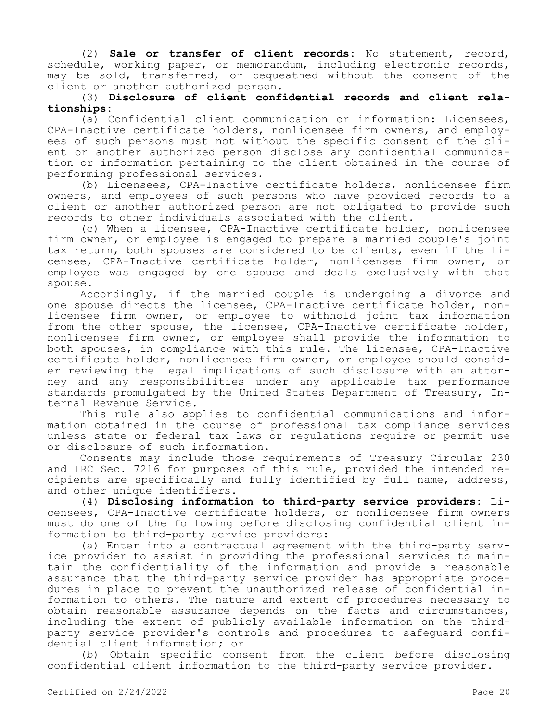(2) **Sale or transfer of client records:** No statement, record, schedule, working paper, or memorandum, including electronic records, may be sold, transferred, or bequeathed without the consent of the client or another authorized person.

# (3) **Disclosure of client confidential records and client relationships:**

(a) Confidential client communication or information: Licensees, CPA-Inactive certificate holders, nonlicensee firm owners, and employees of such persons must not without the specific consent of the client or another authorized person disclose any confidential communication or information pertaining to the client obtained in the course of performing professional services.

(b) Licensees, CPA-Inactive certificate holders, nonlicensee firm owners, and employees of such persons who have provided records to a client or another authorized person are not obligated to provide such records to other individuals associated with the client.

(c) When a licensee, CPA-Inactive certificate holder, nonlicensee firm owner, or employee is engaged to prepare a married couple's joint tax return, both spouses are considered to be clients, even if the licensee, CPA-Inactive certificate holder, nonlicensee firm owner, or employee was engaged by one spouse and deals exclusively with that spouse.

Accordingly, if the married couple is undergoing a divorce and one spouse directs the licensee, CPA-Inactive certificate holder, nonlicensee firm owner, or employee to withhold joint tax information from the other spouse, the licensee, CPA-Inactive certificate holder, nonlicensee firm owner, or employee shall provide the information to both spouses, in compliance with this rule. The licensee, CPA-Inactive certificate holder, nonlicensee firm owner, or employee should consider reviewing the legal implications of such disclosure with an attorney and any responsibilities under any applicable tax performance standards promulgated by the United States Department of Treasury, Internal Revenue Service.

This rule also applies to confidential communications and information obtained in the course of professional tax compliance services unless state or federal tax laws or regulations require or permit use or disclosure of such information.

Consents may include those requirements of Treasury Circular 230 and IRC Sec. 7216 for purposes of this rule, provided the intended recipients are specifically and fully identified by full name, address, and other unique identifiers.

(4) **Disclosing information to third-party service providers:** Licensees, CPA-Inactive certificate holders, or nonlicensee firm owners must do one of the following before disclosing confidential client information to third-party service providers:

(a) Enter into a contractual agreement with the third-party service provider to assist in providing the professional services to maintain the confidentiality of the information and provide a reasonable assurance that the third-party service provider has appropriate procedures in place to prevent the unauthorized release of confidential information to others. The nature and extent of procedures necessary to obtain reasonable assurance depends on the facts and circumstances, including the extent of publicly available information on the thirdparty service provider's controls and procedures to safeguard confidential client information; or

(b) Obtain specific consent from the client before disclosing confidential client information to the third-party service provider.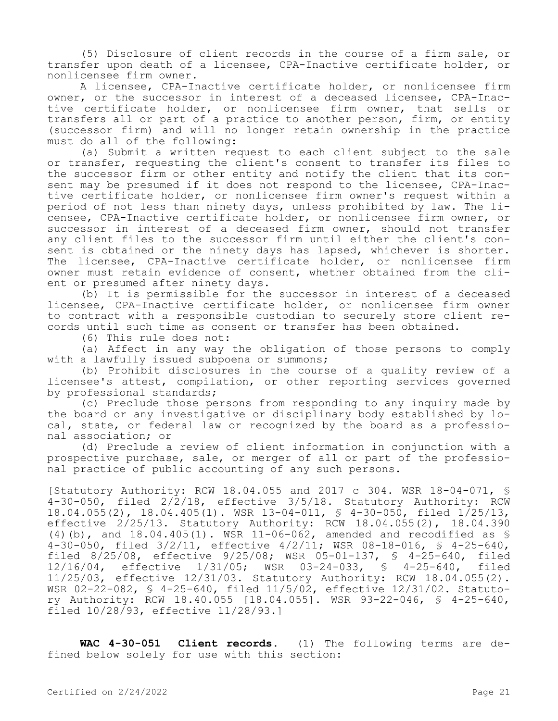(5) Disclosure of client records in the course of a firm sale, or transfer upon death of a licensee, CPA-Inactive certificate holder, or nonlicensee firm owner.

A licensee, CPA-Inactive certificate holder, or nonlicensee firm owner, or the successor in interest of a deceased licensee, CPA-Inactive certificate holder, or nonlicensee firm owner, that sells or transfers all or part of a practice to another person, firm, or entity (successor firm) and will no longer retain ownership in the practice must do all of the following:

(a) Submit a written request to each client subject to the sale or transfer, requesting the client's consent to transfer its files to the successor firm or other entity and notify the client that its consent may be presumed if it does not respond to the licensee, CPA-Inactive certificate holder, or nonlicensee firm owner's request within a period of not less than ninety days, unless prohibited by law. The licensee, CPA-Inactive certificate holder, or nonlicensee firm owner, or successor in interest of a deceased firm owner, should not transfer any client files to the successor firm until either the client's consent is obtained or the ninety days has lapsed, whichever is shorter. The licensee, CPA-Inactive certificate holder, or nonlicensee firm owner must retain evidence of consent, whether obtained from the client or presumed after ninety days.

(b) It is permissible for the successor in interest of a deceased licensee, CPA-Inactive certificate holder, or nonlicensee firm owner to contract with a responsible custodian to securely store client records until such time as consent or transfer has been obtained.

(6) This rule does not:

(a) Affect in any way the obligation of those persons to comply with a lawfully issued subpoena or summons;

(b) Prohibit disclosures in the course of a quality review of a licensee's attest, compilation, or other reporting services governed by professional standards;

(c) Preclude those persons from responding to any inquiry made by the board or any investigative or disciplinary body established by local, state, or federal law or recognized by the board as a professional association; or

(d) Preclude a review of client information in conjunction with a prospective purchase, sale, or merger of all or part of the professional practice of public accounting of any such persons.

[Statutory Authority: RCW 18.04.055 and 2017 c 304. WSR 18-04-071, §  $4-30-050$ , filed  $2/\overline{2}/18$ , effective  $3/5/18$ . Statutory Authority: RCW 18.04.055(2), 18.04.405(1). WSR 13-04-011, § 4-30-050, filed 1/25/13, effective 2/25/13. Statutory Authority: RCW 18.04.055(2), 18.04.390 (4)(b), and 18.04.405(1). WSR 11-06-062, amended and recodified as § 4-30-050, filed 3/2/11, effective 4/2/11; WSR 08-18-016, § 4-25-640, filed 8/25/08, effective 9/25/08; WSR 05-01-137, § 4-25-640, filed 12/16/04, effective 1/31/05; WSR 03-24-033, § 4-25-640, filed 11/25/03, effective 12/31/03. Statutory Authority: RCW 18.04.055(2). WSR 02-22-082, § 4-25-640, filed 11/5/02, effective 12/31/02. Statutory Authority: RCW 18.40.055 [18.04.055]. WSR 93-22-046, § 4-25-640, filed 10/28/93, effective 11/28/93.]

**WAC 4-30-051 Client records.** (1) The following terms are defined below solely for use with this section: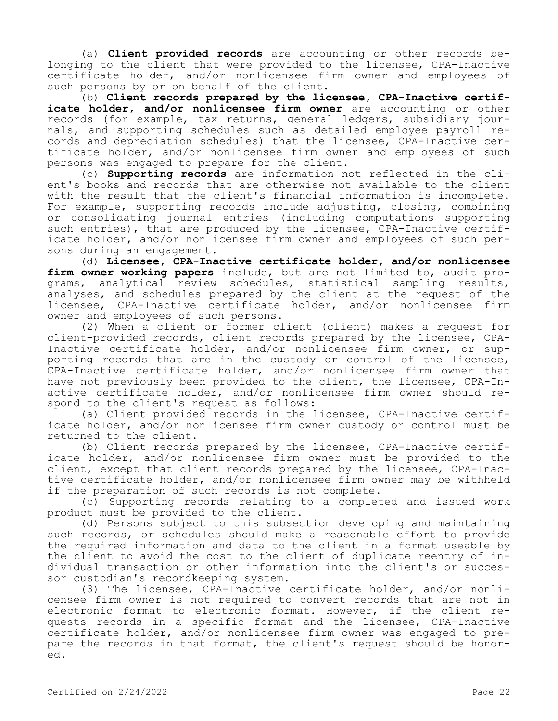(a) **Client provided records** are accounting or other records belonging to the client that were provided to the licensee, CPA-Inactive certificate holder, and/or nonlicensee firm owner and employees of such persons by or on behalf of the client.

(b) **Client records prepared by the licensee, CPA-Inactive certificate holder, and/or nonlicensee firm owner** are accounting or other records (for example, tax returns, general ledgers, subsidiary journals, and supporting schedules such as detailed employee payroll records and depreciation schedules) that the licensee, CPA-Inactive certificate holder, and/or nonlicensee firm owner and employees of such persons was engaged to prepare for the client.

(c) **Supporting records** are information not reflected in the client's books and records that are otherwise not available to the client with the result that the client's financial information is incomplete. For example, supporting records include adjusting, closing, combining or consolidating journal entries (including computations supporting such entries), that are produced by the licensee, CPA-Inactive certificate holder, and/or nonlicensee firm owner and employees of such persons during an engagement.

(d) **Licensee, CPA-Inactive certificate holder, and/or nonlicensee firm owner working papers** include, but are not limited to, audit programs, analytical review schedules, statistical sampling results, analyses, and schedules prepared by the client at the request of the licensee, CPA-Inactive certificate holder, and/or nonlicensee firm owner and employees of such persons.

(2) When a client or former client (client) makes a request for client-provided records, client records prepared by the licensee, CPA-Inactive certificate holder, and/or nonlicensee firm owner, or supporting records that are in the custody or control of the licensee, CPA-Inactive certificate holder, and/or nonlicensee firm owner that have not previously been provided to the client, the licensee, CPA-Inactive certificate holder, and/or nonlicensee firm owner should respond to the client's request as follows:

(a) Client provided records in the licensee, CPA-Inactive certificate holder, and/or nonlicensee firm owner custody or control must be returned to the client.

(b) Client records prepared by the licensee, CPA-Inactive certificate holder, and/or nonlicensee firm owner must be provided to the client, except that client records prepared by the licensee, CPA-Inactive certificate holder, and/or nonlicensee firm owner may be withheld if the preparation of such records is not complete.

(c) Supporting records relating to a completed and issued work product must be provided to the client.

(d) Persons subject to this subsection developing and maintaining such records, or schedules should make a reasonable effort to provide the required information and data to the client in a format useable by the client to avoid the cost to the client of duplicate reentry of individual transaction or other information into the client's or successor custodian's recordkeeping system.

(3) The licensee, CPA-Inactive certificate holder, and/or nonlicensee firm owner is not required to convert records that are not in electronic format to electronic format. However, if the client requests records in a specific format and the licensee, CPA-Inactive certificate holder, and/or nonlicensee firm owner was engaged to prepare the records in that format, the client's request should be honored.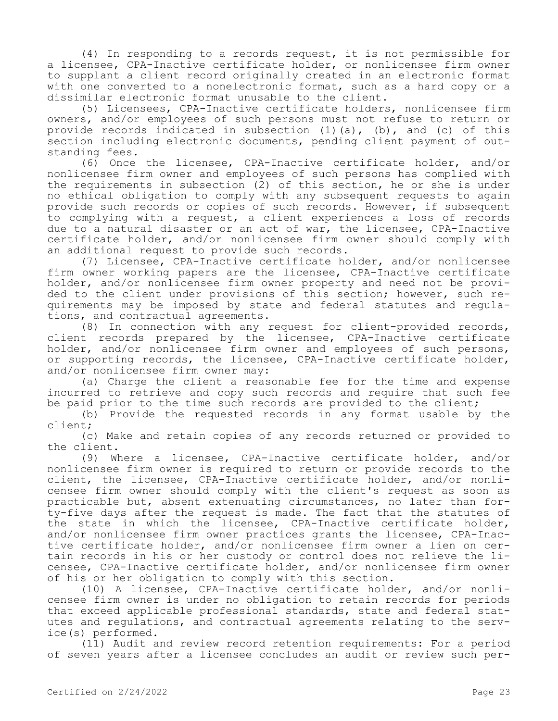(4) In responding to a records request, it is not permissible for a licensee, CPA-Inactive certificate holder, or nonlicensee firm owner to supplant a client record originally created in an electronic format with one converted to a nonelectronic format, such as a hard copy or a dissimilar electronic format unusable to the client.

(5) Licensees, CPA-Inactive certificate holders, nonlicensee firm owners, and/or employees of such persons must not refuse to return or provide records indicated in subsection (1)(a), (b), and (c) of this section including electronic documents, pending client payment of outstanding fees.

(6) Once the licensee, CPA-Inactive certificate holder, and/or nonlicensee firm owner and employees of such persons has complied with the requirements in subsection (2) of this section, he or she is under no ethical obligation to comply with any subsequent requests to again provide such records or copies of such records. However, if subsequent to complying with a request, a client experiences a loss of records due to a natural disaster or an act of war, the licensee, CPA-Inactive certificate holder, and/or nonlicensee firm owner should comply with an additional request to provide such records.

(7) Licensee, CPA-Inactive certificate holder, and/or nonlicensee firm owner working papers are the licensee, CPA-Inactive certificate holder, and/or nonlicensee firm owner property and need not be provided to the client under provisions of this section; however, such requirements may be imposed by state and federal statutes and regulations, and contractual agreements.

(8) In connection with any request for client-provided records, client records prepared by the licensee, CPA-Inactive certificate holder, and/or nonlicensee firm owner and employees of such persons, or supporting records, the licensee, CPA-Inactive certificate holder, and/or nonlicensee firm owner may:

(a) Charge the client a reasonable fee for the time and expense incurred to retrieve and copy such records and require that such fee be paid prior to the time such records are provided to the client;

(b) Provide the requested records in any format usable by the client;

(c) Make and retain copies of any records returned or provided to the client.

(9) Where a licensee, CPA-Inactive certificate holder, and/or nonlicensee firm owner is required to return or provide records to the client, the licensee, CPA-Inactive certificate holder, and/or nonlicensee firm owner should comply with the client's request as soon as practicable but, absent extenuating circumstances, no later than forty-five days after the request is made. The fact that the statutes of the state in which the licensee, CPA-Inactive certificate holder, and/or nonlicensee firm owner practices grants the licensee, CPA-Inactive certificate holder, and/or nonlicensee firm owner a lien on certain records in his or her custody or control does not relieve the licensee, CPA-Inactive certificate holder, and/or nonlicensee firm owner of his or her obligation to comply with this section.

(10) A licensee, CPA-Inactive certificate holder, and/or nonlicensee firm owner is under no obligation to retain records for periods that exceed applicable professional standards, state and federal statutes and regulations, and contractual agreements relating to the service(s) performed.

(11) Audit and review record retention requirements: For a period of seven years after a licensee concludes an audit or review such per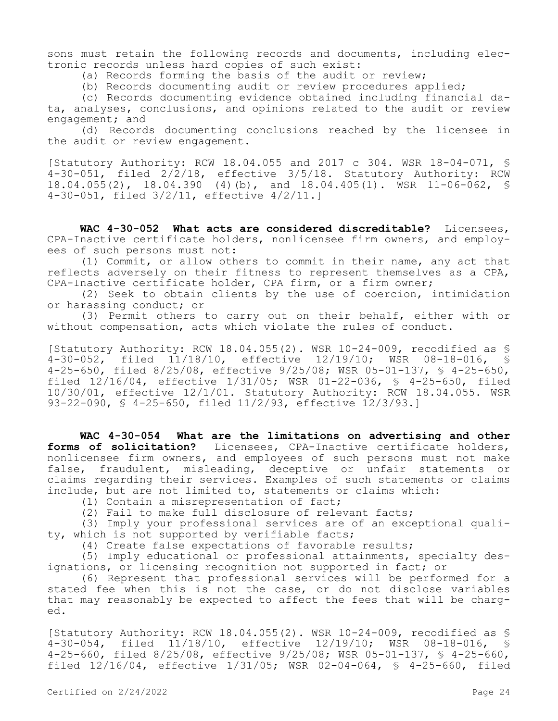sons must retain the following records and documents, including electronic records unless hard copies of such exist:

(a) Records forming the basis of the audit or review;

(b) Records documenting audit or review procedures applied;

(c) Records documenting evidence obtained including financial data, analyses, conclusions, and opinions related to the audit or review engagement; and

(d) Records documenting conclusions reached by the licensee in the audit or review engagement.

[Statutory Authority: RCW 18.04.055 and 2017 c 304. WSR 18-04-071, § 4-30-051, filed 2/2/18, effective 3/5/18. Statutory Authority: RCW 18.04.055(2), 18.04.390 (4)(b), and 18.04.405(1). WSR 11-06-062, § 4-30-051, filed 3/2/11, effective 4/2/11.]

**WAC 4-30-052 What acts are considered discreditable?** Licensees, CPA-Inactive certificate holders, nonlicensee firm owners, and employees of such persons must not:

(1) Commit, or allow others to commit in their name, any act that reflects adversely on their fitness to represent themselves as a CPA, CPA-Inactive certificate holder, CPA firm, or a firm owner;

(2) Seek to obtain clients by the use of coercion, intimidation or harassing conduct; or

(3) Permit others to carry out on their behalf, either with or without compensation, acts which violate the rules of conduct.

[Statutory Authority: RCW 18.04.055(2). WSR 10-24-009, recodified as § 4-30-052, filed 11/18/10, effective 12/19/10; WSR 08-18-016, § 4-25-650, filed 8/25/08, effective 9/25/08; WSR 05-01-137, § 4-25-650, filed 12/16/04, effective 1/31/05; WSR 01-22-036, § 4-25-650, filed 10/30/01, effective 12/1/01. Statutory Authority: RCW 18.04.055. WSR 93-22-090, § 4-25-650, filed 11/2/93, effective 12/3/93.]

**WAC 4-30-054 What are the limitations on advertising and other forms of solicitation?** Licensees, CPA-Inactive certificate holders, nonlicensee firm owners, and employees of such persons must not make false, fraudulent, misleading, deceptive or unfair statements or claims regarding their services. Examples of such statements or claims include, but are not limited to, statements or claims which:

(1) Contain a misrepresentation of fact;

(2) Fail to make full disclosure of relevant facts;

(3) Imply your professional services are of an exceptional quality, which is not supported by verifiable facts;

(4) Create false expectations of favorable results;

(5) Imply educational or professional attainments, specialty designations, or licensing recognition not supported in fact; or

(6) Represent that professional services will be performed for a stated fee when this is not the case, or do not disclose variables that may reasonably be expected to affect the fees that will be charged.

[Statutory Authority: RCW 18.04.055(2). WSR 10-24-009, recodified as § 4-30-054, filed 11/18/10, effective 12/19/10; WSR 08-18-016, § 4-25-660, filed 8/25/08, effective 9/25/08; WSR 05-01-137, § 4-25-660, filed 12/16/04, effective 1/31/05; WSR 02-04-064, § 4-25-660, filed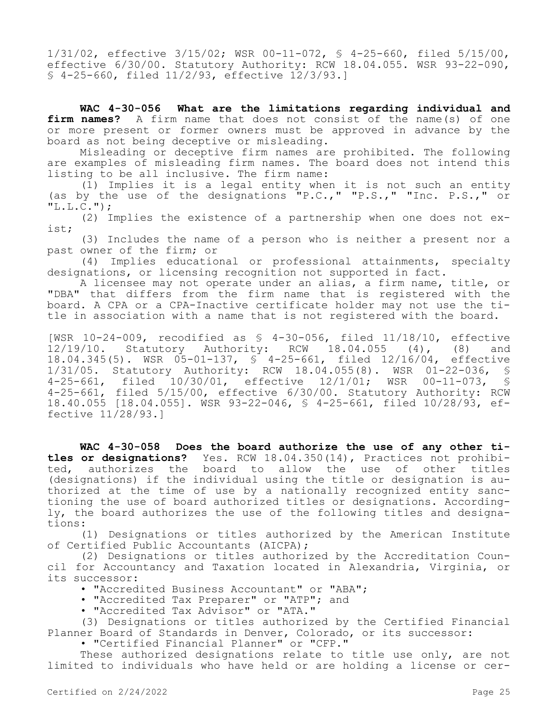1/31/02, effective 3/15/02; WSR 00-11-072, § 4-25-660, filed 5/15/00, effective 6/30/00. Statutory Authority: RCW 18.04.055. WSR 93-22-090, § 4-25-660, filed 11/2/93, effective 12/3/93.]

**WAC 4-30-056 What are the limitations regarding individual and firm names?** A firm name that does not consist of the name(s) of one or more present or former owners must be approved in advance by the board as not being deceptive or misleading.

Misleading or deceptive firm names are prohibited. The following are examples of misleading firm names. The board does not intend this listing to be all inclusive. The firm name:

(1) Implies it is a legal entity when it is not such an entity (as by the use of the designations "P.C.," "P.S.," "Inc. P.S.," or  $"L.L.C."$ );

(2) Implies the existence of a partnership when one does not exist;

(3) Includes the name of a person who is neither a present nor a past owner of the firm; or

(4) Implies educational or professional attainments, specialty designations, or licensing recognition not supported in fact.

A licensee may not operate under an alias, a firm name, title, or "DBA" that differs from the firm name that is registered with the board. A CPA or a CPA-Inactive certificate holder may not use the title in association with a name that is not registered with the board.

[WSR 10-24-009, recodified as § 4-30-056, filed 11/18/10, effective 12/19/10. Statutory Authority: RCW 18.04.055 (4), (8) and 18.04.345(5). WSR 05-01-137, § 4-25-661, filed 12/16/04, effective 1/31/05. Statutory Authority: RCW 18.04.055(8). WSR 01-22-036, § 4-25-661, filed 10/30/01, effective 12/1/01; WSR 00-11-073, § 4-25-661, filed 5/15/00, effective 6/30/00. Statutory Authority: RCW 18.40.055 [18.04.055]. WSR 93-22-046, § 4-25-661, filed 10/28/93, effective 11/28/93.]

**WAC 4-30-058 Does the board authorize the use of any other titles or designations?** Yes. RCW 18.04.350(14), Practices not prohibited, authorizes the board to allow the use of other titles (designations) if the individual using the title or designation is authorized at the time of use by a nationally recognized entity sanctioning the use of board authorized titles or designations. Accordingly, the board authorizes the use of the following titles and designations:

(1) Designations or titles authorized by the American Institute of Certified Public Accountants (AICPA);

(2) Designations or titles authorized by the Accreditation Council for Accountancy and Taxation located in Alexandria, Virginia, or its successor:

• "Accredited Business Accountant" or "ABA";

• "Accredited Tax Preparer" or "ATP"; and

• "Accredited Tax Advisor" or "ATA."

(3) Designations or titles authorized by the Certified Financial Planner Board of Standards in Denver, Colorado, or its successor:

• "Certified Financial Planner" or "CFP."

These authorized designations relate to title use only, are not limited to individuals who have held or are holding a license or cer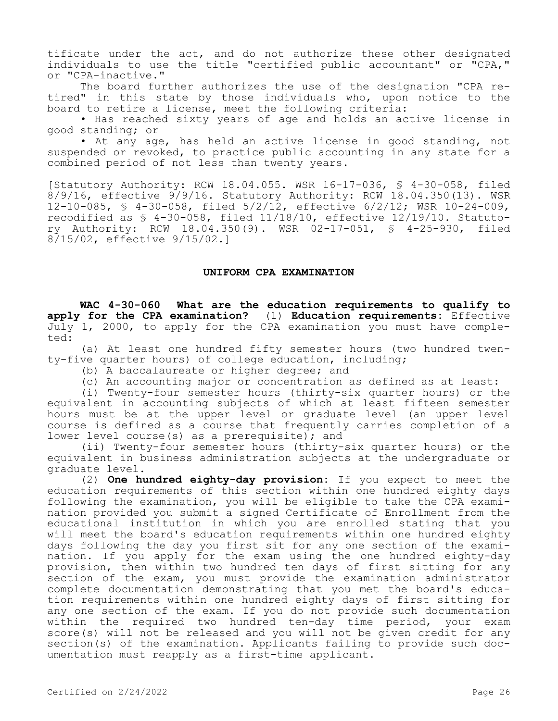tificate under the act, and do not authorize these other designated individuals to use the title "certified public accountant" or "CPA," or "CPA-inactive."

The board further authorizes the use of the designation "CPA retired" in this state by those individuals who, upon notice to the board to retire a license, meet the following criteria:

• Has reached sixty years of age and holds an active license in good standing; or

• At any age, has held an active license in good standing, not suspended or revoked, to practice public accounting in any state for a combined period of not less than twenty years.

[Statutory Authority: RCW 18.04.055. WSR 16-17-036, § 4-30-058, filed 8/9/16, effective 9/9/16. Statutory Authority: RCW 18.04.350(13). WSR 12-10-085, § 4-30-058, filed 5/2/12, effective 6/2/12; WSR 10-24-009, recodified as § 4-30-058, filed 11/18/10, effective 12/19/10. Statutory Authority: RCW 18.04.350(9). WSR 02-17-051, § 4-25-930, filed 8/15/02, effective 9/15/02.]

#### **UNIFORM CPA EXAMINATION**

**WAC 4-30-060 What are the education requirements to qualify to apply for the CPA examination?** (1) **Education requirements:** Effective July 1, 2000, to apply for the CPA examination you must have completed:

(a) At least one hundred fifty semester hours (two hundred twenty-five quarter hours) of college education, including;

- (b) A baccalaureate or higher degree; and
- (c) An accounting major or concentration as defined as at least:

(i) Twenty-four semester hours (thirty-six quarter hours) or the equivalent in accounting subjects of which at least fifteen semester hours must be at the upper level or graduate level (an upper level course is defined as a course that frequently carries completion of a lower level course(s) as a prerequisite); and

(ii) Twenty-four semester hours (thirty-six quarter hours) or the equivalent in business administration subjects at the undergraduate or graduate level.

(2) **One hundred eighty-day provision:** If you expect to meet the education requirements of this section within one hundred eighty days following the examination, you will be eligible to take the CPA examination provided you submit a signed Certificate of Enrollment from the educational institution in which you are enrolled stating that you will meet the board's education requirements within one hundred eighty days following the day you first sit for any one section of the examination. If you apply for the exam using the one hundred eighty-day provision, then within two hundred ten days of first sitting for any section of the exam, you must provide the examination administrator complete documentation demonstrating that you met the board's education requirements within one hundred eighty days of first sitting for any one section of the exam. If you do not provide such documentation within the required two hundred ten-day time period, your exam score(s) will not be released and you will not be given credit for any section(s) of the examination. Applicants failing to provide such documentation must reapply as a first-time applicant.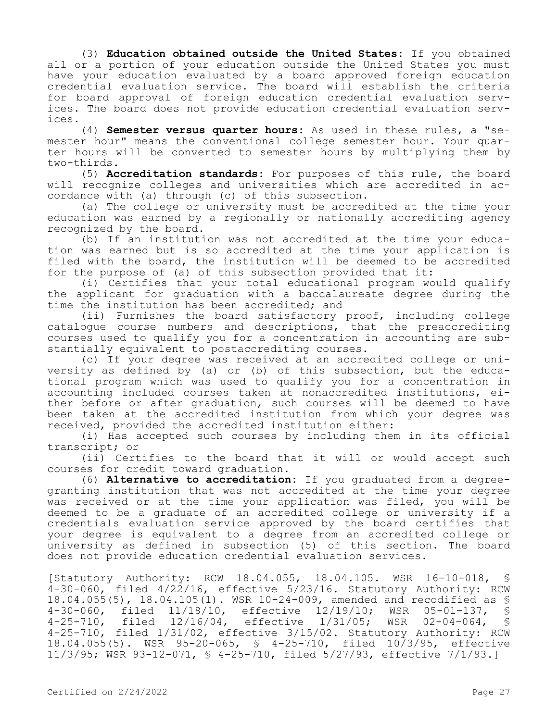(3) **Education obtained outside the United States:** If you obtained all or a portion of your education outside the United States you must have your education evaluated by a board approved foreign education credential evaluation service. The board will establish the criteria for board approval of foreign education credential evaluation services. The board does not provide education credential evaluation services.

(4) **Semester versus quarter hours:** As used in these rules, a "semester hour" means the conventional college semester hour. Your quarter hours will be converted to semester hours by multiplying them by two-thirds.

(5) **Accreditation standards:** For purposes of this rule, the board will recognize colleges and universities which are accredited in accordance with (a) through (c) of this subsection.

(a) The college or university must be accredited at the time your education was earned by a regionally or nationally accrediting agency recognized by the board.

(b) If an institution was not accredited at the time your education was earned but is so accredited at the time your application is filed with the board, the institution will be deemed to be accredited for the purpose of (a) of this subsection provided that it:

(i) Certifies that your total educational program would qualify the applicant for graduation with a baccalaureate degree during the time the institution has been accredited; and

(ii) Furnishes the board satisfactory proof, including college catalogue course numbers and descriptions, that the preaccrediting courses used to qualify you for a concentration in accounting are substantially equivalent to postaccrediting courses.

(c) If your degree was received at an accredited college or university as defined by (a) or (b) of this subsection, but the educational program which was used to qualify you for a concentration in accounting included courses taken at nonaccredited institutions, either before or after graduation, such courses will be deemed to have been taken at the accredited institution from which your degree was received, provided the accredited institution either:

(i) Has accepted such courses by including them in its official transcript; or

(ii) Certifies to the board that it will or would accept such courses for credit toward graduation.

(6) **Alternative to accreditation:** If you graduated from a degreegranting institution that was not accredited at the time your degree was received or at the time your application was filed, you will be deemed to be a graduate of an accredited college or university if a credentials evaluation service approved by the board certifies that your degree is equivalent to a degree from an accredited college or university as defined in subsection (5) of this section. The board does not provide education credential evaluation services.

[Statutory Authority: RCW 18.04.055, 18.04.105. WSR 16-10-018, § 4-30-060, filed 4/22/16, effective 5/23/16. Statutory Authority: RCW 18.04.055(5), 18.04.105(1). WSR 10-24-009, amended and recodified as \$<br>4-30-060, filed 11/18/10, effective 12/19/10; WSR 05-01-137, \$ 4-30-060, filed 11/18/10, effective 12/19/10; WSR 05-01-137, § 4-25-710, filed 12/16/04, effective 1/31/05; WSR 02-04-064, § 4-25-710, filed 1/31/02, effective 3/15/02. Statutory Authority: RCW 18.04.055(5). WSR 95-20-065, § 4-25-710, filed 10/3/95, effective 11/3/95; WSR 93-12-071, § 4-25-710, filed 5/27/93, effective 7/1/93.]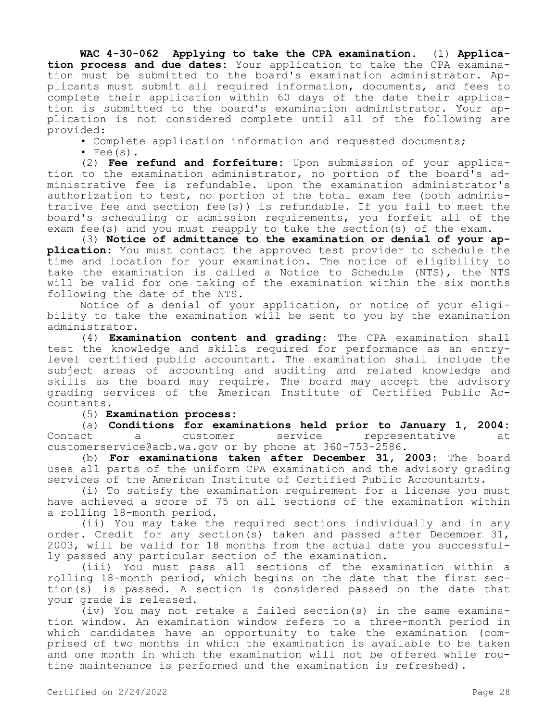**WAC 4-30-062 Applying to take the CPA examination.** (1) **Application process and due dates:** Your application to take the CPA examination must be submitted to the board's examination administrator. Applicants must submit all required information, documents, and fees to complete their application within 60 days of the date their application is submitted to the board's examination administrator. Your application is not considered complete until all of the following are provided:

• Complete application information and requested documents;  $\cdot$  Fee(s).

(2) **Fee refund and forfeiture:** Upon submission of your application to the examination administrator, no portion of the board's administrative fee is refundable. Upon the examination administrator's authorization to test, no portion of the total exam fee (both administrative fee and section fee(s)) is refundable. If you fail to meet the board's scheduling or admission requirements, you forfeit all of the exam fee(s) and you must reapply to take the section(s) of the exam.

(3) **Notice of admittance to the examination or denial of your application:** You must contact the approved test provider to schedule the time and location for your examination. The notice of eligibility to take the examination is called a Notice to Schedule (NTS), the NTS will be valid for one taking of the examination within the six months following the date of the NTS.

Notice of a denial of your application, or notice of your eligibility to take the examination will be sent to you by the examination administrator.

(4) **Examination content and grading:** The CPA examination shall test the knowledge and skills required for performance as an entrylevel certified public accountant. The examination shall include the subject areas of accounting and auditing and related knowledge and skills as the board may require. The board may accept the advisory grading services of the American Institute of Certified Public Accountants.

## (5) **Examination process:**

(a) **Conditions for examinations held prior to January 1, 2004:**  Contact a customer service representative at customerservice@acb.wa.gov or by phone at 360-753-2586.

(b) **For examinations taken after December 31, 2003:** The board uses all parts of the uniform CPA examination and the advisory grading services of the American Institute of Certified Public Accountants.

(i) To satisfy the examination requirement for a license you must have achieved a score of 75 on all sections of the examination within a rolling 18-month period.

(ii) You may take the required sections individually and in any order. Credit for any section(s) taken and passed after December 31, 2003, will be valid for 18 months from the actual date you successfully passed any particular section of the examination.

(iii) You must pass all sections of the examination within a rolling 18-month period, which begins on the date that the first section(s) is passed. A section is considered passed on the date that your grade is released.

(iv) You may not retake a failed section(s) in the same examination window. An examination window refers to a three-month period in which candidates have an opportunity to take the examination (comprised of two months in which the examination is available to be taken and one month in which the examination will not be offered while routine maintenance is performed and the examination is refreshed).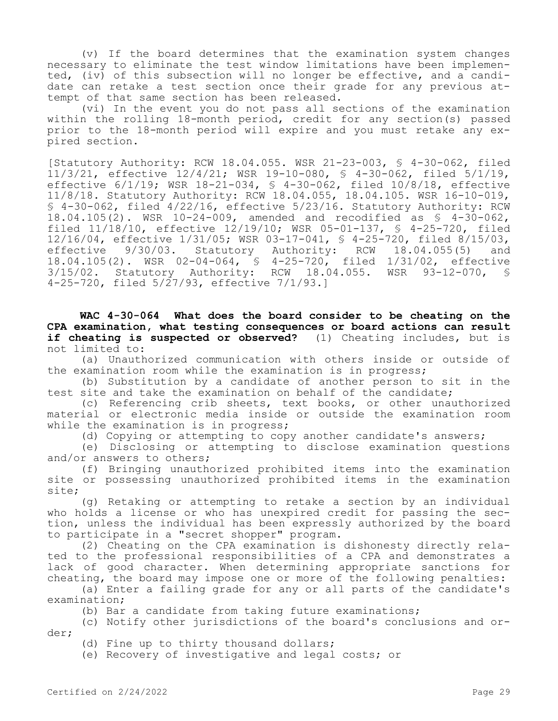(v) If the board determines that the examination system changes necessary to eliminate the test window limitations have been implemented, (iv) of this subsection will no longer be effective, and a candidate can retake a test section once their grade for any previous attempt of that same section has been released.

(vi) In the event you do not pass all sections of the examination within the rolling 18-month period, credit for any section(s) passed prior to the 18-month period will expire and you must retake any expired section.

[Statutory Authority: RCW 18.04.055. WSR 21-23-003, § 4-30-062, filed 11/3/21, effective 12/4/21; WSR 19-10-080, § 4-30-062, filed 5/1/19, effective 6/1/19; WSR 18-21-034, § 4-30-062, filed 10/8/18, effective 11/8/18. Statutory Authority: RCW 18.04.055, 18.04.105. WSR 16-10-019, § 4-30-062, filed 4/22/16, effective 5/23/16. Statutory Authority: RCW 18.04.105(2). WSR 10-24-009, amended and recodified as § 4-30-062, filed 11/18/10, effective 12/19/10; WSR 05-01-137, § 4-25-720, filed 12/16/04, effective 1/31/05; WSR 03-17-041, § 4-25-720, filed 8/15/03, effective 9/30/03. Statutory Authority: RCW 18.04.055(5) and 18.04.105(2). WSR 02-04-064, § 4-25-720, filed 1/31/02, effective<br>3/15/02. Statutory Authority: RCW 18.04.055. WSR 93-12-070, §  $3/15/02$ . Statutory Authority: RCW  $18.04.055$ . 4-25-720, filed 5/27/93, effective 7/1/93.]

**WAC 4-30-064 What does the board consider to be cheating on the CPA examination, what testing consequences or board actions can result if cheating is suspected or observed?** (1) Cheating includes, but is not limited to:

(a) Unauthorized communication with others inside or outside of the examination room while the examination is in progress;

(b) Substitution by a candidate of another person to sit in the test site and take the examination on behalf of the candidate;

(c) Referencing crib sheets, text books, or other unauthorized material or electronic media inside or outside the examination room while the examination is in progress;

(d) Copying or attempting to copy another candidate's answers;

(e) Disclosing or attempting to disclose examination questions and/or answers to others;

(f) Bringing unauthorized prohibited items into the examination site or possessing unauthorized prohibited items in the examination site;

(g) Retaking or attempting to retake a section by an individual who holds a license or who has unexpired credit for passing the section, unless the individual has been expressly authorized by the board to participate in a "secret shopper" program.

(2) Cheating on the CPA examination is dishonesty directly related to the professional responsibilities of a CPA and demonstrates a lack of good character. When determining appropriate sanctions for cheating, the board may impose one or more of the following penalties:

(a) Enter a failing grade for any or all parts of the candidate's examination;

(b) Bar a candidate from taking future examinations;

(c) Notify other jurisdictions of the board's conclusions and order;

(d) Fine up to thirty thousand dollars;

(e) Recovery of investigative and legal costs; or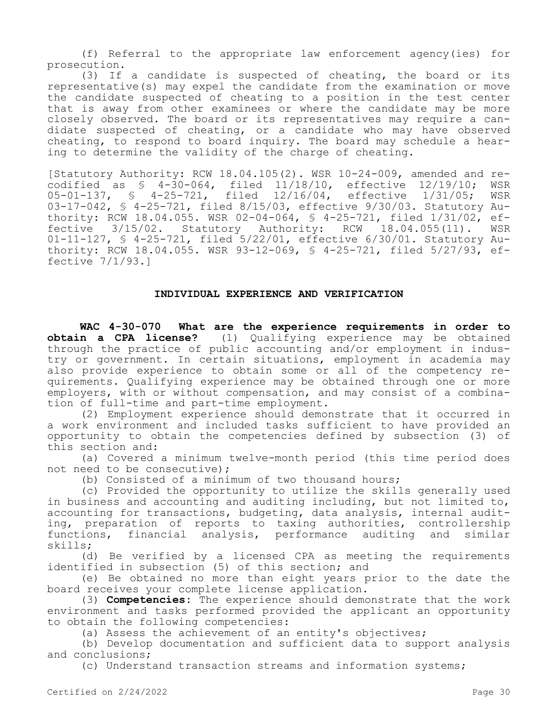(f) Referral to the appropriate law enforcement agency(ies) for prosecution.

(3) If a candidate is suspected of cheating, the board or its representative(s) may expel the candidate from the examination or move the candidate suspected of cheating to a position in the test center that is away from other examinees or where the candidate may be more closely observed. The board or its representatives may require a candidate suspected of cheating, or a candidate who may have observed cheating, to respond to board inquiry. The board may schedule a hearing to determine the validity of the charge of cheating.

[Statutory Authority: RCW 18.04.105(2). WSR 10-24-009, amended and recodified as § 4-30-064, filed 11/18/10, effective 12/19/10; WSR 05-01-137, § 4-25-721, filed 12/16/04, effective 1/31/05; WSR 03-17-042, § 4-25-721, filed 8/15/03, effective 9/30/03. Statutory Authority: RCW 18.04.055. WSR 02-04-064, \$ 4-25-721, filed 1/31/02, ef-<br>fective 3/15/02. Statutory Authority: RCW 18.04.055(11). WSR  $fective 3/15/02.$  Statutory Authority: RCW  $18.04.055(11)$ . 01-11-127, § 4-25-721, filed 5/22/01, effective 6/30/01. Statutory Authority: RCW 18.04.055. WSR 93-12-069, § 4-25-721, filed 5/27/93, effective 7/1/93.]

#### **INDIVIDUAL EXPERIENCE AND VERIFICATION**

**WAC 4-30-070 What are the experience requirements in order to obtain a CPA license?** (1) Oualifying experience may be obtained **obtain a CPA license?** (1) Qualifying experience may be obtained through the practice of public accounting and/or employment in industry or government. In certain situations, employment in academia may also provide experience to obtain some or all of the competency requirements. Qualifying experience may be obtained through one or more employers, with or without compensation, and may consist of a combination of full-time and part-time employment.

(2) Employment experience should demonstrate that it occurred in a work environment and included tasks sufficient to have provided an opportunity to obtain the competencies defined by subsection (3) of this section and:

(a) Covered a minimum twelve-month period (this time period does not need to be consecutive);

(b) Consisted of a minimum of two thousand hours;

(c) Provided the opportunity to utilize the skills generally used in business and accounting and auditing including, but not limited to, accounting for transactions, budgeting, data analysis, internal auditing, preparation of reports to taxing authorities, controllership functions, financial analysis, performance auditing and similar skills;

(d) Be verified by a licensed CPA as meeting the requirements identified in subsection (5) of this section; and

(e) Be obtained no more than eight years prior to the date the board receives your complete license application.

(3) **Competencies:** The experience should demonstrate that the work environment and tasks performed provided the applicant an opportunity to obtain the following competencies:

(a) Assess the achievement of an entity's objectives;

(b) Develop documentation and sufficient data to support analysis and conclusions;

(c) Understand transaction streams and information systems;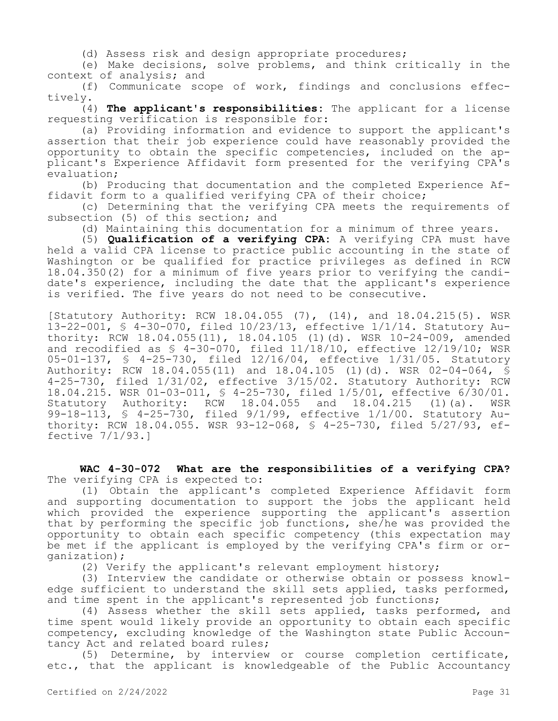(d) Assess risk and design appropriate procedures;

(e) Make decisions, solve problems, and think critically in the context of analysis; and

(f) Communicate scope of work, findings and conclusions effectively.

(4) **The applicant's responsibilities:** The applicant for a license requesting verification is responsible for:

(a) Providing information and evidence to support the applicant's assertion that their job experience could have reasonably provided the opportunity to obtain the specific competencies, included on the applicant's Experience Affidavit form presented for the verifying CPA's evaluation;

(b) Producing that documentation and the completed Experience Affidavit form to a qualified verifying CPA of their choice;

(c) Determining that the verifying CPA meets the requirements of subsection (5) of this section; and

(d) Maintaining this documentation for a minimum of three years.

(5) **Qualification of a verifying CPA:** A verifying CPA must have held a valid CPA license to practice public accounting in the state of Washington or be qualified for practice privileges as defined in RCW 18.04.350(2) for a minimum of five years prior to verifying the candidate's experience, including the date that the applicant's experience is verified. The five years do not need to be consecutive.

[Statutory Authority: RCW 18.04.055 (7), (14), and 18.04.215(5). WSR 13-22-001, § 4-30-070, filed 10/23/13, effective 1/1/14. Statutory Authority: RCW 18.04.055(11), 18.04.105 (1)(d). WSR 10-24-009, amended and recodified as § 4-30-070, filed 11/18/10, effective 12/19/10; WSR 05-01-137, § 4-25-730, filed 12/16/04, effective 1/31/05. Statutory Authority: RCW 18.04.055(11) and 18.04.105 (1)(d). WSR 02-04-064, § 4-25-730, filed 1/31/02, effective 3/15/02. Statutory Authority: RCW 18.04.215. WSR 01-03-011, § 4-25-730, filed 1/5/01, effective 6/30/01. Statutory Authority: RCW 18.04.055 and 18.04.215 (1)(a). WSR 99-18-113, § 4-25-730, filed 9/1/99, effective 1/1/00. Statutory Authority: RCW 18.04.055. WSR 93-12-068, § 4-25-730, filed 5/27/93, effective 7/1/93.]

**WAC 4-30-072 What are the responsibilities of a verifying CPA?**  The verifying CPA is expected to:

(1) Obtain the applicant's completed Experience Affidavit form and supporting documentation to support the jobs the applicant held which provided the experience supporting the applicant's assertion that by performing the specific job functions, she/he was provided the opportunity to obtain each specific competency (this expectation may be met if the applicant is employed by the verifying CPA's firm or organization);

(2) Verify the applicant's relevant employment history;

(3) Interview the candidate or otherwise obtain or possess knowledge sufficient to understand the skill sets applied, tasks performed, and time spent in the applicant's represented job functions;

(4) Assess whether the skill sets applied, tasks performed, and time spent would likely provide an opportunity to obtain each specific competency, excluding knowledge of the Washington state Public Accountancy Act and related board rules;

(5) Determine, by interview or course completion certificate, etc., that the applicant is knowledgeable of the Public Accountancy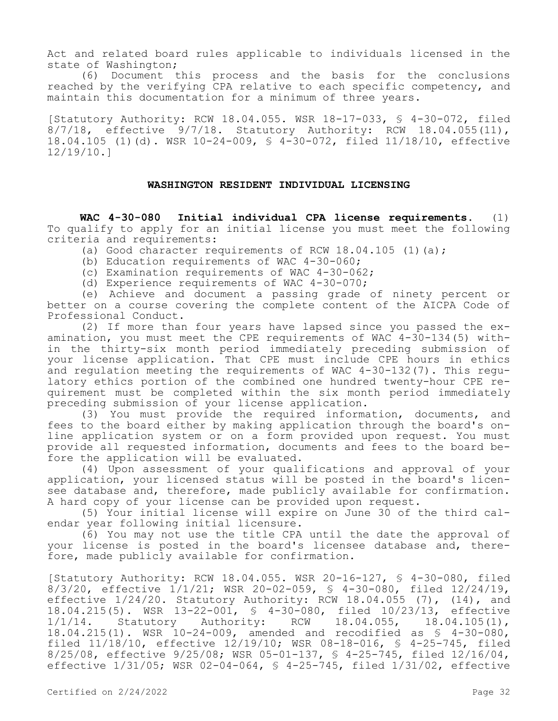Act and related board rules applicable to individuals licensed in the state of Washington;

(6) Document this process and the basis for the conclusions reached by the verifying CPA relative to each specific competency, and maintain this documentation for a minimum of three years.

[Statutory Authority: RCW 18.04.055. WSR 18-17-033, § 4-30-072, filed 8/7/18, effective 9/7/18. Statutory Authority: RCW 18.04.055(11), 18.04.105 (1)(d). WSR 10-24-009, § 4-30-072, filed 11/18/10, effective 12/19/10.]

#### **WASHINGTON RESIDENT INDIVIDUAL LICENSING**

**WAC 4-30-080 Initial individual CPA license requirements.** (1) To qualify to apply for an initial license you must meet the following criteria and requirements:

(a) Good character requirements of RCW  $18.04.105$  (1)(a);

- (b) Education requirements of WAC 4-30-060;
- (c) Examination requirements of WAC 4-30-062;
- (d) Experience requirements of WAC 4-30-070;

(e) Achieve and document a passing grade of ninety percent or better on a course covering the complete content of the AICPA Code of Professional Conduct.

(2) If more than four years have lapsed since you passed the examination, you must meet the CPE requirements of WAC 4-30-134(5) within the thirty-six month period immediately preceding submission of your license application. That CPE must include CPE hours in ethics and regulation meeting the requirements of WAC 4-30-132(7). This regulatory ethics portion of the combined one hundred twenty-hour CPE requirement must be completed within the six month period immediately preceding submission of your license application.

(3) You must provide the required information, documents, and fees to the board either by making application through the board's online application system or on a form provided upon request. You must provide all requested information, documents and fees to the board before the application will be evaluated.

(4) Upon assessment of your qualifications and approval of your application, your licensed status will be posted in the board's licensee database and, therefore, made publicly available for confirmation. A hard copy of your license can be provided upon request.

(5) Your initial license will expire on June 30 of the third calendar year following initial licensure.

(6) You may not use the title CPA until the date the approval of your license is posted in the board's licensee database and, therefore, made publicly available for confirmation.

[Statutory Authority: RCW 18.04.055. WSR 20-16-127, § 4-30-080, filed 8/3/20, effective 1/1/21; WSR 20-02-059, § 4-30-080, filed 12/24/19, effective 1/24/20. Statutory Authority: RCW 18.04.055 (7), (14), and 18.04.215(5). WSR 13-22-001, § 4-30-080, filed 10/23/13, effective Statutory Authority: RCW 18.04.055, 18.04.105(1), 18.04.215(1). WSR 10-24-009, amended and recodified as § 4-30-080, filed 11/18/10, effective 12/19/10; WSR 08-18-016, § 4-25-745, filed 8/25/08, effective 9/25/08; WSR 05-01-137, § 4-25-745, filed 12/16/04, effective 1/31/05; WSR 02-04-064, § 4-25-745, filed 1/31/02, effective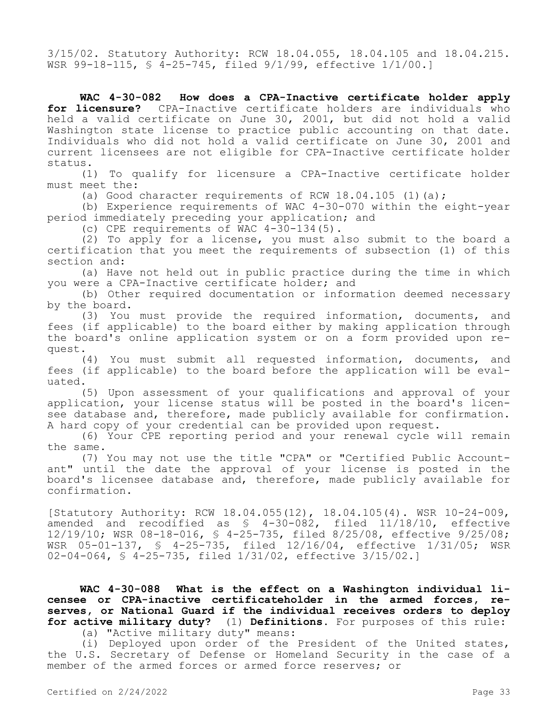3/15/02. Statutory Authority: RCW 18.04.055, 18.04.105 and 18.04.215. WSR 99-18-115, § 4-25-745, filed 9/1/99, effective 1/1/00.]

**WAC 4-30-082 How does a CPA-Inactive certificate holder apply for licensure?** CPA-Inactive certificate holders are individuals who held a valid certificate on June 30, 2001, but did not hold a valid Washington state license to practice public accounting on that date. Individuals who did not hold a valid certificate on June 30, 2001 and current licensees are not eligible for CPA-Inactive certificate holder status.

(1) To qualify for licensure a CPA-Inactive certificate holder must meet the:

(a) Good character requirements of RCW  $18.04.105$  (1)(a);

(b) Experience requirements of WAC 4-30-070 within the eight-year period immediately preceding your application; and

(c) CPE requirements of WAC 4-30-134(5).

(2) To apply for a license, you must also submit to the board a certification that you meet the requirements of subsection (1) of this section and:

(a) Have not held out in public practice during the time in which you were a CPA-Inactive certificate holder; and

(b) Other required documentation or information deemed necessary by the board.

(3) You must provide the required information, documents, and fees (if applicable) to the board either by making application through the board's online application system or on a form provided upon request.

(4) You must submit all requested information, documents, and fees (if applicable) to the board before the application will be evaluated.

(5) Upon assessment of your qualifications and approval of your application, your license status will be posted in the board's licensee database and, therefore, made publicly available for confirmation. A hard copy of your credential can be provided upon request.

(6) Your CPE reporting period and your renewal cycle will remain the same.

(7) You may not use the title "CPA" or "Certified Public Accountant" until the date the approval of your license is posted in the board's licensee database and, therefore, made publicly available for confirmation.

[Statutory Authority: RCW 18.04.055(12), 18.04.105(4). WSR 10-24-009, amended and recodified as § 4-30-082, filed 11/18/10, effective 12/19/10; WSR 08-18-016, § 4-25-735, filed 8/25/08, effective 9/25/08; WSR 05-01-137, § 4-25-735, filed 12/16/04, effective 1/31/05; WSR 02-04-064, § 4-25-735, filed 1/31/02, effective 3/15/02.]

**WAC 4-30-088 What is the effect on a Washington individual licensee or CPA-inactive certificateholder in the armed forces, reserves, or National Guard if the individual receives orders to deploy for active military duty?** (1) **Definitions.** For purposes of this rule:

(a) "Active military duty" means:

(i) Deployed upon order of the President of the United states, the U.S. Secretary of Defense or Homeland Security in the case of a member of the armed forces or armed force reserves; or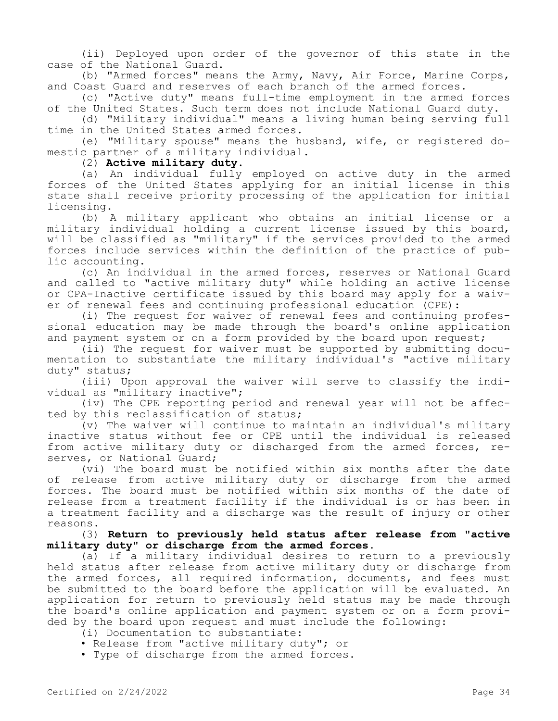(ii) Deployed upon order of the governor of this state in the case of the National Guard.

(b) "Armed forces" means the Army, Navy, Air Force, Marine Corps, and Coast Guard and reserves of each branch of the armed forces.

(c) "Active duty" means full-time employment in the armed forces of the United States. Such term does not include National Guard duty.

(d) "Military individual" means a living human being serving full time in the United States armed forces.

(e) "Military spouse" means the husband, wife, or registered domestic partner of a military individual.

(2) **Active military duty.**

(a) An individual fully employed on active duty in the armed forces of the United States applying for an initial license in this state shall receive priority processing of the application for initial licensing.

(b) A military applicant who obtains an initial license or a military individual holding a current license issued by this board, will be classified as "military" if the services provided to the armed forces include services within the definition of the practice of public accounting.

(c) An individual in the armed forces, reserves or National Guard and called to "active military duty" while holding an active license or CPA-Inactive certificate issued by this board may apply for a waiver of renewal fees and continuing professional education (CPE):

(i) The request for waiver of renewal fees and continuing professional education may be made through the board's online application and payment system or on a form provided by the board upon request;

(ii) The request for waiver must be supported by submitting documentation to substantiate the military individual's "active military duty" status;

(iii) Upon approval the waiver will serve to classify the individual as "military inactive";

(iv) The CPE reporting period and renewal year will not be affected by this reclassification of status;

(v) The waiver will continue to maintain an individual's military inactive status without fee or CPE until the individual is released from active military duty or discharged from the armed forces, reserves, or National Guard;

(vi) The board must be notified within six months after the date of release from active military duty or discharge from the armed forces. The board must be notified within six months of the date of release from a treatment facility if the individual is or has been in a treatment facility and a discharge was the result of injury or other reasons.

(3) **Return to previously held status after release from "active military duty" or discharge from the armed forces.**

(a) If a military individual desires to return to a previously held status after release from active military duty or discharge from the armed forces, all required information, documents, and fees must be submitted to the board before the application will be evaluated. An application for return to previously held status may be made through the board's online application and payment system or on a form provided by the board upon request and must include the following:

- (i) Documentation to substantiate:
- Release from "active military duty"; or

• Type of discharge from the armed forces.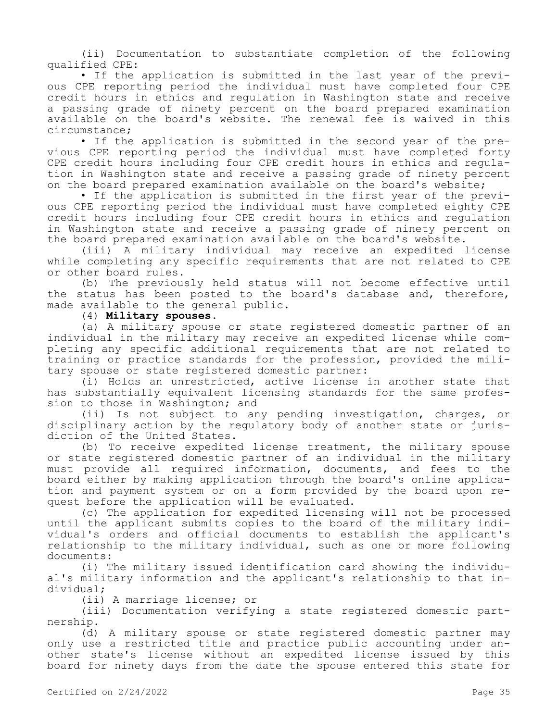(ii) Documentation to substantiate completion of the following qualified CPE:

• If the application is submitted in the last year of the previous CPE reporting period the individual must have completed four CPE credit hours in ethics and regulation in Washington state and receive a passing grade of ninety percent on the board prepared examination available on the board's website. The renewal fee is waived in this circumstance;

• If the application is submitted in the second year of the previous CPE reporting period the individual must have completed forty CPE credit hours including four CPE credit hours in ethics and regulation in Washington state and receive a passing grade of ninety percent on the board prepared examination available on the board's website;

• If the application is submitted in the first year of the previous CPE reporting period the individual must have completed eighty CPE credit hours including four CPE credit hours in ethics and regulation in Washington state and receive a passing grade of ninety percent on the board prepared examination available on the board's website.

(iii) A military individual may receive an expedited license while completing any specific requirements that are not related to CPE or other board rules.

(b) The previously held status will not become effective until the status has been posted to the board's database and, therefore, made available to the general public.

(4) **Military spouses.**

(a) A military spouse or state registered domestic partner of an individual in the military may receive an expedited license while completing any specific additional requirements that are not related to training or practice standards for the profession, provided the military spouse or state registered domestic partner:

(i) Holds an unrestricted, active license in another state that has substantially equivalent licensing standards for the same profession to those in Washington; and

(ii) Is not subject to any pending investigation, charges, or disciplinary action by the regulatory body of another state or jurisdiction of the United States.

(b) To receive expedited license treatment, the military spouse or state registered domestic partner of an individual in the military must provide all required information, documents, and fees to the board either by making application through the board's online application and payment system or on a form provided by the board upon request before the application will be evaluated.

(c) The application for expedited licensing will not be processed until the applicant submits copies to the board of the military individual's orders and official documents to establish the applicant's relationship to the military individual, such as one or more following documents:

(i) The military issued identification card showing the individual's military information and the applicant's relationship to that individual;

(ii) A marriage license; or

(iii) Documentation verifying a state registered domestic partnership.

(d) A military spouse or state registered domestic partner may only use a restricted title and practice public accounting under another state's license without an expedited license issued by this board for ninety days from the date the spouse entered this state for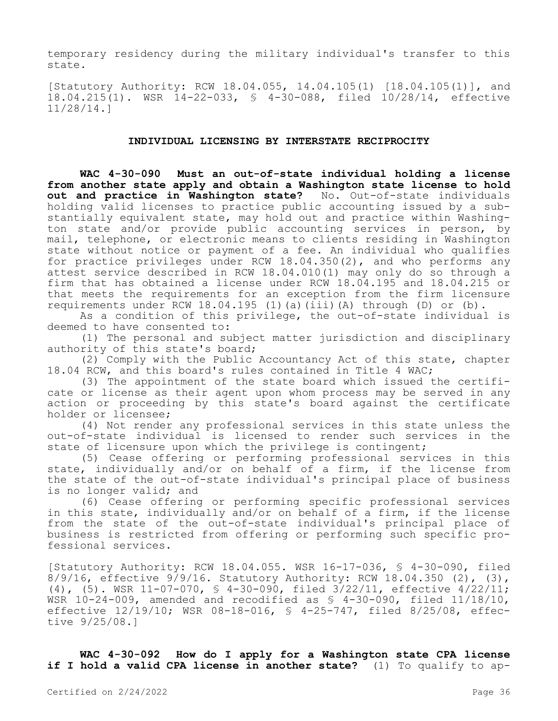temporary residency during the military individual's transfer to this state.

[Statutory Authority: RCW 18.04.055, 14.04.105(1) [18.04.105(1)], and 18.04.215(1). WSR 14-22-033, § 4-30-088, filed 10/28/14, effective 11/28/14.]

#### **INDIVIDUAL LICENSING BY INTERSTATE RECIPROCITY**

**WAC 4-30-090 Must an out-of-state individual holding a license from another state apply and obtain a Washington state license to hold out and practice in Washington state?** No. Out-of-state individuals holding valid licenses to practice public accounting issued by a substantially equivalent state, may hold out and practice within Washington state and/or provide public accounting services in person, by mail, telephone, or electronic means to clients residing in Washington state without notice or payment of a fee. An individual who qualifies for practice privileges under RCW 18.04.350(2), and who performs any attest service described in RCW 18.04.010(1) may only do so through a firm that has obtained a license under RCW 18.04.195 and 18.04.215 or that meets the requirements for an exception from the firm licensure requirements under RCW 18.04.195 (1)(a)(iii)(A) through (D) or (b).

As a condition of this privilege, the out-of-state individual is deemed to have consented to:

(1) The personal and subject matter jurisdiction and disciplinary authority of this state's board;

(2) Comply with the Public Accountancy Act of this state, chapter 18.04 RCW, and this board's rules contained in Title 4 WAC;

(3) The appointment of the state board which issued the certificate or license as their agent upon whom process may be served in any action or proceeding by this state's board against the certificate holder or licensee;

(4) Not render any professional services in this state unless the out-of-state individual is licensed to render such services in the state of licensure upon which the privilege is contingent;

(5) Cease offering or performing professional services in this state, individually and/or on behalf of a firm, if the license from the state of the out-of-state individual's principal place of business is no longer valid; and

(6) Cease offering or performing specific professional services in this state, individually and/or on behalf of a firm, if the license from the state of the out-of-state individual's principal place of business is restricted from offering or performing such specific professional services.

[Statutory Authority: RCW 18.04.055. WSR 16-17-036, § 4-30-090, filed  $8/9/16$ , effective  $9/9/16$ . Statutory Authority: RCW  $18.04.350$  (2), (3), (4), (5). WSR 11-07-070, § 4-30-090, filed 3/22/11, effective 4/22/11; WSR  $10-24-009$ , amended and recodified as  $$4-30-090$ , filed  $11/18/10$ , effective 12/19/10; WSR 08-18-016, § 4-25-747, filed 8/25/08, effective 9/25/08.]

**WAC 4-30-092 How do I apply for a Washington state CPA license if I hold a valid CPA license in another state?** (1) To qualify to ap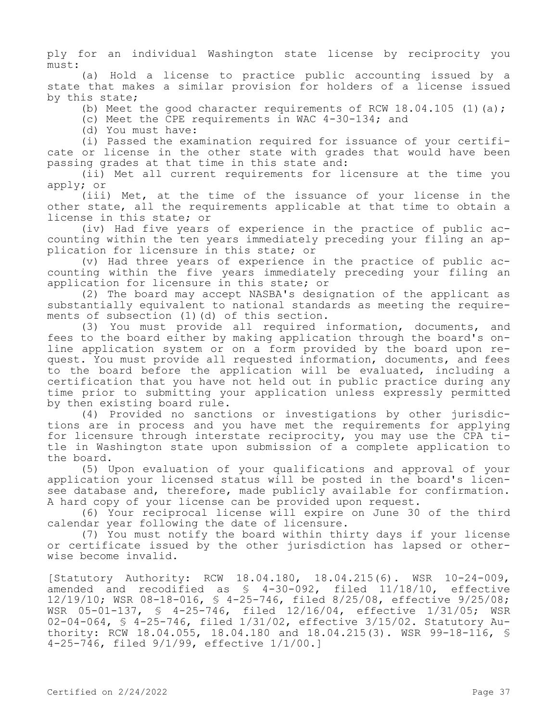ply for an individual Washington state license by reciprocity you must:

(a) Hold a license to practice public accounting issued by a state that makes a similar provision for holders of a license issued by this state;

(b) Meet the good character requirements of RCW  $18.04.105$  (1)(a);

(c) Meet the CPE requirements in WAC 4-30-134; and

(d) You must have:

(i) Passed the examination required for issuance of your certificate or license in the other state with grades that would have been passing grades at that time in this state and:

(ii) Met all current requirements for licensure at the time you apply; or

(iii) Met, at the time of the issuance of your license in the other state, all the requirements applicable at that time to obtain a license in this state; or

(iv) Had five years of experience in the practice of public accounting within the ten years immediately preceding your filing an application for licensure in this state; or

(v) Had three years of experience in the practice of public accounting within the five years immediately preceding your filing an application for licensure in this state; or

(2) The board may accept NASBA's designation of the applicant as substantially equivalent to national standards as meeting the requirements of subsection (1)(d) of this section.

(3) You must provide all required information, documents, and fees to the board either by making application through the board's online application system or on a form provided by the board upon request. You must provide all requested information, documents, and fees to the board before the application will be evaluated, including a certification that you have not held out in public practice during any time prior to submitting your application unless expressly permitted by then existing board rule.

(4) Provided no sanctions or investigations by other jurisdictions are in process and you have met the requirements for applying for licensure through interstate reciprocity, you may use the CPA title in Washington state upon submission of a complete application to the board.

(5) Upon evaluation of your qualifications and approval of your application your licensed status will be posted in the board's licensee database and, therefore, made publicly available for confirmation. A hard copy of your license can be provided upon request.

(6) Your reciprocal license will expire on June 30 of the third calendar year following the date of licensure.

(7) You must notify the board within thirty days if your license or certificate issued by the other jurisdiction has lapsed or otherwise become invalid.

[Statutory Authority: RCW 18.04.180, 18.04.215(6). WSR 10-24-009, amended and recodified as § 4-30-092, filed 11/18/10, effective 12/19/10; WSR 08-18-016, § 4-25-746, filed 8/25/08, effective 9/25/08; WSR 05-01-137, § 4-25-746, filed 12/16/04, effective 1/31/05; WSR 02-04-064, § 4-25-746, filed 1/31/02, effective 3/15/02. Statutory Authority: RCW 18.04.055, 18.04.180 and 18.04.215(3). WSR 99-18-116, § 4-25-746, filed 9/1/99, effective 1/1/00.]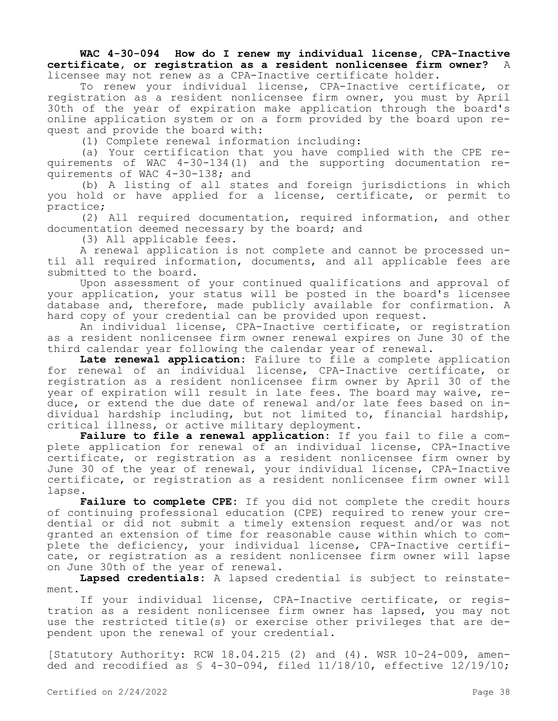### **WAC 4-30-094 How do I renew my individual license, CPA-Inactive certificate, or registration as a resident nonlicensee firm owner?** A licensee may not renew as a CPA-Inactive certificate holder.

To renew your individual license, CPA-Inactive certificate, or registration as a resident nonlicensee firm owner, you must by April 30th of the year of expiration make application through the board's online application system or on a form provided by the board upon request and provide the board with:

(1) Complete renewal information including:

(a) Your certification that you have complied with the CPE requirements of WAC 4-30-134(1) and the supporting documentation requirements of WAC 4-30-138; and

(b) A listing of all states and foreign jurisdictions in which you hold or have applied for a license, certificate, or permit to practice;

(2) All required documentation, required information, and other documentation deemed necessary by the board; and

(3) All applicable fees.

A renewal application is not complete and cannot be processed until all required information, documents, and all applicable fees are submitted to the board.

Upon assessment of your continued qualifications and approval of your application, your status will be posted in the board's licensee database and, therefore, made publicly available for confirmation. A hard copy of your credential can be provided upon request.

An individual license, CPA-Inactive certificate, or registration as a resident nonlicensee firm owner renewal expires on June 30 of the third calendar year following the calendar year of renewal.

**Late renewal application:** Failure to file a complete application for renewal of an individual license, CPA-Inactive certificate, or registration as a resident nonlicensee firm owner by April 30 of the year of expiration will result in late fees. The board may waive, reduce, or extend the due date of renewal and/or late fees based on individual hardship including, but not limited to, financial hardship, critical illness, or active military deployment.

**Failure to file a renewal application:** If you fail to file a complete application for renewal of an individual license, CPA-Inactive certificate, or registration as a resident nonlicensee firm owner by June 30 of the year of renewal, your individual license, CPA-Inactive certificate, or registration as a resident nonlicensee firm owner will lapse.

**Failure to complete CPE:** If you did not complete the credit hours of continuing professional education (CPE) required to renew your credential or did not submit a timely extension request and/or was not granted an extension of time for reasonable cause within which to complete the deficiency, your individual license, CPA-Inactive certificate, or registration as a resident nonlicensee firm owner will lapse on June 30th of the year of renewal.

**Lapsed credentials:** A lapsed credential is subject to reinstatement.

If your individual license, CPA-Inactive certificate, or registration as a resident nonlicensee firm owner has lapsed, you may not use the restricted title(s) or exercise other privileges that are dependent upon the renewal of your credential.

[Statutory Authority: RCW 18.04.215 (2) and (4). WSR 10-24-009, amended and recodified as  $$ 4-30-094$ , filed  $11/18/10$ , effective  $12/19/10$ ;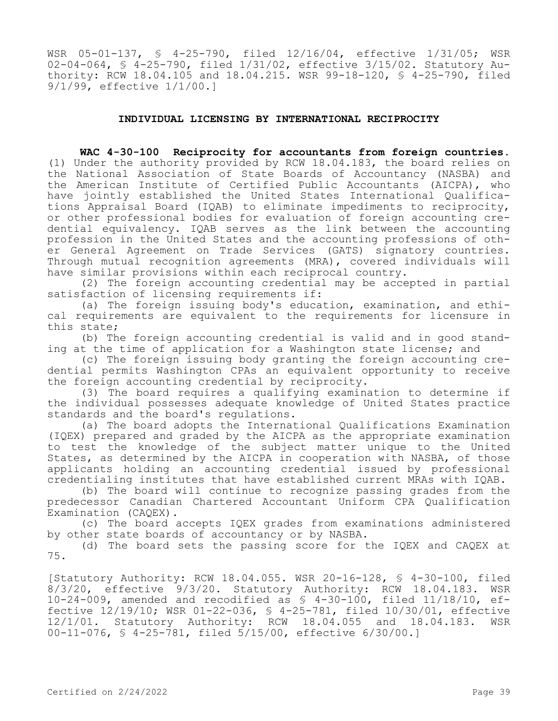WSR 05-01-137, § 4-25-790, filed 12/16/04, effective 1/31/05; WSR 02-04-064, § 4-25-790, filed 1/31/02, effective 3/15/02. Statutory Authority: RCW 18.04.105 and 18.04.215. WSR 99-18-120, § 4-25-790, filed 9/1/99, effective 1/1/00.]

#### **INDIVIDUAL LICENSING BY INTERNATIONAL RECIPROCITY**

**WAC 4-30-100 Reciprocity for accountants from foreign countries.**  (1) Under the authority provided by RCW 18.04.183, the board relies on the National Association of State Boards of Accountancy (NASBA) and the American Institute of Certified Public Accountants (AICPA), who have jointly established the United States International Qualifications Appraisal Board (IQAB) to eliminate impediments to reciprocity, or other professional bodies for evaluation of foreign accounting credential equivalency. IQAB serves as the link between the accounting profession in the United States and the accounting professions of other General Agreement on Trade Services (GATS) signatory countries. Through mutual recognition agreements (MRA), covered individuals will have similar provisions within each reciprocal country.

(2) The foreign accounting credential may be accepted in partial satisfaction of licensing requirements if:

(a) The foreign issuing body's education, examination, and ethical requirements are equivalent to the requirements for licensure in this state;

(b) The foreign accounting credential is valid and in good standing at the time of application for a Washington state license; and

(c) The foreign issuing body granting the foreign accounting credential permits Washington CPAs an equivalent opportunity to receive the foreign accounting credential by reciprocity.

(3) The board requires a qualifying examination to determine if the individual possesses adequate knowledge of United States practice standards and the board's regulations.

(a) The board adopts the International Qualifications Examination (IQEX) prepared and graded by the AICPA as the appropriate examination to test the knowledge of the subject matter unique to the United States, as determined by the AICPA in cooperation with NASBA, of those applicants holding an accounting credential issued by professional credentialing institutes that have established current MRAs with IQAB.

(b) The board will continue to recognize passing grades from the predecessor Canadian Chartered Accountant Uniform CPA Qualification Examination (CAQEX).

(c) The board accepts IQEX grades from examinations administered by other state boards of accountancy or by NASBA.

(d) The board sets the passing score for the IQEX and CAQEX at 75.

[Statutory Authority: RCW 18.04.055. WSR 20-16-128, § 4-30-100, filed 8/3/20, effective 9/3/20. Statutory Authority: RCW 18.04.183. WSR 10-24-009, amended and recodified as § 4-30-100, filed 11/18/10, effective 12/19/10; WSR 01-22-036, § 4-25-781, filed 10/30/01, effective 12/1/01. Statutory Authority: RCW 18.04.055 and 18.04.183. WSR 00-11-076, § 4-25-781, filed 5/15/00, effective 6/30/00.]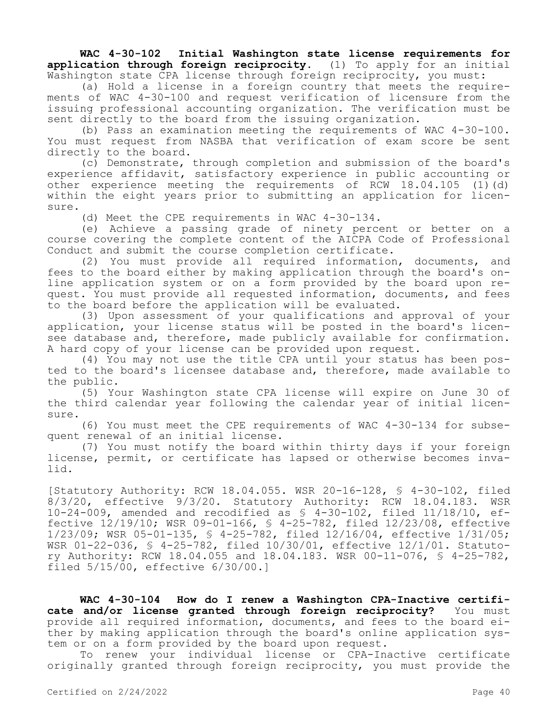**WAC 4-30-102 Initial Washington state license requirements for application through foreign reciprocity.** (1) To apply for an initial Washington state CPA license through foreign reciprocity, you must:

(a) Hold a license in a foreign country that meets the requirements of WAC 4-30-100 and request verification of licensure from the issuing professional accounting organization. The verification must be sent directly to the board from the issuing organization.

(b) Pass an examination meeting the requirements of WAC 4-30-100. You must request from NASBA that verification of exam score be sent directly to the board.

(c) Demonstrate, through completion and submission of the board's experience affidavit, satisfactory experience in public accounting or other experience meeting the requirements of RCW  $18.04.105$  (1)(d) within the eight years prior to submitting an application for licensure.

(d) Meet the CPE requirements in WAC 4-30-134.

(e) Achieve a passing grade of ninety percent or better on a course covering the complete content of the AICPA Code of Professional Conduct and submit the course completion certificate.

(2) You must provide all required information, documents, and fees to the board either by making application through the board's online application system or on a form provided by the board upon request. You must provide all requested information, documents, and fees to the board before the application will be evaluated.

(3) Upon assessment of your qualifications and approval of your application, your license status will be posted in the board's licensee database and, therefore, made publicly available for confirmation. A hard copy of your license can be provided upon request.

(4) You may not use the title CPA until your status has been posted to the board's licensee database and, therefore, made available to the public.

(5) Your Washington state CPA license will expire on June 30 of the third calendar year following the calendar year of initial licensure.

(6) You must meet the CPE requirements of WAC 4-30-134 for subsequent renewal of an initial license.

(7) You must notify the board within thirty days if your foreign license, permit, or certificate has lapsed or otherwise becomes invalid.

[Statutory Authority: RCW 18.04.055. WSR 20-16-128, § 4-30-102, filed 8/3/20, effective 9/3/20. Statutory Authority: RCW 18.04.183. WSR 10-24-009, amended and recodified as § 4-30-102, filed 11/18/10, effective 12/19/10; WSR 09-01-166, § 4-25-782, filed 12/23/08, effective 1/23/09; WSR 05-01-135, § 4-25-782, filed 12/16/04, effective 1/31/05; WSR 01-22-036, § 4-25-782, filed 10/30/01, effective 12/1/01. Statutory Authority: RCW 18.04.055 and 18.04.183. WSR 00-11-076, § 4-25-782, filed 5/15/00, effective 6/30/00.]

WAC 4-30-104 How do I renew a Washington CPA-Inactive certifi-<br>and/or license granted through foreign reciprocity? You must cate and/or license granted through foreign reciprocity? provide all required information, documents, and fees to the board either by making application through the board's online application system or on a form provided by the board upon request.

To renew your individual license or CPA-Inactive certificate originally granted through foreign reciprocity, you must provide the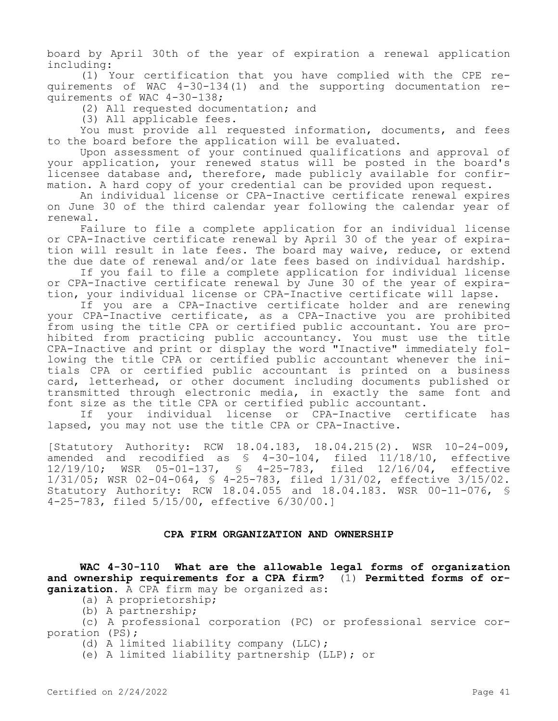board by April 30th of the year of expiration a renewal application including:

(1) Your certification that you have complied with the CPE requirements of WAC 4-30-134(1) and the supporting documentation requirements of WAC 4-30-138;

(2) All requested documentation; and

(3) All applicable fees.

You must provide all requested information, documents, and fees to the board before the application will be evaluated.

Upon assessment of your continued qualifications and approval of your application, your renewed status will be posted in the board's licensee database and, therefore, made publicly available for confirmation. A hard copy of your credential can be provided upon request.

An individual license or CPA-Inactive certificate renewal expires on June 30 of the third calendar year following the calendar year of renewal.

Failure to file a complete application for an individual license or CPA-Inactive certificate renewal by April 30 of the year of expiration will result in late fees. The board may waive, reduce, or extend the due date of renewal and/or late fees based on individual hardship.

If you fail to file a complete application for individual license or CPA-Inactive certificate renewal by June 30 of the year of expiration, your individual license or CPA-Inactive certificate will lapse.

If you are a CPA-Inactive certificate holder and are renewing your CPA-Inactive certificate, as a CPA-Inactive you are prohibited from using the title CPA or certified public accountant. You are prohibited from practicing public accountancy. You must use the title CPA-Inactive and print or display the word "Inactive" immediately following the title CPA or certified public accountant whenever the initials CPA or certified public accountant is printed on a business card, letterhead, or other document including documents published or transmitted through electronic media, in exactly the same font and font size as the title CPA or certified public accountant.

If your individual license or CPA-Inactive certificate has lapsed, you may not use the title CPA or CPA-Inactive.

[Statutory Authority: RCW 18.04.183, 18.04.215(2). WSR 10-24-009, amended and recodified as § 4-30-104, filed 11/18/10, effective 12/19/10; WSR 05-01-137, § 4-25-783, filed 12/16/04, effective 1/31/05; WSR 02-04-064, § 4-25-783, filed 1/31/02, effective 3/15/02. Statutory Authority: RCW 18.04.055 and 18.04.183. WSR 00-11-076, § 4-25-783, filed 5/15/00, effective 6/30/00.]

## **CPA FIRM ORGANIZATION AND OWNERSHIP**

**WAC 4-30-110 What are the allowable legal forms of organization and ownership requirements for a CPA firm?** (1) **Permitted forms of organization.** A CPA firm may be organized as:

(a) A proprietorship;

(b) A partnership;

(c) A professional corporation (PC) or professional service corporation (PS);

(d) A limited liability company (LLC);

(e) A limited liability partnership (LLP); or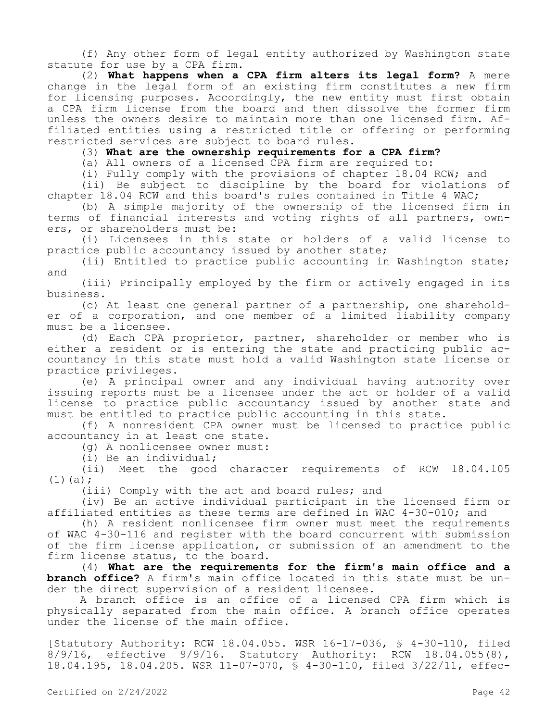(f) Any other form of legal entity authorized by Washington state statute for use by a CPA firm.

(2) **What happens when a CPA firm alters its legal form?** A mere change in the legal form of an existing firm constitutes a new firm for licensing purposes. Accordingly, the new entity must first obtain a CPA firm license from the board and then dissolve the former firm unless the owners desire to maintain more than one licensed firm. Affiliated entities using a restricted title or offering or performing restricted services are subject to board rules.

(3) **What are the ownership requirements for a CPA firm?**

(a) All owners of a licensed CPA firm are required to:

(i) Fully comply with the provisions of chapter 18.04 RCW; and

(ii) Be subject to discipline by the board for violations of chapter 18.04 RCW and this board's rules contained in Title 4 WAC;

(b) A simple majority of the ownership of the licensed firm in terms of financial interests and voting rights of all partners, owners, or shareholders must be:

(i) Licensees in this state or holders of a valid license to practice public accountancy issued by another state;

(ii) Entitled to practice public accounting in Washington state; and

(iii) Principally employed by the firm or actively engaged in its business.

(c) At least one general partner of a partnership, one shareholder of a corporation, and one member of a limited liability company must be a licensee.

(d) Each CPA proprietor, partner, shareholder or member who is either a resident or is entering the state and practicing public accountancy in this state must hold a valid Washington state license or practice privileges.

(e) A principal owner and any individual having authority over issuing reports must be a licensee under the act or holder of a valid license to practice public accountancy issued by another state and must be entitled to practice public accounting in this state.

(f) A nonresident CPA owner must be licensed to practice public accountancy in at least one state.

(g) A nonlicensee owner must:

(i) Be an individual;

(ii) Meet the good character requirements of RCW 18.04.105  $(1)(a);$ 

(iii) Comply with the act and board rules; and

(iv) Be an active individual participant in the licensed firm or affiliated entities as these terms are defined in WAC 4-30-010; and

(h) A resident nonlicensee firm owner must meet the requirements of WAC 4-30-116 and register with the board concurrent with submission of the firm license application, or submission of an amendment to the firm license status, to the board.

(4) **What are the requirements for the firm's main office and a branch office?** A firm's main office located in this state must be under the direct supervision of a resident licensee.

A branch office is an office of a licensed CPA firm which is physically separated from the main office. A branch office operates under the license of the main office.

[Statutory Authority: RCW 18.04.055. WSR 16-17-036, § 4-30-110, filed 8/9/16, effective 9/9/16. Statutory Authority: RCW 18.04.055(8), 18.04.195, 18.04.205. WSR 11-07-070, § 4-30-110, filed 3/22/11, effec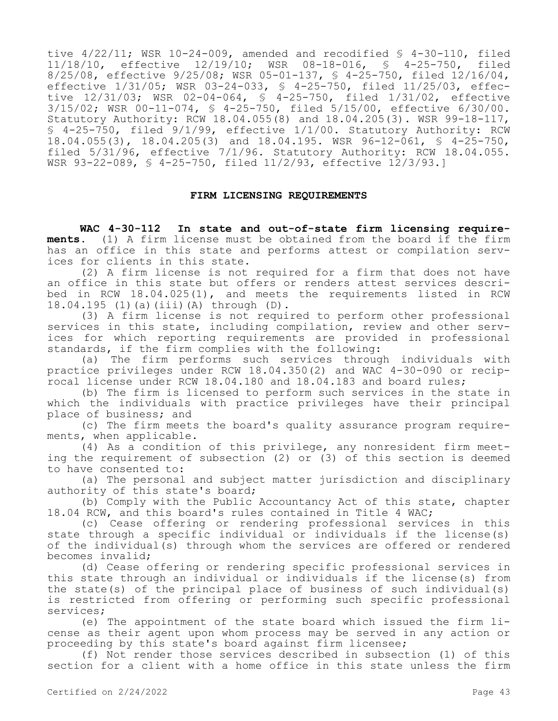tive 4/22/11; WSR 10-24-009, amended and recodified § 4-30-110, filed 11/18/10, effective 12/19/10; WSR 08-18-016, § 4-25-750, filed 8/25/08, effective 9/25/08; WSR 05-01-137, § 4-25-750, filed 12/16/04, effective 1/31/05; WSR 03-24-033, § 4-25-750, filed 11/25/03, effective 12/31/03; WSR 02-04-064, § 4-25-750, filed 1/31/02, effective 3/15/02; WSR 00-11-074, § 4-25-750, filed 5/15/00, effective 6/30/00. Statutory Authority: RCW 18.04.055(8) and 18.04.205(3). WSR 99-18-117, § 4-25-750, filed 9/1/99, effective 1/1/00. Statutory Authority: RCW 18.04.055(3), 18.04.205(3) and 18.04.195. WSR 96-12-061, § 4-25-750, filed 5/31/96, effective 7/1/96. Statutory Authority: RCW 18.04.055. WSR 93-22-089, § 4-25-750, filed 11/2/93, effective 12/3/93.]

#### **FIRM LICENSING REQUIREMENTS**

**WAC 4-30-112 In state and out-of-state firm licensing requirements.** (1) A firm license must be obtained from the board if the firm has an office in this state and performs attest or compilation services for clients in this state.

(2) A firm license is not required for a firm that does not have an office in this state but offers or renders attest services described in RCW 18.04.025(1), and meets the requirements listed in RCW 18.04.195 (1)(a)(iii)(A) through (D).

(3) A firm license is not required to perform other professional services in this state, including compilation, review and other services for which reporting requirements are provided in professional standards, if the firm complies with the following:

(a) The firm performs such services through individuals with practice privileges under RCW 18.04.350(2) and WAC 4-30-090 or reciprocal license under RCW 18.04.180 and 18.04.183 and board rules;

(b) The firm is licensed to perform such services in the state in which the individuals with practice privileges have their principal place of business; and

(c) The firm meets the board's quality assurance program requirements, when applicable.

(4) As a condition of this privilege, any nonresident firm meeting the requirement of subsection (2) or (3) of this section is deemed to have consented to:

(a) The personal and subject matter jurisdiction and disciplinary authority of this state's board;

(b) Comply with the Public Accountancy Act of this state, chapter 18.04 RCW, and this board's rules contained in Title 4 WAC;

(c) Cease offering or rendering professional services in this state through a specific individual or individuals if the license(s) of the individual(s) through whom the services are offered or rendered becomes invalid;

(d) Cease offering or rendering specific professional services in this state through an individual or individuals if the license(s) from the state(s) of the principal place of business of such individual(s) is restricted from offering or performing such specific professional services;

(e) The appointment of the state board which issued the firm license as their agent upon whom process may be served in any action or proceeding by this state's board against firm licensee;

(f) Not render those services described in subsection (1) of this section for a client with a home office in this state unless the firm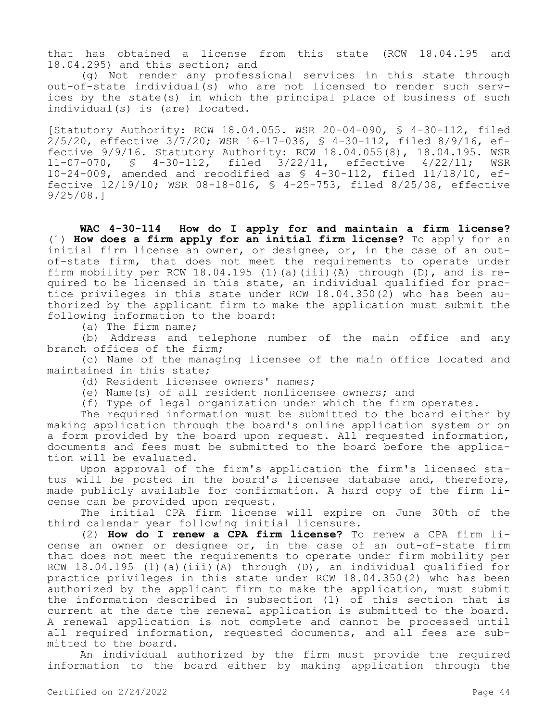that has obtained a license from this state (RCW 18.04.195 and 18.04.295) and this section; and

(g) Not render any professional services in this state through out-of-state individual(s) who are not licensed to render such services by the state(s) in which the principal place of business of such individual(s) is (are) located.

[Statutory Authority: RCW 18.04.055. WSR 20-04-090, § 4-30-112, filed 2/5/20, effective 3/7/20; WSR 16-17-036, § 4-30-112, filed 8/9/16, effective 9/9/16. Statutory Authority: RCW 18.04.055(8), 18.04.195. WSR 11-07-070, § 4-30-112, filed 3/22/11, effective 4/22/11; WSR 10-24-009, amended and recodified as § 4-30-112, filed 11/18/10, effective 12/19/10; WSR 08-18-016, § 4-25-753, filed 8/25/08, effective 9/25/08.]

**WAC 4-30-114 How do I apply for and maintain a firm license?**  (1) **How does a firm apply for an initial firm license?** To apply for an initial firm license an owner, or designee, or, in the case of an outof-state firm, that does not meet the requirements to operate under firm mobility per RCW  $18.04.195$  (1)(a)(iii)(A) through (D), and is required to be licensed in this state, an individual qualified for practice privileges in this state under RCW 18.04.350(2) who has been authorized by the applicant firm to make the application must submit the following information to the board:

(a) The firm name;

(b) Address and telephone number of the main office and any branch offices of the firm;

(c) Name of the managing licensee of the main office located and maintained in this state;

(d) Resident licensee owners' names;

(e) Name(s) of all resident nonlicensee owners; and

(f) Type of legal organization under which the firm operates.

The required information must be submitted to the board either by making application through the board's online application system or on a form provided by the board upon request. All requested information, documents and fees must be submitted to the board before the application will be evaluated.

Upon approval of the firm's application the firm's licensed status will be posted in the board's licensee database and, therefore, made publicly available for confirmation. A hard copy of the firm license can be provided upon request.

The initial CPA firm license will expire on June 30th of the third calendar year following initial licensure.

(2) **How do I renew a CPA firm license?** To renew a CPA firm license an owner or designee or, in the case of an out-of-state firm that does not meet the requirements to operate under firm mobility per RCW 18.04.195 (1)(a)(iii)(A) through (D), an individual qualified for practice privileges in this state under RCW 18.04.350(2) who has been authorized by the applicant firm to make the application, must submit the information described in subsection (1) of this section that is current at the date the renewal application is submitted to the board. A renewal application is not complete and cannot be processed until all required information, requested documents, and all fees are submitted to the board.

An individual authorized by the firm must provide the required information to the board either by making application through the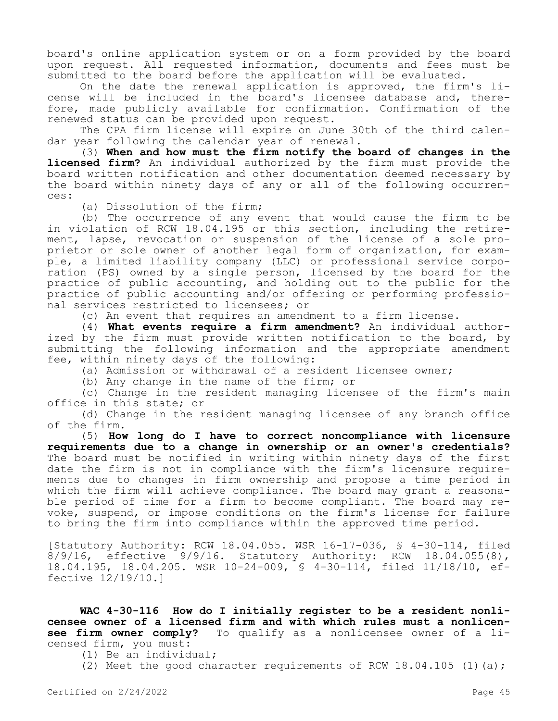board's online application system or on a form provided by the board upon request. All requested information, documents and fees must be submitted to the board before the application will be evaluated.

On the date the renewal application is approved, the firm's license will be included in the board's licensee database and, therefore, made publicly available for confirmation. Confirmation of the renewed status can be provided upon request.

The CPA firm license will expire on June 30th of the third calendar year following the calendar year of renewal.

(3) **When and how must the firm notify the board of changes in the licensed firm?** An individual authorized by the firm must provide the board written notification and other documentation deemed necessary by the board within ninety days of any or all of the following occurrences:

(a) Dissolution of the firm;

(b) The occurrence of any event that would cause the firm to be in violation of RCW 18.04.195 or this section, including the retirement, lapse, revocation or suspension of the license of a sole proprietor or sole owner of another legal form of organization, for example, a limited liability company (LLC) or professional service corporation (PS) owned by a single person, licensed by the board for the practice of public accounting, and holding out to the public for the practice of public accounting and/or offering or performing professional services restricted to licensees; or

(c) An event that requires an amendment to a firm license.

(4) **What events require a firm amendment?** An individual authorized by the firm must provide written notification to the board, by submitting the following information and the appropriate amendment fee, within ninety days of the following:

(a) Admission or withdrawal of a resident licensee owner;

(b) Any change in the name of the firm; or

(c) Change in the resident managing licensee of the firm's main office in this state; or

(d) Change in the resident managing licensee of any branch office of the firm.

(5) **How long do I have to correct noncompliance with licensure requirements due to a change in ownership or an owner's credentials?**  The board must be notified in writing within ninety days of the first date the firm is not in compliance with the firm's licensure requirements due to changes in firm ownership and propose a time period in which the firm will achieve compliance. The board may grant a reasonable period of time for a firm to become compliant. The board may revoke, suspend, or impose conditions on the firm's license for failure to bring the firm into compliance within the approved time period.

[Statutory Authority: RCW 18.04.055. WSR 16-17-036, § 4-30-114, filed 8/9/16, effective 9/9/16. Statutory Authority: RCW 18.04.055(8), 18.04.195, 18.04.205. WSR 10-24-009, § 4-30-114, filed 11/18/10, effective 12/19/10.]

**WAC 4-30-116 How do I initially register to be a resident nonlicensee owner of a licensed firm and with which rules must a nonlicen-**<br>**see firm owner comply?** To qualify as a nonlicensee owner of a li-To qualify as a nonlicensee owner of a licensed firm, you must:

(1) Be an individual;

(2) Meet the good character requirements of RCW  $18.04.105$  (1)(a);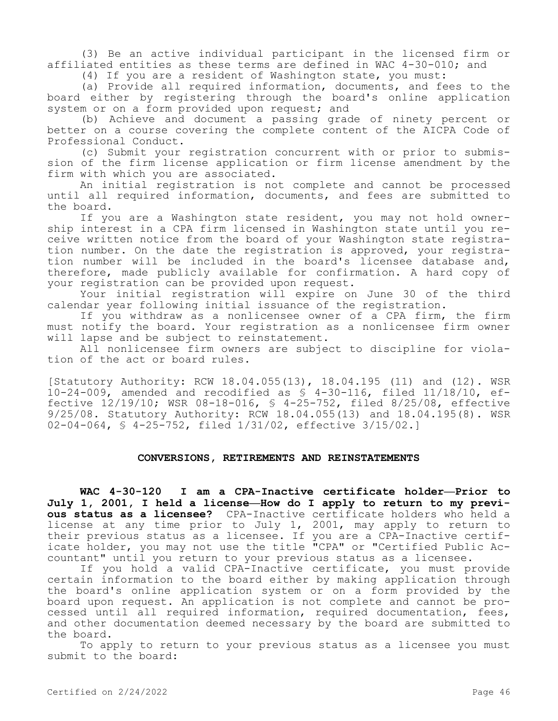(3) Be an active individual participant in the licensed firm or affiliated entities as these terms are defined in WAC 4-30-010; and

(4) If you are a resident of Washington state, you must:

(a) Provide all required information, documents, and fees to the board either by registering through the board's online application system or on a form provided upon request; and

(b) Achieve and document a passing grade of ninety percent or better on a course covering the complete content of the AICPA Code of Professional Conduct.

(c) Submit your registration concurrent with or prior to submission of the firm license application or firm license amendment by the firm with which you are associated.

An initial registration is not complete and cannot be processed until all required information, documents, and fees are submitted to the board.

If you are a Washington state resident, you may not hold ownership interest in a CPA firm licensed in Washington state until you receive written notice from the board of your Washington state registration number. On the date the registration is approved, your registration number will be included in the board's licensee database and, therefore, made publicly available for confirmation. A hard copy of your registration can be provided upon request.

Your initial registration will expire on June 30 of the third calendar year following initial issuance of the registration.

If you withdraw as a nonlicensee owner of a CPA firm, the firm must notify the board. Your registration as a nonlicensee firm owner will lapse and be subject to reinstatement.

All nonlicensee firm owners are subject to discipline for violation of the act or board rules.

[Statutory Authority: RCW 18.04.055(13), 18.04.195 (11) and (12). WSR 10-24-009, amended and recodified as § 4-30-116, filed 11/18/10, effective 12/19/10; WSR 08-18-016, § 4-25-752, filed 8/25/08, effective 9/25/08. Statutory Authority: RCW 18.04.055(13) and 18.04.195(8). WSR 02-04-064, § 4-25-752, filed 1/31/02, effective 3/15/02.]

## **CONVERSIONS, RETIREMENTS AND REINSTATEMENTS**

**WAC 4-30-120 I am a CPA-Inactive certificate holder—Prior to July 1, 2001, I held a license—How do I apply to return to my previous status as a licensee?** CPA-Inactive certificate holders who held a license at any time prior to July 1, 2001, may apply to return to their previous status as a licensee. If you are a CPA-Inactive certificate holder, you may not use the title "CPA" or "Certified Public Accountant" until you return to your previous status as a licensee.

If you hold a valid CPA-Inactive certificate, you must provide certain information to the board either by making application through the board's online application system or on a form provided by the board upon request. An application is not complete and cannot be processed until all required information, required documentation, fees, and other documentation deemed necessary by the board are submitted to the board.

To apply to return to your previous status as a licensee you must submit to the board: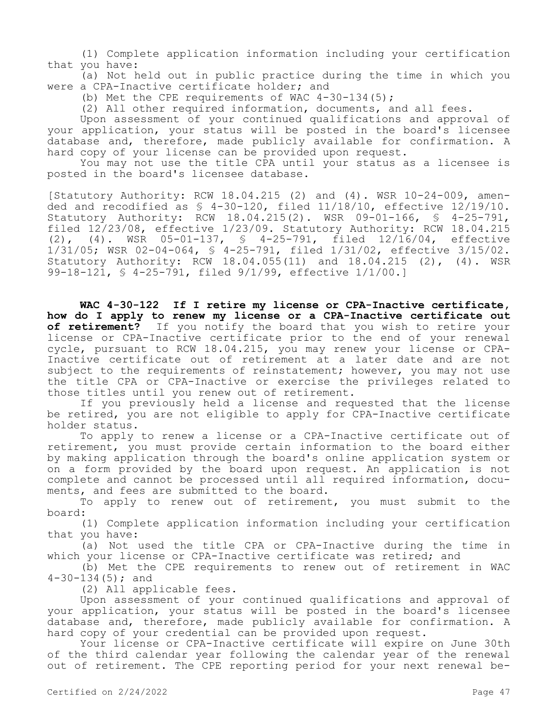(1) Complete application information including your certification that you have:

(a) Not held out in public practice during the time in which you were a CPA-Inactive certificate holder; and

(b) Met the CPE requirements of WAC  $4-30-134(5)$ ;

(2) All other required information, documents, and all fees.

Upon assessment of your continued qualifications and approval of your application, your status will be posted in the board's licensee database and, therefore, made publicly available for confirmation. A hard copy of your license can be provided upon request.

You may not use the title CPA until your status as a licensee is posted in the board's licensee database.

[Statutory Authority: RCW 18.04.215 (2) and (4). WSR 10-24-009, amended and recodified as § 4-30-120, filed 11/18/10, effective 12/19/10. Statutory Authority: RCW 18.04.215(2). WSR 09-01-166, § 4-25-791, filed 12/23/08, effective 1/23/09. Statutory Authority: RCW 18.04.215 (2), (4). WSR 05-01-137, § 4-25-791, filed 12/16/04, effective 1/31/05; WSR 02-04-064, § 4-25-791, filed 1/31/02, effective 3/15/02. Statutory Authority: RCW 18.04.055(11) and 18.04.215 (2), (4). WSR 99-18-121, § 4-25-791, filed 9/1/99, effective 1/1/00.]

**WAC 4-30-122 If I retire my license or CPA-Inactive certificate, how do I apply to renew my license or a CPA-Inactive certificate out of retirement?** If you notify the board that you wish to retire your license or CPA-Inactive certificate prior to the end of your renewal cycle, pursuant to RCW 18.04.215, you may renew your license or CPA-Inactive certificate out of retirement at a later date and are not subject to the requirements of reinstatement; however, you may not use the title CPA or CPA-Inactive or exercise the privileges related to those titles until you renew out of retirement.

If you previously held a license and requested that the license be retired, you are not eligible to apply for CPA-Inactive certificate holder status.

To apply to renew a license or a CPA-Inactive certificate out of retirement, you must provide certain information to the board either by making application through the board's online application system or on a form provided by the board upon request. An application is not complete and cannot be processed until all required information, documents, and fees are submitted to the board.

To apply to renew out of retirement, you must submit to the board:

(1) Complete application information including your certification that you have:

(a) Not used the title CPA or CPA-Inactive during the time in which your license or CPA-Inactive certificate was retired; and

(b) Met the CPE requirements to renew out of retirement in WAC 4-30-134(5); and

(2) All applicable fees.

Upon assessment of your continued qualifications and approval of your application, your status will be posted in the board's licensee database and, therefore, made publicly available for confirmation. A hard copy of your credential can be provided upon request.

Your license or CPA-Inactive certificate will expire on June 30th of the third calendar year following the calendar year of the renewal out of retirement. The CPE reporting period for your next renewal be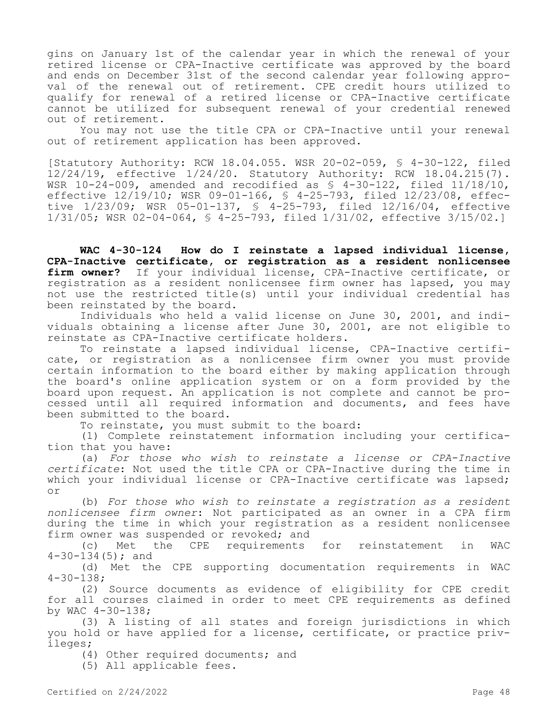gins on January 1st of the calendar year in which the renewal of your retired license or CPA-Inactive certificate was approved by the board and ends on December 31st of the second calendar year following approval of the renewal out of retirement. CPE credit hours utilized to qualify for renewal of a retired license or CPA-Inactive certificate cannot be utilized for subsequent renewal of your credential renewed out of retirement.

You may not use the title CPA or CPA-Inactive until your renewal out of retirement application has been approved.

[Statutory Authority: RCW 18.04.055. WSR 20-02-059, § 4-30-122, filed 12/24/19, effective 1/24/20. Statutory Authority: RCW 18.04.215(7). WSR  $10-24-009$ , amended and recodified as  $$4-30-122$ , filed  $11/18/10$ , effective 12/19/10; WSR 09-01-166, § 4-25-793, filed 12/23/08, effective 1/23/09; WSR 05-01-137, § 4-25-793, filed 12/16/04, effective 1/31/05; WSR 02-04-064, § 4-25-793, filed 1/31/02, effective 3/15/02.]

**WAC 4-30-124 How do I reinstate a lapsed individual license, CPA-Inactive certificate, or registration as a resident nonlicensee firm owner?** If your individual license, CPA-Inactive certificate, or registration as a resident nonlicensee firm owner has lapsed, you may not use the restricted title(s) until your individual credential has been reinstated by the board.

Individuals who held a valid license on June 30, 2001, and individuals obtaining a license after June 30, 2001, are not eligible to reinstate as CPA-Inactive certificate holders.

To reinstate a lapsed individual license, CPA-Inactive certificate, or registration as a nonlicensee firm owner you must provide certain information to the board either by making application through the board's online application system or on a form provided by the board upon request. An application is not complete and cannot be processed until all required information and documents, and fees have been submitted to the board.

To reinstate, you must submit to the board:

(1) Complete reinstatement information including your certification that you have:

(a) *For those who wish to reinstate a license or CPA-Inactive certificate*: Not used the title CPA or CPA-Inactive during the time in which your individual license or CPA-Inactive certificate was lapsed; or

(b) *For those who wish to reinstate a registration as a resident nonlicensee firm owner*: Not participated as an owner in a CPA firm during the time in which your registration as a resident nonlicensee firm owner was suspended or revoked; and

(c) Met the CPE requirements for reinstatement in WAC  $4-30-134(5)$ ; and

(d) Met the CPE supporting documentation requirements in WAC 4-30-138;

(2) Source documents as evidence of eligibility for CPE credit for all courses claimed in order to meet CPE requirements as defined by WAC 4-30-138;

(3) A listing of all states and foreign jurisdictions in which you hold or have applied for a license, certificate, or practice privileges;

(4) Other required documents; and

(5) All applicable fees.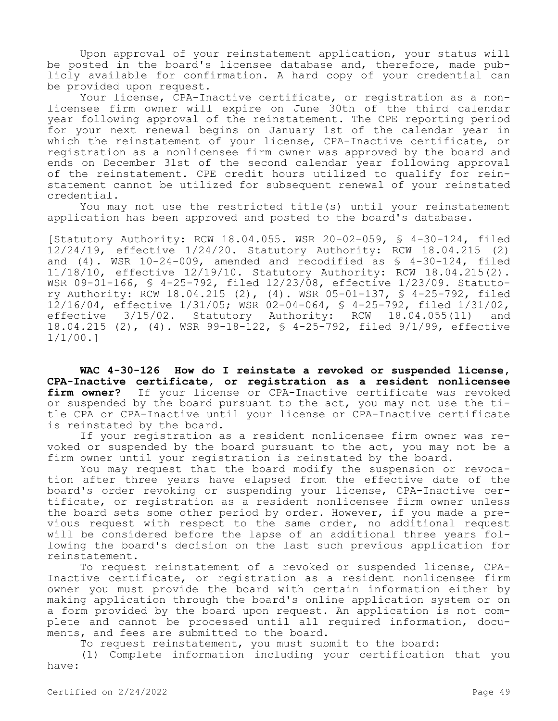Upon approval of your reinstatement application, your status will be posted in the board's licensee database and, therefore, made publicly available for confirmation. A hard copy of your credential can be provided upon request.

Your license, CPA-Inactive certificate, or registration as a nonlicensee firm owner will expire on June 30th of the third calendar year following approval of the reinstatement. The CPE reporting period for your next renewal begins on January 1st of the calendar year in which the reinstatement of your license, CPA-Inactive certificate, or registration as a nonlicensee firm owner was approved by the board and ends on December 31st of the second calendar year following approval of the reinstatement. CPE credit hours utilized to qualify for reinstatement cannot be utilized for subsequent renewal of your reinstated credential.

You may not use the restricted title(s) until your reinstatement application has been approved and posted to the board's database.

[Statutory Authority: RCW 18.04.055. WSR 20-02-059, § 4-30-124, filed 12/24/19, effective 1/24/20. Statutory Authority: RCW 18.04.215 (2) and (4). WSR 10-24-009, amended and recodified as § 4-30-124, filed 11/18/10, effective 12/19/10. Statutory Authority: RCW 18.04.215(2). WSR 09-01-166, § 4-25-792, filed 12/23/08, effective 1/23/09. Statutory Authority: RCW 18.04.215 (2), (4). WSR 05-01-137, § 4-25-792, filed 12/16/04, effective 1/31/05; WSR 02-04-064, § 4-25-792, filed 1/31/02, effective 3/15/02. Statutory Authority: RCW 18.04.055(11) and 18.04.215 (2), (4). WSR 99-18-122, § 4-25-792, filed 9/1/99, effective 1/1/00.]

**WAC 4-30-126 How do I reinstate a revoked or suspended license, CPA-Inactive certificate, or registration as a resident nonlicensee firm owner?** If your license or CPA-Inactive certificate was revoked or suspended by the board pursuant to the act, you may not use the title CPA or CPA-Inactive until your license or CPA-Inactive certificate is reinstated by the board.

If your registration as a resident nonlicensee firm owner was revoked or suspended by the board pursuant to the act, you may not be a firm owner until your registration is reinstated by the board.

You may request that the board modify the suspension or revocation after three years have elapsed from the effective date of the board's order revoking or suspending your license, CPA-Inactive certificate, or registration as a resident nonlicensee firm owner unless the board sets some other period by order. However, if you made a previous request with respect to the same order, no additional request will be considered before the lapse of an additional three years following the board's decision on the last such previous application for reinstatement.

To request reinstatement of a revoked or suspended license, CPA-Inactive certificate, or registration as a resident nonlicensee firm owner you must provide the board with certain information either by making application through the board's online application system or on a form provided by the board upon request. An application is not complete and cannot be processed until all required information, documents, and fees are submitted to the board.

To request reinstatement, you must submit to the board:

(1) Complete information including your certification that you have: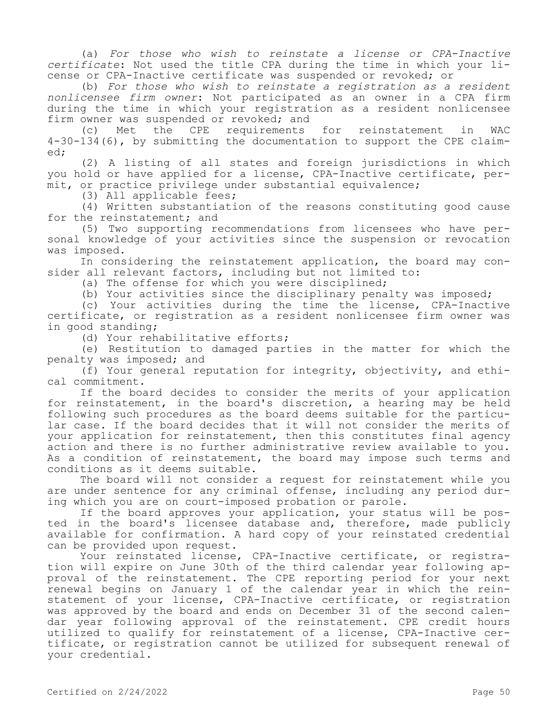(a) *For those who wish to reinstate a license or CPA-Inactive certificate*: Not used the title CPA during the time in which your license or CPA-Inactive certificate was suspended or revoked; or

(b) *For those who wish to reinstate a registration as a resident nonlicensee firm owner*: Not participated as an owner in a CPA firm during the time in which your registration as a resident nonlicensee firm owner was suspended or revoked; and

(c) Met the CPE requirements for reinstatement in WAC 4-30-134(6), by submitting the documentation to support the CPE claimed;

(2) A listing of all states and foreign jurisdictions in which you hold or have applied for a license, CPA-Inactive certificate, permit, or practice privilege under substantial equivalence;

(3) All applicable fees;

(4) Written substantiation of the reasons constituting good cause for the reinstatement; and

(5) Two supporting recommendations from licensees who have personal knowledge of your activities since the suspension or revocation was imposed.

In considering the reinstatement application, the board may consider all relevant factors, including but not limited to:

(a) The offense for which you were disciplined;

(b) Your activities since the disciplinary penalty was imposed;

(c) Your activities during the time the license, CPA-Inactive certificate, or registration as a resident nonlicensee firm owner was in good standing;

(d) Your rehabilitative efforts;

(e) Restitution to damaged parties in the matter for which the penalty was imposed; and

(f) Your general reputation for integrity, objectivity, and ethical commitment.

If the board decides to consider the merits of your application for reinstatement, in the board's discretion, a hearing may be held following such procedures as the board deems suitable for the particular case. If the board decides that it will not consider the merits of your application for reinstatement, then this constitutes final agency action and there is no further administrative review available to you. As a condition of reinstatement, the board may impose such terms and conditions as it deems suitable.

The board will not consider a request for reinstatement while you are under sentence for any criminal offense, including any period during which you are on court-imposed probation or parole.

If the board approves your application, your status will be posted in the board's licensee database and, therefore, made publicly available for confirmation. A hard copy of your reinstated credential can be provided upon request.

Your reinstated license, CPA-Inactive certificate, or registration will expire on June 30th of the third calendar year following approval of the reinstatement. The CPE reporting period for your next renewal begins on January 1 of the calendar year in which the reinstatement of your license, CPA-Inactive certificate, or registration was approved by the board and ends on December 31 of the second calendar year following approval of the reinstatement. CPE credit hours utilized to qualify for reinstatement of a license, CPA-Inactive certificate, or registration cannot be utilized for subsequent renewal of your credential.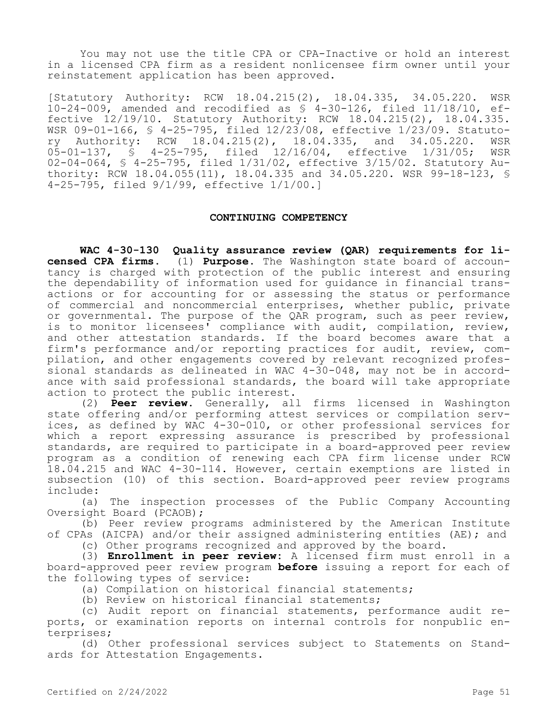You may not use the title CPA or CPA-Inactive or hold an interest in a licensed CPA firm as a resident nonlicensee firm owner until your reinstatement application has been approved.

[Statutory Authority: RCW 18.04.215(2), 18.04.335, 34.05.220. WSR 10-24-009, amended and recodified as § 4-30-126, filed 11/18/10, effective 12/19/10. Statutory Authority: RCW 18.04.215(2), 18.04.335. WSR 09-01-166, § 4-25-795, filed 12/23/08, effective 1/23/09. Statutory Authority: RCW 18.04.215(2), 18.04.335, and 34.05.220. WSR 05-01-137, § 4-25-795, filed 12/16/04, effective 1/31/05; WSR 02-04-064, § 4-25-795, filed 1/31/02, effective 3/15/02. Statutory Authority: RCW 18.04.055(11), 18.04.335 and 34.05.220. WSR 99-18-123, § 4-25-795, filed 9/1/99, effective 1/1/00.]

# **CONTINUING COMPETENCY**

**WAC 4-30-130 Quality assurance review (QAR) requirements for licensed CPA firms.** (1) **Purpose.** The Washington state board of accountancy is charged with protection of the public interest and ensuring the dependability of information used for guidance in financial transactions or for accounting for or assessing the status or performance of commercial and noncommercial enterprises, whether public, private or governmental. The purpose of the QAR program, such as peer review, is to monitor licensees' compliance with audit, compilation, review, and other attestation standards. If the board becomes aware that a firm's performance and/or reporting practices for audit, review, compilation, and other engagements covered by relevant recognized professional standards as delineated in WAC 4-30-048, may not be in accordance with said professional standards, the board will take appropriate action to protect the public interest.

(2) **Peer review.** Generally, all firms licensed in Washington state offering and/or performing attest services or compilation services, as defined by WAC 4-30-010, or other professional services for which a report expressing assurance is prescribed by professional standards, are required to participate in a board-approved peer review program as a condition of renewing each CPA firm license under RCW 18.04.215 and WAC 4-30-114. However, certain exemptions are listed in subsection (10) of this section. Board-approved peer review programs include:

(a) The inspection processes of the Public Company Accounting Oversight Board (PCAOB);

(b) Peer review programs administered by the American Institute of CPAs (AICPA) and/or their assigned administering entities (AE); and

(c) Other programs recognized and approved by the board.

(3) **Enrollment in peer review:** A licensed firm must enroll in a board-approved peer review program **before** issuing a report for each of the following types of service:

(a) Compilation on historical financial statements;

(b) Review on historical financial statements;

(c) Audit report on financial statements, performance audit reports, or examination reports on internal controls for nonpublic enterprises;

(d) Other professional services subject to Statements on Standards for Attestation Engagements.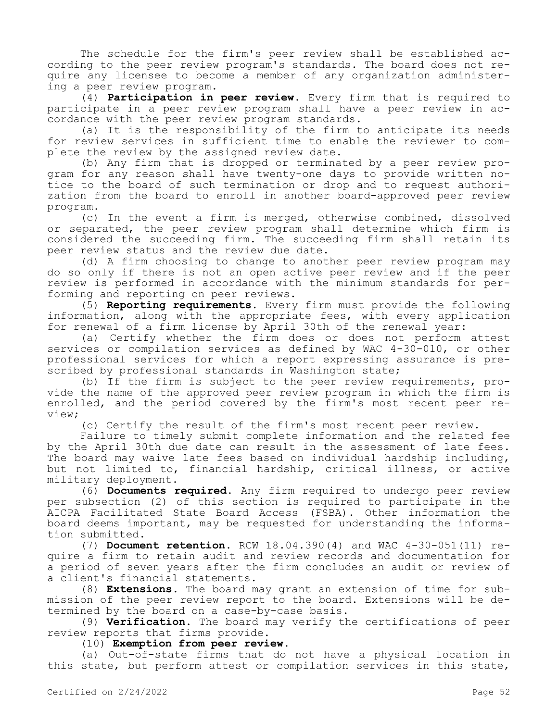The schedule for the firm's peer review shall be established according to the peer review program's standards. The board does not require any licensee to become a member of any organization administering a peer review program.

(4) **Participation in peer review.** Every firm that is required to participate in a peer review program shall have a peer review in accordance with the peer review program standards.

(a) It is the responsibility of the firm to anticipate its needs for review services in sufficient time to enable the reviewer to complete the review by the assigned review date.

(b) Any firm that is dropped or terminated by a peer review program for any reason shall have twenty-one days to provide written notice to the board of such termination or drop and to request authorization from the board to enroll in another board-approved peer review program.

(c) In the event a firm is merged, otherwise combined, dissolved or separated, the peer review program shall determine which firm is considered the succeeding firm. The succeeding firm shall retain its peer review status and the review due date.

(d) A firm choosing to change to another peer review program may do so only if there is not an open active peer review and if the peer review is performed in accordance with the minimum standards for performing and reporting on peer reviews.

(5) **Reporting requirements.** Every firm must provide the following information, along with the appropriate fees, with every application for renewal of a firm license by April 30th of the renewal year:

(a) Certify whether the firm does or does not perform attest services or compilation services as defined by WAC 4-30-010, or other professional services for which a report expressing assurance is prescribed by professional standards in Washington state;

(b) If the firm is subject to the peer review requirements, provide the name of the approved peer review program in which the firm is enrolled, and the period covered by the firm's most recent peer review;

(c) Certify the result of the firm's most recent peer review.

Failure to timely submit complete information and the related fee by the April 30th due date can result in the assessment of late fees. The board may waive late fees based on individual hardship including, but not limited to, financial hardship, critical illness, or active military deployment.

(6) **Documents required.** Any firm required to undergo peer review per subsection (2) of this section is required to participate in the AICPA Facilitated State Board Access (FSBA). Other information the board deems important, may be requested for understanding the information submitted.

(7) **Document retention.** RCW 18.04.390(4) and WAC 4-30-051(11) require a firm to retain audit and review records and documentation for a period of seven years after the firm concludes an audit or review of a client's financial statements.

(8) **Extensions.** The board may grant an extension of time for submission of the peer review report to the board. Extensions will be determined by the board on a case-by-case basis.

(9) **Verification.** The board may verify the certifications of peer review reports that firms provide.

(10) **Exemption from peer review.**

(a) Out-of-state firms that do not have a physical location in this state, but perform attest or compilation services in this state,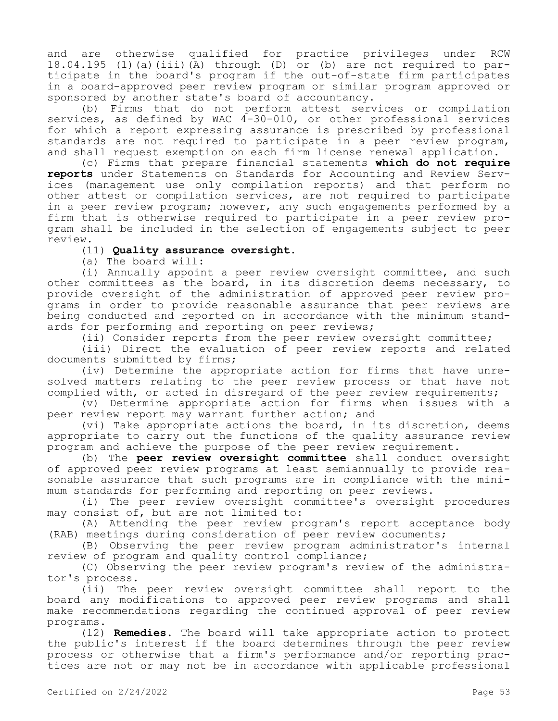and are otherwise qualified for practice privileges under RCW 18.04.195 (1)(a)(iii)(A) through (D) or (b) are not required to participate in the board's program if the out-of-state firm participates in a board-approved peer review program or similar program approved or sponsored by another state's board of accountancy.

(b) Firms that do not perform attest services or compilation services, as defined by WAC 4-30-010, or other professional services for which a report expressing assurance is prescribed by professional standards are not required to participate in a peer review program, and shall request exemption on each firm license renewal application.

(c) Firms that prepare financial statements **which do not require reports** under Statements on Standards for Accounting and Review Services (management use only compilation reports) and that perform no other attest or compilation services, are not required to participate in a peer review program; however, any such engagements performed by a firm that is otherwise required to participate in a peer review program shall be included in the selection of engagements subject to peer review.

# (11) **Quality assurance oversight.**

(a) The board will:

(i) Annually appoint a peer review oversight committee, and such other committees as the board, in its discretion deems necessary, to provide oversight of the administration of approved peer review programs in order to provide reasonable assurance that peer reviews are being conducted and reported on in accordance with the minimum standards for performing and reporting on peer reviews;

(ii) Consider reports from the peer review oversight committee;

(iii) Direct the evaluation of peer review reports and related documents submitted by firms;

(iv) Determine the appropriate action for firms that have unresolved matters relating to the peer review process or that have not complied with, or acted in disregard of the peer review requirements;

(v) Determine appropriate action for firms when issues with a peer review report may warrant further action; and

(vi) Take appropriate actions the board, in its discretion, deems appropriate to carry out the functions of the quality assurance review program and achieve the purpose of the peer review requirement.

(b) The **peer review oversight committee** shall conduct oversight of approved peer review programs at least semiannually to provide reasonable assurance that such programs are in compliance with the minimum standards for performing and reporting on peer reviews.

(i) The peer review oversight committee's oversight procedures may consist of, but are not limited to:

(A) Attending the peer review program's report acceptance body (RAB) meetings during consideration of peer review documents;

(B) Observing the peer review program administrator's internal review of program and quality control compliance;

(C) Observing the peer review program's review of the administrator's process.

(ii) The peer review oversight committee shall report to the board any modifications to approved peer review programs and shall make recommendations regarding the continued approval of peer review programs.

(12) **Remedies.** The board will take appropriate action to protect the public's interest if the board determines through the peer review process or otherwise that a firm's performance and/or reporting practices are not or may not be in accordance with applicable professional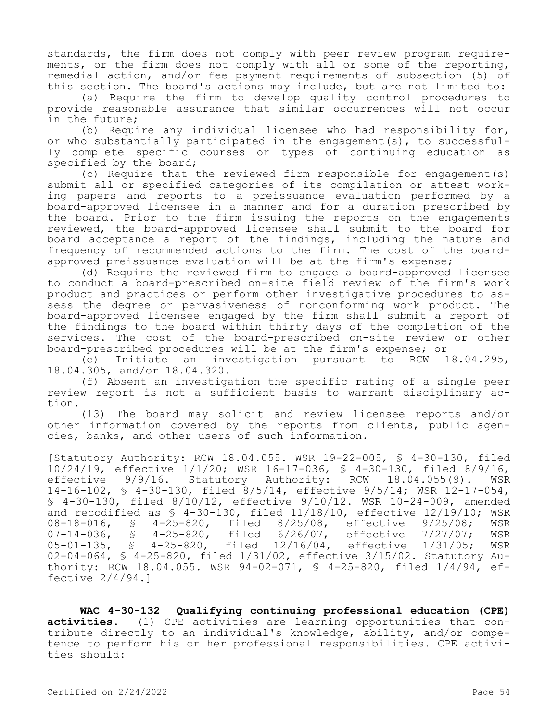standards, the firm does not comply with peer review program requirements, or the firm does not comply with all or some of the reporting, remedial action, and/or fee payment requirements of subsection (5) of this section. The board's actions may include, but are not limited to:

(a) Require the firm to develop quality control procedures to provide reasonable assurance that similar occurrences will not occur in the future;

(b) Require any individual licensee who had responsibility for, or who substantially participated in the engagement(s), to successfully complete specific courses or types of continuing education as specified by the board;

(c) Require that the reviewed firm responsible for engagement(s) submit all or specified categories of its compilation or attest working papers and reports to a preissuance evaluation performed by a board-approved licensee in a manner and for a duration prescribed by the board. Prior to the firm issuing the reports on the engagements reviewed, the board-approved licensee shall submit to the board for board acceptance a report of the findings, including the nature and frequency of recommended actions to the firm. The cost of the boardapproved preissuance evaluation will be at the firm's expense;

(d) Require the reviewed firm to engage a board-approved licensee to conduct a board-prescribed on-site field review of the firm's work product and practices or perform other investigative procedures to assess the degree or pervasiveness of nonconforming work product. The board-approved licensee engaged by the firm shall submit a report of the findings to the board within thirty days of the completion of the services. The cost of the board-prescribed on-site review or other

board-prescribed procedures will be at the firm's expense; or<br>(e) Initiate an investigation pursuant to RCW 18.04.295, (e) Initiate an investigation pursuant 18.04.305, and/or 18.04.320.

(f) Absent an investigation the specific rating of a single peer review report is not a sufficient basis to warrant disciplinary action.

(13) The board may solicit and review licensee reports and/or other information covered by the reports from clients, public agencies, banks, and other users of such information.

[Statutory Authority: RCW 18.04.055. WSR 19-22-005, § 4-30-130, filed 10/24/19, effective 1/1/20; WSR 16-17-036, § 4-30-130, filed 8/9/16, Statutory Authority: 14-16-102, § 4-30-130, filed 8/5/14, effective 9/5/14; WSR 12-17-054, § 4-30-130, filed 8/10/12, effective 9/10/12. WSR 10-24-009, amended and recodified as  $$ 4-30-130$ , filed  $11/18/10$ , effective  $12/19/10$ ; WSR  $08-18-016$ ,  $$ 4-25-820$ , filed  $8/25/08$ , effective  $9/25/08$ ; WSR § 4-25-820, filed 8/25/08, effective 9/25/08; WSR<br>§ 4-25-820, filed 6/26/07, effective 7/27/07; WSR 07-14-036, § 4-25-820, filed 6/26/07, effective 7/27/07; WSR<br>05-01-135, § 4-25-820, filed 12/16/04, effective 1/31/05; WSR effective 1/31/05; WSR 02-04-064, § 4-25-820, filed 1/31/02, effective 3/15/02. Statutory Authority: RCW 18.04.055. WSR 94-02-071, § 4-25-820, filed 1/4/94, effective 2/4/94.]

**WAC 4-30-132 Qualifying continuing professional education (CPE) activities.** (1) CPE activities are learning opportunities that contribute directly to an individual's knowledge, ability, and/or competence to perform his or her professional responsibilities. CPE activities should: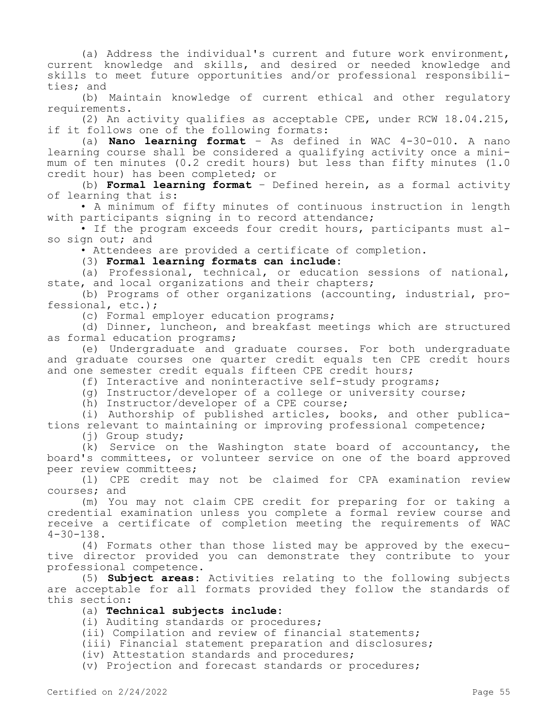(a) Address the individual's current and future work environment, current knowledge and skills, and desired or needed knowledge and skills to meet future opportunities and/or professional responsibilities; and

(b) Maintain knowledge of current ethical and other regulatory requirements.

(2) An activity qualifies as acceptable CPE, under RCW 18.04.215, if it follows one of the following formats:

(a) **Nano learning format** – As defined in WAC 4-30-010. A nano learning course shall be considered a qualifying activity once a minimum of ten minutes (0.2 credit hours) but less than fifty minutes (1.0 credit hour) has been completed; or

(b) **Formal learning format** – Defined herein, as a formal activity of learning that is:

• A minimum of fifty minutes of continuous instruction in length with participants signing in to record attendance;

• If the program exceeds four credit hours, participants must also sign out; and

• Attendees are provided a certificate of completion.

(3) **Formal learning formats can include:**

(a) Professional, technical, or education sessions of national, state, and local organizations and their chapters;

(b) Programs of other organizations (accounting, industrial, professional, etc.);

(c) Formal employer education programs;

(d) Dinner, luncheon, and breakfast meetings which are structured as formal education programs;

(e) Undergraduate and graduate courses. For both undergraduate and graduate courses one quarter credit equals ten CPE credit hours and one semester credit equals fifteen CPE credit hours;

(f) Interactive and noninteractive self-study programs;

(g) Instructor/developer of a college or university course;

(h) Instructor/developer of a CPE course;

(i) Authorship of published articles, books, and other publications relevant to maintaining or improving professional competence;

(j) Group study;

(k) Service on the Washington state board of accountancy, the board's committees, or volunteer service on one of the board approved peer review committees;

(l) CPE credit may not be claimed for CPA examination review courses; and

(m) You may not claim CPE credit for preparing for or taking a credential examination unless you complete a formal review course and receive a certificate of completion meeting the requirements of WAC  $4 - 30 - 138$ .

(4) Formats other than those listed may be approved by the executive director provided you can demonstrate they contribute to your professional competence.

(5) **Subject areas:** Activities relating to the following subjects are acceptable for all formats provided they follow the standards of this section:

# (a) **Technical subjects include:**

(i) Auditing standards or procedures;

(ii) Compilation and review of financial statements;

(iii) Financial statement preparation and disclosures;

(iv) Attestation standards and procedures;

(v) Projection and forecast standards or procedures;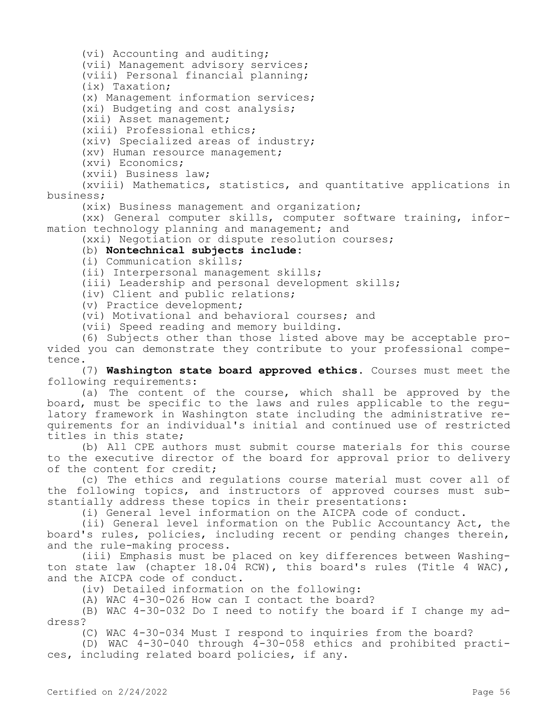(vi) Accounting and auditing;

(vii) Management advisory services;

(viii) Personal financial planning;

(ix) Taxation;

(x) Management information services;

(xi) Budgeting and cost analysis;

(xii) Asset management;

(xiii) Professional ethics;

(xiv) Specialized areas of industry;

(xv) Human resource management;

(xvi) Economics;

(xvii) Business law;

(xviii) Mathematics, statistics, and quantitative applications in business;

(xix) Business management and organization;

(xx) General computer skills, computer software training, information technology planning and management; and

(xxi) Negotiation or dispute resolution courses;

# (b) **Nontechnical subjects include:**

(i) Communication skills;

(ii) Interpersonal management skills;

(iii) Leadership and personal development skills;

(iv) Client and public relations;

(v) Practice development;

(vi) Motivational and behavioral courses; and

(vii) Speed reading and memory building.

(6) Subjects other than those listed above may be acceptable provided you can demonstrate they contribute to your professional competence.

(7) **Washington state board approved ethics.** Courses must meet the following requirements:

(a) The content of the course, which shall be approved by the board, must be specific to the laws and rules applicable to the regulatory framework in Washington state including the administrative requirements for an individual's initial and continued use of restricted titles in this state;

(b) All CPE authors must submit course materials for this course to the executive director of the board for approval prior to delivery of the content for credit;

(c) The ethics and regulations course material must cover all of the following topics, and instructors of approved courses must substantially address these topics in their presentations:

(i) General level information on the AICPA code of conduct.

(ii) General level information on the Public Accountancy Act, the board's rules, policies, including recent or pending changes therein, and the rule-making process.

(iii) Emphasis must be placed on key differences between Washington state law (chapter 18.04 RCW), this board's rules (Title 4 WAC), and the AICPA code of conduct.

(iv) Detailed information on the following:

(A) WAC 4-30-026 How can I contact the board?

(B) WAC 4-30-032 Do I need to notify the board if I change my address?

(C) WAC 4-30-034 Must I respond to inquiries from the board?

(D) WAC 4-30-040 through 4-30-058 ethics and prohibited practices, including related board policies, if any.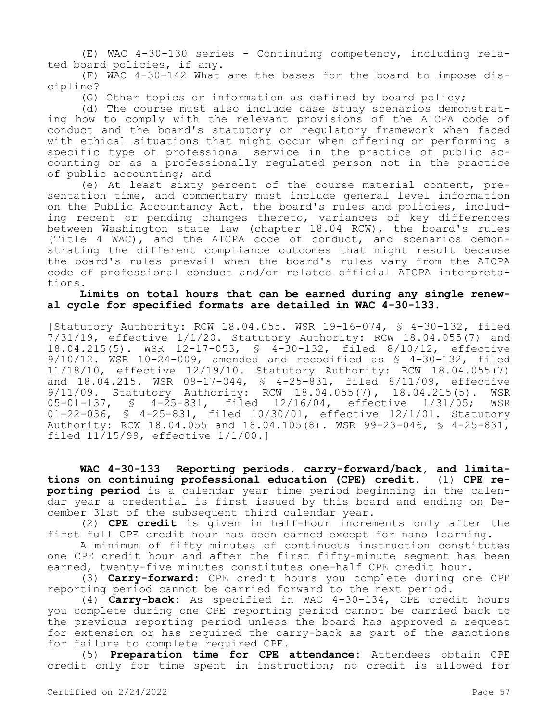(E) WAC 4-30-130 series - Continuing competency, including related board policies, if any.

(F) WAC 4-30-142 What are the bases for the board to impose discipline?

(G) Other topics or information as defined by board policy;

(d) The course must also include case study scenarios demonstrating how to comply with the relevant provisions of the AICPA code of conduct and the board's statutory or regulatory framework when faced with ethical situations that might occur when offering or performing a specific type of professional service in the practice of public accounting or as a professionally regulated person not in the practice of public accounting; and

(e) At least sixty percent of the course material content, presentation time, and commentary must include general level information on the Public Accountancy Act, the board's rules and policies, including recent or pending changes thereto, variances of key differences between Washington state law (chapter 18.04 RCW), the board's rules (Title 4 WAC), and the AICPA code of conduct, and scenarios demonstrating the different compliance outcomes that might result because the board's rules prevail when the board's rules vary from the AICPA code of professional conduct and/or related official AICPA interpretations.

## **Limits on total hours that can be earned during any single renewal cycle for specified formats are detailed in WAC 4-30-133.**

[Statutory Authority: RCW 18.04.055. WSR 19-16-074, § 4-30-132, filed 7/31/19, effective 1/1/20. Statutory Authority: RCW 18.04.055(7) and 18.04.215(5). WSR 12-17-053, § 4-30-132, filed 8/10/12, effective 9/10/12. WSR 10-24-009, amended and recodified as § 4-30-132, filed 11/18/10, effective 12/19/10. Statutory Authority: RCW 18.04.055(7) and 18.04.215. WSR 09-17-044, § 4-25-831, filed 8/11/09, effective 9/11/09. Statutory Authority: RCW 18.04.055(7), 18.04.215(5). WSR 05-01-137, § 4-25-831, filed 12/16/04, effective 1/31/05; WSR 01-22-036, § 4-25-831, filed 10/30/01, effective 12/1/01. Statutory Authority: RCW 18.04.055 and 18.04.105(8). WSR 99-23-046, § 4-25-831, filed 11/15/99, effective 1/1/00.]

**WAC 4-30-133 Reporting periods, carry-forward/back, and limitations on continuing professional education (CPE) credit.** (1) **CPE reporting period** is a calendar year time period beginning in the calendar year a credential is first issued by this board and ending on December 31st of the subsequent third calendar year.

(2) **CPE credit** is given in half-hour increments only after the first full CPE credit hour has been earned except for nano learning.

A minimum of fifty minutes of continuous instruction constitutes one CPE credit hour and after the first fifty-minute segment has been earned, twenty-five minutes constitutes one-half CPE credit hour.

(3) **Carry-forward:** CPE credit hours you complete during one CPE reporting period cannot be carried forward to the next period.

(4) **Carry-back:** As specified in WAC 4-30-134, CPE credit hours you complete during one CPE reporting period cannot be carried back to the previous reporting period unless the board has approved a request for extension or has required the carry-back as part of the sanctions for failure to complete required CPE.

(5) **Preparation time for CPE attendance:** Attendees obtain CPE credit only for time spent in instruction; no credit is allowed for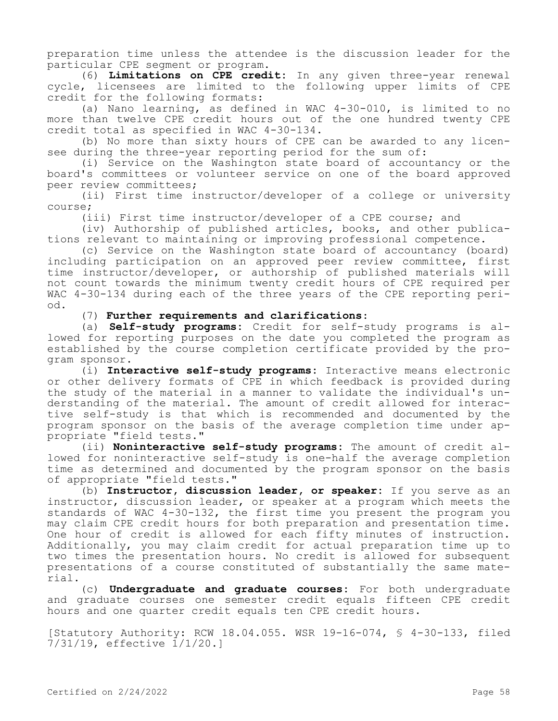preparation time unless the attendee is the discussion leader for the particular CPE segment or program.

(6) **Limitations on CPE credit:** In any given three-year renewal cycle, licensees are limited to the following upper limits of CPE credit for the following formats:

(a) Nano learning, as defined in WAC 4-30-010, is limited to no more than twelve CPE credit hours out of the one hundred twenty CPE credit total as specified in WAC 4-30-134.

(b) No more than sixty hours of CPE can be awarded to any licensee during the three-year reporting period for the sum of:

(i) Service on the Washington state board of accountancy or the board's committees or volunteer service on one of the board approved peer review committees;

(ii) First time instructor/developer of a college or university course;

(iii) First time instructor/developer of a CPE course; and

(iv) Authorship of published articles, books, and other publications relevant to maintaining or improving professional competence.

(c) Service on the Washington state board of accountancy (board) including participation on an approved peer review committee, first time instructor/developer, or authorship of published materials will not count towards the minimum twenty credit hours of CPE required per WAC 4-30-134 during each of the three years of the CPE reporting period.

(7) **Further requirements and clarifications**:

(a) **Self-study programs:** Credit for self-study programs is allowed for reporting purposes on the date you completed the program as established by the course completion certificate provided by the program sponsor.

(i) **Interactive self-study programs:** Interactive means electronic or other delivery formats of CPE in which feedback is provided during the study of the material in a manner to validate the individual's understanding of the material. The amount of credit allowed for interactive self-study is that which is recommended and documented by the program sponsor on the basis of the average completion time under appropriate "field tests."

(ii) **Noninteractive self-study programs:** The amount of credit allowed for noninteractive self-study is one-half the average completion time as determined and documented by the program sponsor on the basis of appropriate "field tests."

(b) **Instructor, discussion leader, or speaker:** If you serve as an instructor, discussion leader, or speaker at a program which meets the standards of WAC 4-30-132, the first time you present the program you may claim CPE credit hours for both preparation and presentation time. One hour of credit is allowed for each fifty minutes of instruction. Additionally, you may claim credit for actual preparation time up to two times the presentation hours. No credit is allowed for subsequent presentations of a course constituted of substantially the same material.

(c) **Undergraduate and graduate courses:** For both undergraduate and graduate courses one semester credit equals fifteen CPE credit hours and one quarter credit equals ten CPE credit hours.

[Statutory Authority: RCW 18.04.055. WSR 19-16-074, § 4-30-133, filed 7/31/19, effective 1/1/20.]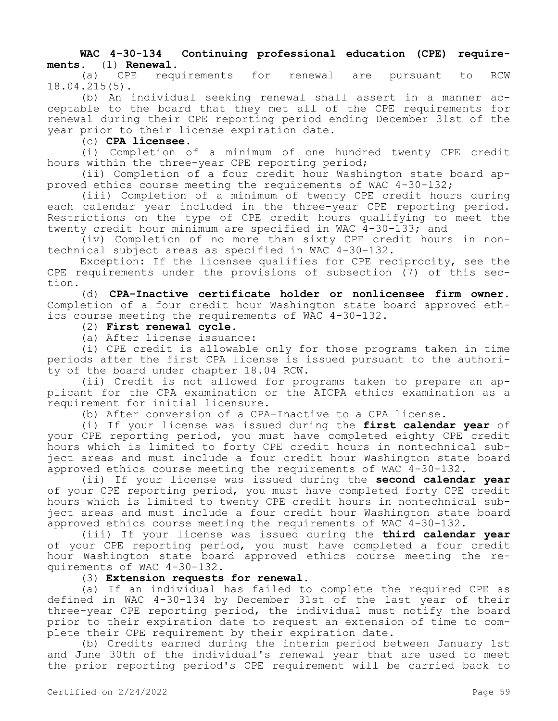# **WAC 4-30-134 Continuing professional education (CPE) requirements.** (1) **Renewal.**

requirements for renewal are pursuant to RCW 18.04.215(5).

(b) An individual seeking renewal shall assert in a manner acceptable to the board that they met all of the CPE requirements for renewal during their CPE reporting period ending December 31st of the year prior to their license expiration date.

(c) **CPA licensee.**

(i) Completion of a minimum of one hundred twenty CPE credit hours within the three-year CPE reporting period;

(ii) Completion of a four credit hour Washington state board approved ethics course meeting the requirements of WAC 4-30-132;

(iii) Completion of a minimum of twenty CPE credit hours during each calendar year included in the three-year CPE reporting period. Restrictions on the type of CPE credit hours qualifying to meet the twenty credit hour minimum are specified in WAC 4-30-133; and

(iv) Completion of no more than sixty CPE credit hours in nontechnical subject areas as specified in WAC 4-30-132.

Exception: If the licensee qualifies for CPE reciprocity, see the CPE requirements under the provisions of subsection (7) of this section.

(d) **CPA-Inactive certificate holder or nonlicensee firm owner.**  Completion of a four credit hour Washington state board approved ethics course meeting the requirements of WAC 4-30-132.

# (2) **First renewal cycle.**

(a) After license issuance:

(i) CPE credit is allowable only for those programs taken in time periods after the first CPA license is issued pursuant to the authority of the board under chapter 18.04 RCW.

(ii) Credit is not allowed for programs taken to prepare an applicant for the CPA examination or the AICPA ethics examination as a requirement for initial licensure.

(b) After conversion of a CPA-Inactive to a CPA license.

(i) If your license was issued during the **first calendar year** of your CPE reporting period, you must have completed eighty CPE credit hours which is limited to forty CPE credit hours in nontechnical subject areas and must include a four credit hour Washington state board approved ethics course meeting the requirements of WAC 4-30-132.

(ii) If your license was issued during the **second calendar year**  of your CPE reporting period, you must have completed forty CPE credit hours which is limited to twenty CPE credit hours in nontechnical subject areas and must include a four credit hour Washington state board approved ethics course meeting the requirements of WAC 4-30-132.

(iii) If your license was issued during the **third calendar year**  of your CPE reporting period, you must have completed a four credit hour Washington state board approved ethics course meeting the requirements of WAC 4-30-132.

# (3) **Extension requests for renewal.**

(a) If an individual has failed to complete the required CPE as defined in WAC 4-30-134 by December 31st of the last year of their three-year CPE reporting period, the individual must notify the board prior to their expiration date to request an extension of time to complete their CPE requirement by their expiration date.

(b) Credits earned during the interim period between January 1st and June 30th of the individual's renewal year that are used to meet the prior reporting period's CPE requirement will be carried back to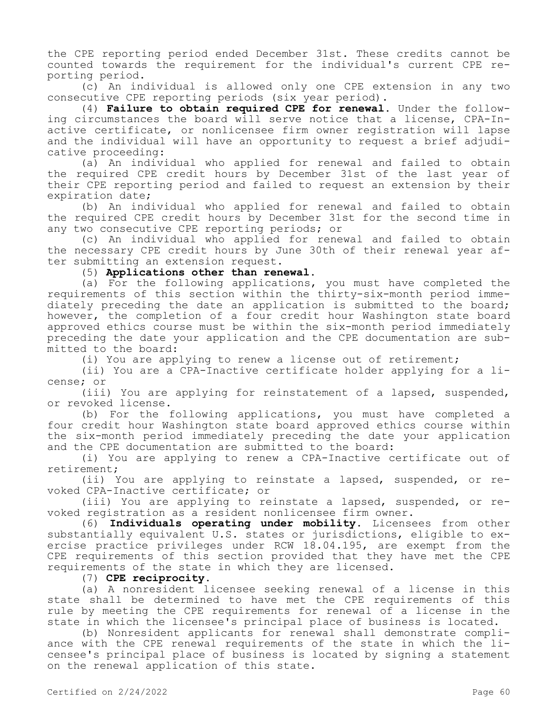the CPE reporting period ended December 31st. These credits cannot be counted towards the requirement for the individual's current CPE reporting period.

(c) An individual is allowed only one CPE extension in any two consecutive CPE reporting periods (six year period).

(4) **Failure to obtain required CPE for renewal.** Under the following circumstances the board will serve notice that a license, CPA-Inactive certificate, or nonlicensee firm owner registration will lapse and the individual will have an opportunity to request a brief adjudicative proceeding:

(a) An individual who applied for renewal and failed to obtain the required CPE credit hours by December 31st of the last year of their CPE reporting period and failed to request an extension by their expiration date;

(b) An individual who applied for renewal and failed to obtain the required CPE credit hours by December 31st for the second time in any two consecutive CPE reporting periods; or

(c) An individual who applied for renewal and failed to obtain the necessary CPE credit hours by June 30th of their renewal year after submitting an extension request.

(5) **Applications other than renewal.**

(a) For the following applications, you must have completed the requirements of this section within the thirty-six-month period immediately preceding the date an application is submitted to the board; however, the completion of a four credit hour Washington state board approved ethics course must be within the six-month period immediately preceding the date your application and the CPE documentation are submitted to the board:

(i) You are applying to renew a license out of retirement;

(ii) You are a CPA-Inactive certificate holder applying for a license; or

(iii) You are applying for reinstatement of a lapsed, suspended, or revoked license.

(b) For the following applications, you must have completed a four credit hour Washington state board approved ethics course within the six-month period immediately preceding the date your application and the CPE documentation are submitted to the board:

(i) You are applying to renew a CPA-Inactive certificate out of retirement;

(ii) You are applying to reinstate a lapsed, suspended, or revoked CPA-Inactive certificate; or

(iii) You are applying to reinstate a lapsed, suspended, or revoked registration as a resident nonlicensee firm owner.

(6) **Individuals operating under mobility.** Licensees from other substantially equivalent U.S. states or jurisdictions, eligible to exercise practice privileges under RCW 18.04.195, are exempt from the CPE requirements of this section provided that they have met the CPE requirements of the state in which they are licensed.

## (7) **CPE reciprocity.**

(a) A nonresident licensee seeking renewal of a license in this state shall be determined to have met the CPE requirements of this rule by meeting the CPE requirements for renewal of a license in the state in which the licensee's principal place of business is located.

(b) Nonresident applicants for renewal shall demonstrate compliance with the CPE renewal requirements of the state in which the licensee's principal place of business is located by signing a statement on the renewal application of this state.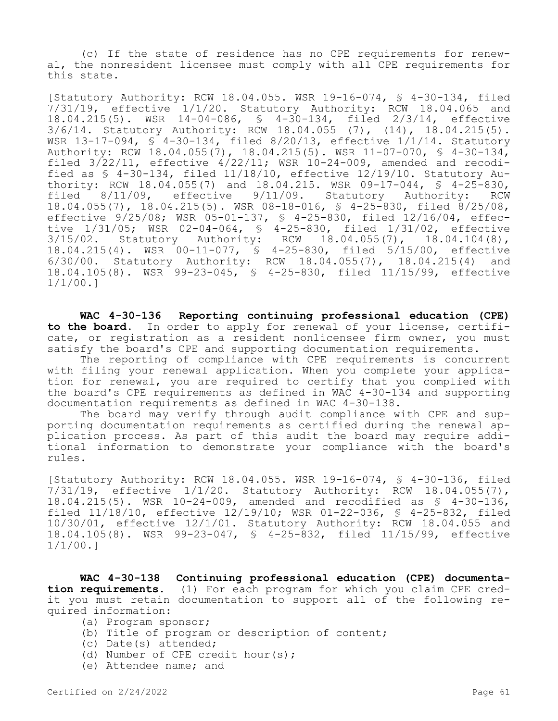(c) If the state of residence has no CPE requirements for renewal, the nonresident licensee must comply with all CPE requirements for this state.

[Statutory Authority: RCW 18.04.055. WSR 19-16-074, § 4-30-134, filed 7/31/19, effective 1/1/20. Statutory Authority: RCW 18.04.065 and 18.04.215(5). WSR 14-04-086, § 4-30-134, filed 2/3/14, effective 3/6/14. Statutory Authority: RCW 18.04.055 (7), (14), 18.04.215(5). WSR  $13-17-094$ ,  $\frac{1}{5}$  4-30-134, filed 8/20/13, effective  $1/1/14$ . Statutory Authority: RCW 18.04.055(7), 18.04.215(5). WSR 11-07-070, § 4-30-134, filed  $3/22/11$ , effective  $4/22/11$ ; WSR 10-24-009, amended and recodified as  $\frac{1}{2}$  4-30-134, filed 11/18/10, effective 12/19/10. Statutory Authority: RCW 18.04.055(7) and 18.04.215. WSR 09-17-044, § 4-25-830,<br>filed 8/11/09, effective 9/11/09. Statutory Authority: RCW 8/11/09, effective 9/11/09. Statutory Authority: RCW 18.04.055(7), 18.04.215(5). WSR 08-18-016, § 4-25-830, filed 8/25/08, effective 9/25/08; WSR 05-01-137, § 4-25-830, filed 12/16/04, effective 1/31/05; WSR 02-04-064, § 4-25-830, filed 1/31/02, effective 3/15/02. Statutory Authority: RCW 18.04.055(7), 18.04.104(8), 18.04.215(4). WSR 00-11-077, § 4-25-830, filed 5/15/00, effective 6/30/00. Statutory Authority: RCW 18.04.055(7), 18.04.215(4) and 18.04.105(8). WSR 99-23-045, § 4-25-830, filed 11/15/99, effective 1/1/00.]

**WAC 4-30-136 Reporting continuing professional education (CPE) to the board.** In order to apply for renewal of your license, certificate, or registration as a resident nonlicensee firm owner, you must satisfy the board's CPE and supporting documentation requirements.

The reporting of compliance with CPE requirements is concurrent with filing your renewal application. When you complete your application for renewal, you are required to certify that you complied with the board's CPE requirements as defined in WAC 4-30-134 and supporting documentation requirements as defined in WAC 4-30-138.

The board may verify through audit compliance with CPE and supporting documentation requirements as certified during the renewal application process. As part of this audit the board may require additional information to demonstrate your compliance with the board's rules.

[Statutory Authority: RCW 18.04.055. WSR 19-16-074, § 4-30-136, filed 7/31/19, effective 1/1/20. Statutory Authority: RCW 18.04.055(7), 18.04.215(5). WSR 10-24-009, amended and recodified as § 4-30-136, filed 11/18/10, effective 12/19/10; WSR 01-22-036, § 4-25-832, filed 10/30/01, effective 12/1/01. Statutory Authority: RCW 18.04.055 and 18.04.105(8). WSR 99-23-047, § 4-25-832, filed 11/15/99, effective 1/1/00.]

**WAC 4-30-138 Continuing professional education (CPE) documentation requirements.** (1) For each program for which you claim CPE credit you must retain documentation to support all of the following required information:

- (a) Program sponsor;
- (b) Title of program or description of content;
- (c) Date(s) attended;
- (d) Number of CPE credit hour(s);
- (e) Attendee name; and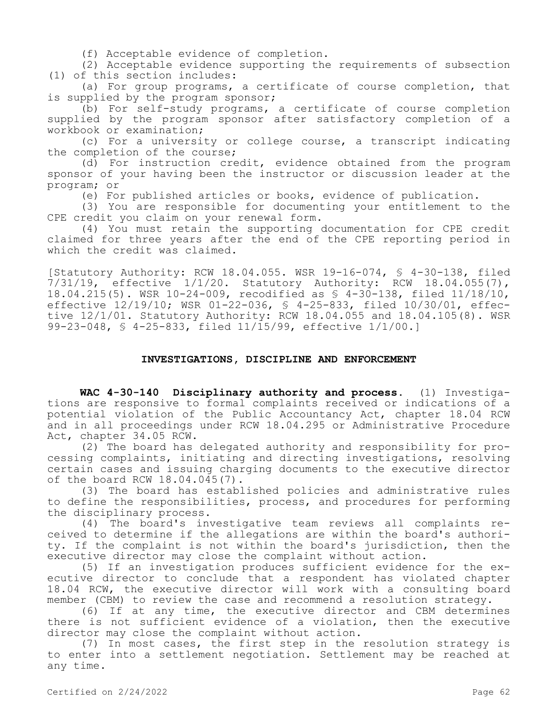(f) Acceptable evidence of completion.

(2) Acceptable evidence supporting the requirements of subsection (1) of this section includes:

(a) For group programs, a certificate of course completion, that is supplied by the program sponsor;

(b) For self-study programs, a certificate of course completion supplied by the program sponsor after satisfactory completion of a workbook or examination;

(c) For a university or college course, a transcript indicating the completion of the course;

(d) For instruction credit, evidence obtained from the program sponsor of your having been the instructor or discussion leader at the program; or

(e) For published articles or books, evidence of publication.

(3) You are responsible for documenting your entitlement to the CPE credit you claim on your renewal form.

(4) You must retain the supporting documentation for CPE credit claimed for three years after the end of the CPE reporting period in which the credit was claimed.

[Statutory Authority: RCW 18.04.055. WSR 19-16-074, § 4-30-138, filed 7/31/19, effective 1/1/20. Statutory Authority: RCW 18.04.055(7), 18.04.215(5). WSR 10-24-009, recodified as § 4-30-138, filed 11/18/10, effective 12/19/10; WSR 01-22-036, § 4-25-833, filed 10/30/01, effective 12/1/01. Statutory Authority: RCW 18.04.055 and 18.04.105(8). WSR 99-23-048, § 4-25-833, filed 11/15/99, effective 1/1/00.]

# **INVESTIGATIONS, DISCIPLINE AND ENFORCEMENT**

**WAC 4-30-140 Disciplinary authority and process.** (1) Investigations are responsive to formal complaints received or indications of a potential violation of the Public Accountancy Act, chapter 18.04 RCW and in all proceedings under RCW 18.04.295 or Administrative Procedure Act, chapter 34.05 RCW.

(2) The board has delegated authority and responsibility for processing complaints, initiating and directing investigations, resolving certain cases and issuing charging documents to the executive director of the board RCW 18.04.045(7).

(3) The board has established policies and administrative rules to define the responsibilities, process, and procedures for performing the disciplinary process.

(4) The board's investigative team reviews all complaints received to determine if the allegations are within the board's authority. If the complaint is not within the board's jurisdiction, then the executive director may close the complaint without action.

(5) If an investigation produces sufficient evidence for the executive director to conclude that a respondent has violated chapter 18.04 RCW, the executive director will work with a consulting board member (CBM) to review the case and recommend a resolution strategy.

(6) If at any time, the executive director and CBM determines there is not sufficient evidence of a violation, then the executive director may close the complaint without action.

(7) In most cases, the first step in the resolution strategy is to enter into a settlement negotiation. Settlement may be reached at any time.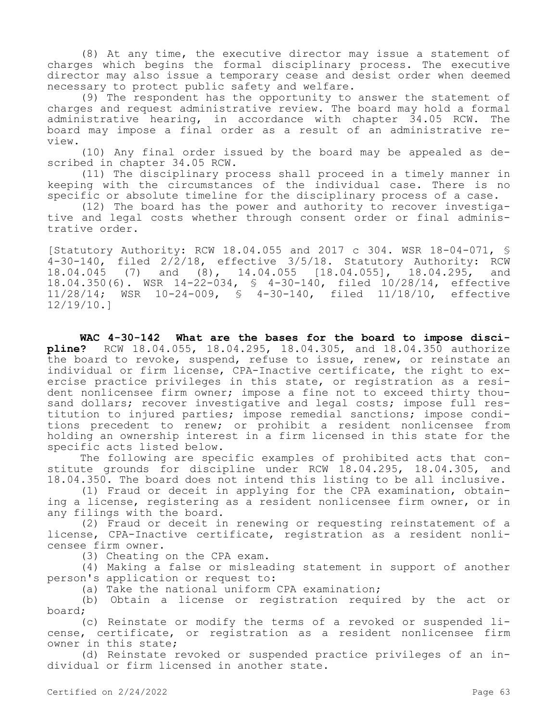(8) At any time, the executive director may issue a statement of charges which begins the formal disciplinary process. The executive director may also issue a temporary cease and desist order when deemed necessary to protect public safety and welfare.

(9) The respondent has the opportunity to answer the statement of charges and request administrative review. The board may hold a formal administrative hearing, in accordance with chapter 34.05 RCW. The board may impose a final order as a result of an administrative review.

(10) Any final order issued by the board may be appealed as described in chapter 34.05 RCW.

(11) The disciplinary process shall proceed in a timely manner in keeping with the circumstances of the individual case. There is no specific or absolute timeline for the disciplinary process of a case.

(12) The board has the power and authority to recover investigative and legal costs whether through consent order or final administrative order.

[Statutory Authority: RCW 18.04.055 and 2017 c 304. WSR 18-04-071, §  $4-30-140$ , filed  $2/2/18$ , effective  $3/5/18$ . Statutory Authority: RCW 18.04.045 (7) and (8), 14.04.055 [18.04.055], 18.04.295, and 18.04.350(6). WSR 14-22-034, § 4-30-140, filed 10/28/14, effective 11/28/14; WSR 10-24-009, § 4-30-140, filed 11/18/10, effective 12/19/10.]

**WAC 4-30-142 What are the bases for the board to impose discipline?** RCW 18.04.055, 18.04.295, 18.04.305, and 18.04.350 authorize the board to revoke, suspend, refuse to issue, renew, or reinstate an individual or firm license, CPA-Inactive certificate, the right to exercise practice privileges in this state, or registration as a resident nonlicensee firm owner; impose a fine not to exceed thirty thousand dollars; recover investigative and legal costs; impose full restitution to injured parties; impose remedial sanctions; impose conditions precedent to renew; or prohibit a resident nonlicensee from holding an ownership interest in a firm licensed in this state for the specific acts listed below.

The following are specific examples of prohibited acts that constitute grounds for discipline under RCW 18.04.295, 18.04.305, and 18.04.350. The board does not intend this listing to be all inclusive.

(1) Fraud or deceit in applying for the CPA examination, obtaining a license, registering as a resident nonlicensee firm owner, or in any filings with the board.

(2) Fraud or deceit in renewing or requesting reinstatement of a license, CPA-Inactive certificate, registration as a resident nonlicensee firm owner.

(3) Cheating on the CPA exam.

(4) Making a false or misleading statement in support of another person's application or request to:

(a) Take the national uniform CPA examination;

(b) Obtain a license or registration required by the act or board;

(c) Reinstate or modify the terms of a revoked or suspended license, certificate, or registration as a resident nonlicensee firm owner in this state;

(d) Reinstate revoked or suspended practice privileges of an individual or firm licensed in another state.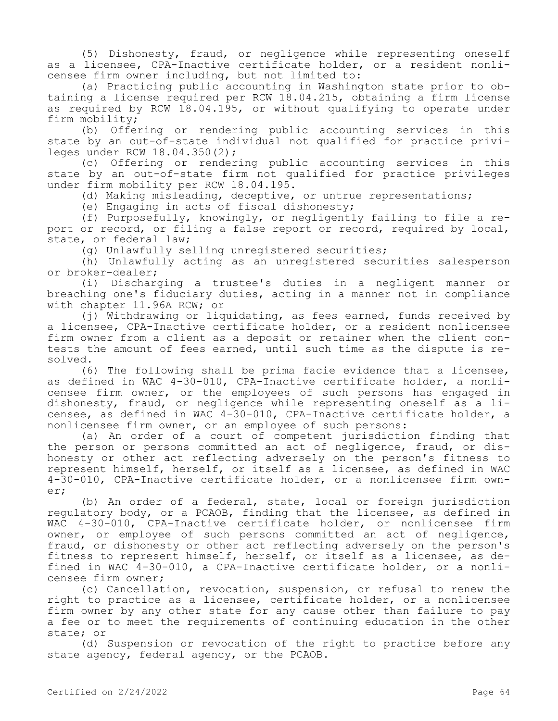(5) Dishonesty, fraud, or negligence while representing oneself as a licensee, CPA-Inactive certificate holder, or a resident nonlicensee firm owner including, but not limited to:

(a) Practicing public accounting in Washington state prior to obtaining a license required per RCW 18.04.215, obtaining a firm license as required by RCW 18.04.195, or without qualifying to operate under firm mobility;

(b) Offering or rendering public accounting services in this state by an out-of-state individual not qualified for practice privileges under RCW 18.04.350(2);

(c) Offering or rendering public accounting services in this state by an out-of-state firm not qualified for practice privileges under firm mobility per RCW 18.04.195.

(d) Making misleading, deceptive, or untrue representations;

(e) Engaging in acts of fiscal dishonesty;

(f) Purposefully, knowingly, or negligently failing to file a report or record, or filing a false report or record, required by local, state, or federal law;

(g) Unlawfully selling unregistered securities;

(h) Unlawfully acting as an unregistered securities salesperson or broker-dealer;

(i) Discharging a trustee's duties in a negligent manner or breaching one's fiduciary duties, acting in a manner not in compliance with chapter 11.96A RCW; or

(j) Withdrawing or liquidating, as fees earned, funds received by a licensee, CPA-Inactive certificate holder, or a resident nonlicensee firm owner from a client as a deposit or retainer when the client contests the amount of fees earned, until such time as the dispute is resolved.

(6) The following shall be prima facie evidence that a licensee, as defined in WAC 4-30-010, CPA-Inactive certificate holder, a nonlicensee firm owner, or the employees of such persons has engaged in dishonesty, fraud, or negligence while representing oneself as a licensee, as defined in WAC 4-30-010, CPA-Inactive certificate holder, a nonlicensee firm owner, or an employee of such persons:

(a) An order of a court of competent jurisdiction finding that the person or persons committed an act of negligence, fraud, or dishonesty or other act reflecting adversely on the person's fitness to represent himself, herself, or itself as a licensee, as defined in WAC 4-30-010, CPA-Inactive certificate holder, or a nonlicensee firm owner;

(b) An order of a federal, state, local or foreign jurisdiction regulatory body, or a PCAOB, finding that the licensee, as defined in WAC 4-30-010, CPA-Inactive certificate holder, or nonlicensee firm owner, or employee of such persons committed an act of negligence, fraud, or dishonesty or other act reflecting adversely on the person's fitness to represent himself, herself, or itself as a licensee, as defined in WAC 4-30-010, a CPA-Inactive certificate holder, or a nonlicensee firm owner;

(c) Cancellation, revocation, suspension, or refusal to renew the right to practice as a licensee, certificate holder, or a nonlicensee firm owner by any other state for any cause other than failure to pay a fee or to meet the requirements of continuing education in the other state; or

(d) Suspension or revocation of the right to practice before any state agency, federal agency, or the PCAOB.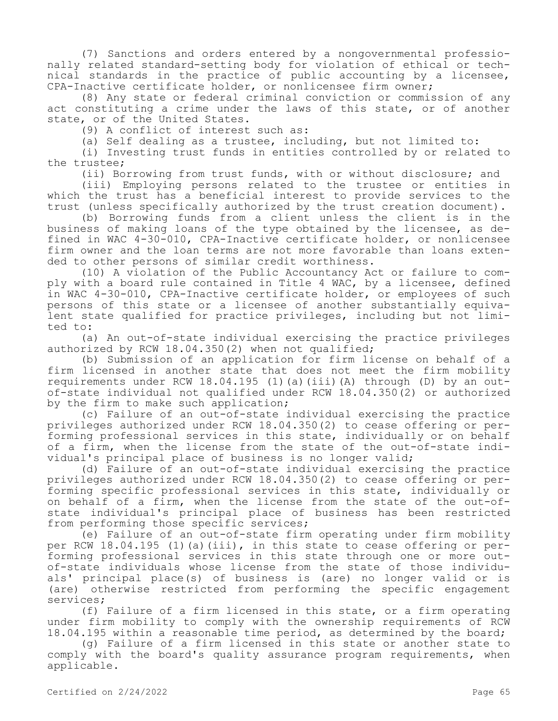(7) Sanctions and orders entered by a nongovernmental professionally related standard-setting body for violation of ethical or technical standards in the practice of public accounting by a licensee, CPA-Inactive certificate holder, or nonlicensee firm owner;

(8) Any state or federal criminal conviction or commission of any act constituting a crime under the laws of this state, or of another state, or of the United States.

(9) A conflict of interest such as:

(a) Self dealing as a trustee, including, but not limited to:

(i) Investing trust funds in entities controlled by or related to the trustee;

(ii) Borrowing from trust funds, with or without disclosure; and

(iii) Employing persons related to the trustee or entities in which the trust has a beneficial interest to provide services to the trust (unless specifically authorized by the trust creation document).

(b) Borrowing funds from a client unless the client is in the business of making loans of the type obtained by the licensee, as defined in WAC 4-30-010, CPA-Inactive certificate holder, or nonlicensee firm owner and the loan terms are not more favorable than loans extended to other persons of similar credit worthiness.

(10) A violation of the Public Accountancy Act or failure to comply with a board rule contained in Title 4 WAC, by a licensee, defined in WAC 4-30-010, CPA-Inactive certificate holder, or employees of such persons of this state or a licensee of another substantially equivalent state qualified for practice privileges, including but not limited to:

(a) An out-of-state individual exercising the practice privileges authorized by RCW 18.04.350(2) when not qualified;

(b) Submission of an application for firm license on behalf of a firm licensed in another state that does not meet the firm mobility requirements under RCW  $18.04.195$  (1)(a)(iii)(A) through (D) by an outof-state individual not qualified under RCW 18.04.350(2) or authorized by the firm to make such application;

(c) Failure of an out-of-state individual exercising the practice privileges authorized under RCW 18.04.350(2) to cease offering or performing professional services in this state, individually or on behalf of a firm, when the license from the state of the out-of-state individual's principal place of business is no longer valid;

(d) Failure of an out-of-state individual exercising the practice privileges authorized under RCW 18.04.350(2) to cease offering or performing specific professional services in this state, individually or on behalf of a firm, when the license from the state of the out-ofstate individual's principal place of business has been restricted from performing those specific services;

(e) Failure of an out-of-state firm operating under firm mobility per RCW 18.04.195 (1)(a)(iii), in this state to cease offering or performing professional services in this state through one or more outof-state individuals whose license from the state of those individuals' principal place(s) of business is (are) no longer valid or is (are) otherwise restricted from performing the specific engagement services;

(f) Failure of a firm licensed in this state, or a firm operating under firm mobility to comply with the ownership requirements of RCW 18.04.195 within a reasonable time period, as determined by the board;

(g) Failure of a firm licensed in this state or another state to comply with the board's quality assurance program requirements, when applicable.